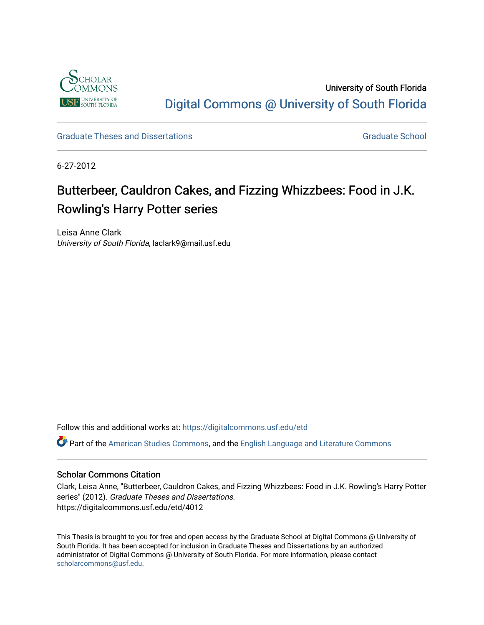

University of South Florida [Digital Commons @ University of South Florida](https://digitalcommons.usf.edu/) 

[Graduate Theses and Dissertations](https://digitalcommons.usf.edu/etd) [Graduate School](https://digitalcommons.usf.edu/grad) Craduate School Craduate School

6-27-2012

# Butterbeer, Cauldron Cakes, and Fizzing Whizzbees: Food in J.K. Rowling's Harry Potter series

Leisa Anne Clark University of South Florida, laclark9@mail.usf.edu

Follow this and additional works at: [https://digitalcommons.usf.edu/etd](https://digitalcommons.usf.edu/etd?utm_source=digitalcommons.usf.edu%2Fetd%2F4012&utm_medium=PDF&utm_campaign=PDFCoverPages) 

Part of the [American Studies Commons](http://network.bepress.com/hgg/discipline/439?utm_source=digitalcommons.usf.edu%2Fetd%2F4012&utm_medium=PDF&utm_campaign=PDFCoverPages), and the [English Language and Literature Commons](http://network.bepress.com/hgg/discipline/455?utm_source=digitalcommons.usf.edu%2Fetd%2F4012&utm_medium=PDF&utm_campaign=PDFCoverPages)

### Scholar Commons Citation

Clark, Leisa Anne, "Butterbeer, Cauldron Cakes, and Fizzing Whizzbees: Food in J.K. Rowling's Harry Potter series" (2012). Graduate Theses and Dissertations. https://digitalcommons.usf.edu/etd/4012

This Thesis is brought to you for free and open access by the Graduate School at Digital Commons @ University of South Florida. It has been accepted for inclusion in Graduate Theses and Dissertations by an authorized administrator of Digital Commons @ University of South Florida. For more information, please contact [scholarcommons@usf.edu.](mailto:scholarcommons@usf.edu)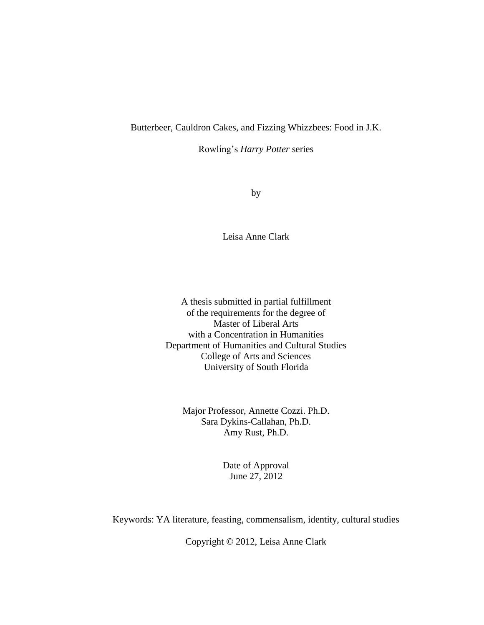# Butterbeer, Cauldron Cakes, and Fizzing Whizzbees: Food in J.K.

Rowling's *Harry Potter* series

by

Leisa Anne Clark

A thesis submitted in partial fulfillment of the requirements for the degree of Master of Liberal Arts with a Concentration in Humanities Department of Humanities and Cultural Studies College of Arts and Sciences University of South Florida

Major Professor, Annette Cozzi. Ph.D. Sara Dykins-Callahan, Ph.D. Amy Rust, Ph.D.

> Date of Approval June 27, 2012

Keywords: YA literature, feasting, commensalism, identity, cultural studies

Copyright © 2012, Leisa Anne Clark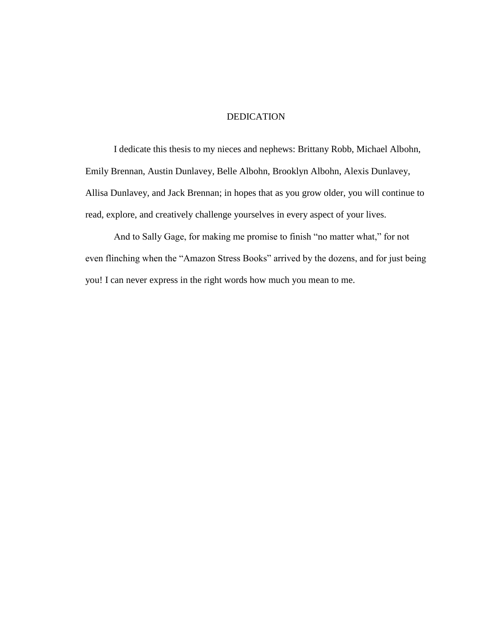# DEDICATION

I dedicate this thesis to my nieces and nephews: Brittany Robb, Michael Albohn, Emily Brennan, Austin Dunlavey, Belle Albohn, Brooklyn Albohn, Alexis Dunlavey, Allisa Dunlavey, and Jack Brennan; in hopes that as you grow older, you will continue to read, explore, and creatively challenge yourselves in every aspect of your lives.

And to Sally Gage, for making me promise to finish "no matter what," for not even flinching when the "Amazon Stress Books" arrived by the dozens, and for just being you! I can never express in the right words how much you mean to me.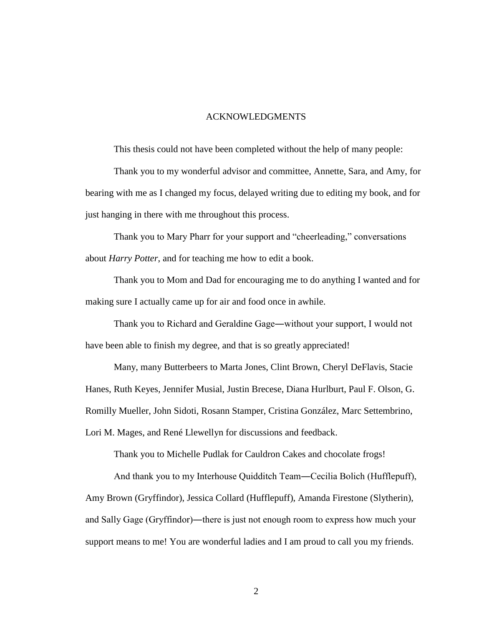#### ACKNOWLEDGMENTS

This thesis could not have been completed without the help of many people:

Thank you to my wonderful advisor and committee, Annette, Sara, and Amy, for bearing with me as I changed my focus, delayed writing due to editing my book, and for just hanging in there with me throughout this process.

Thank you to Mary Pharr for your support and "cheerleading," conversations about *Harry Potter*, and for teaching me how to edit a book.

Thank you to Mom and Dad for encouraging me to do anything I wanted and for making sure I actually came up for air and food once in awhile.

Thank you to Richard and Geraldine Gage―without your support, I would not have been able to finish my degree, and that is so greatly appreciated!

Many, many Butterbeers to Marta Jones, Clint Brown, Cheryl DeFlavis, Stacie Hanes, Ruth Keyes, Jennifer Musial, Justin Brecese, Diana Hurlburt, Paul F. Olson, G. Romilly Mueller, John Sidoti, Rosann Stamper, Cristina González, Marc Settembrino, Lori M. Mages, and René Llewellyn for discussions and feedback.

Thank you to Michelle Pudlak for Cauldron Cakes and chocolate frogs!

And thank you to my Interhouse Quidditch Team―Cecilia Bolich (Hufflepuff), Amy Brown (Gryffindor), Jessica Collard (Hufflepuff), Amanda Firestone (Slytherin), and Sally Gage (Gryffindor)―there is just not enough room to express how much your support means to me! You are wonderful ladies and I am proud to call you my friends.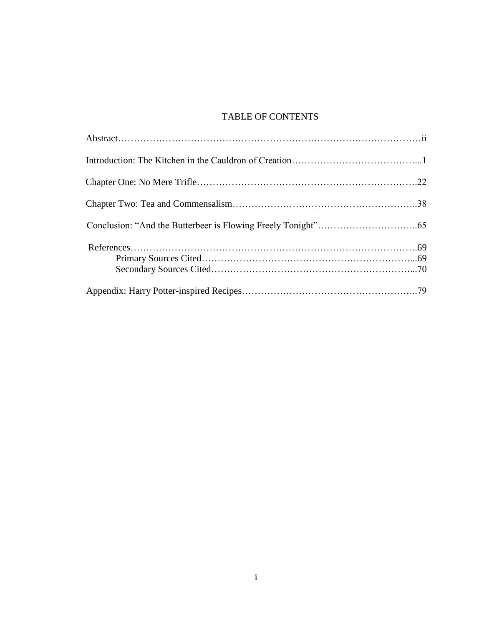# TABLE OF CONTENTS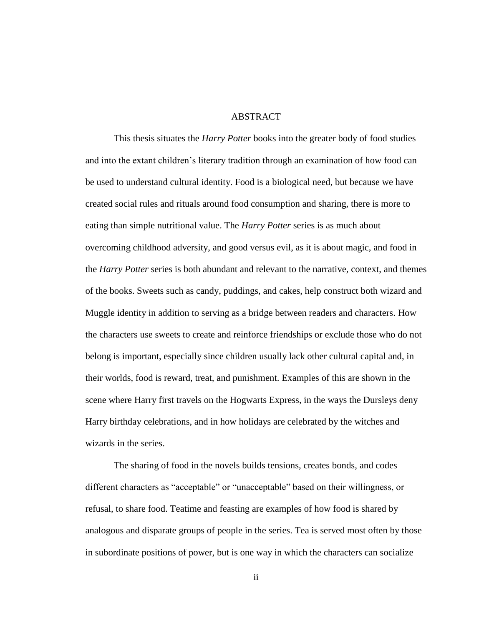#### ABSTRACT

This thesis situates the *Harry Potter* books into the greater body of food studies and into the extant children's literary tradition through an examination of how food can be used to understand cultural identity. Food is a biological need, but because we have created social rules and rituals around food consumption and sharing, there is more to eating than simple nutritional value. The *Harry Potter* series is as much about overcoming childhood adversity, and good versus evil, as it is about magic, and food in the *Harry Potter* series is both abundant and relevant to the narrative, context, and themes of the books. Sweets such as candy, puddings, and cakes, help construct both wizard and Muggle identity in addition to serving as a bridge between readers and characters. How the characters use sweets to create and reinforce friendships or exclude those who do not belong is important, especially since children usually lack other cultural capital and, in their worlds, food is reward, treat, and punishment. Examples of this are shown in the scene where Harry first travels on the Hogwarts Express, in the ways the Dursleys deny Harry birthday celebrations, and in how holidays are celebrated by the witches and wizards in the series.

 The sharing of food in the novels builds tensions, creates bonds, and codes different characters as "acceptable" or "unacceptable" based on their willingness, or refusal, to share food. Teatime and feasting are examples of how food is shared by analogous and disparate groups of people in the series. Tea is served most often by those in subordinate positions of power, but is one way in which the characters can socialize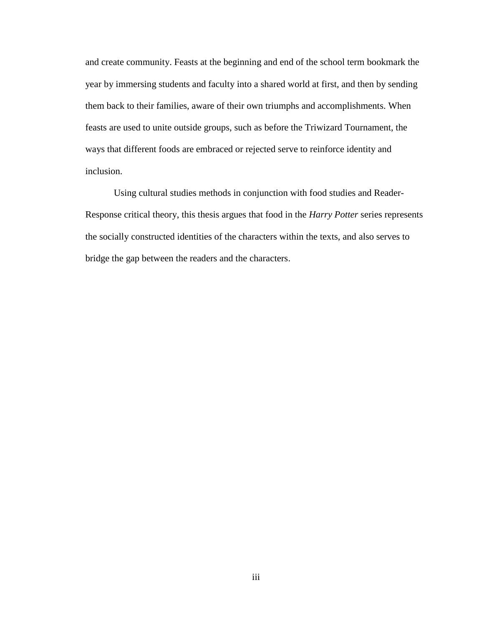and create community. Feasts at the beginning and end of the school term bookmark the year by immersing students and faculty into a shared world at first, and then by sending them back to their families, aware of their own triumphs and accomplishments. When feasts are used to unite outside groups, such as before the Triwizard Tournament, the ways that different foods are embraced or rejected serve to reinforce identity and inclusion.

 Using cultural studies methods in conjunction with food studies and Reader-Response critical theory, this thesis argues that food in the *Harry Potter* series represents the socially constructed identities of the characters within the texts, and also serves to bridge the gap between the readers and the characters.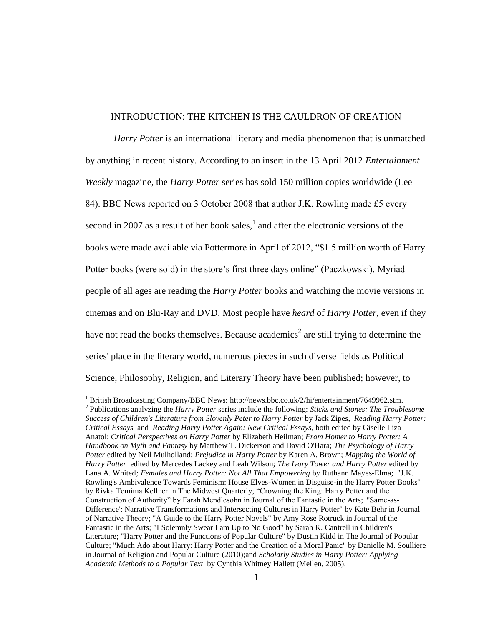#### INTRODUCTION: THE KITCHEN IS THE CAULDRON OF CREATION

*Harry Potter* is an international literary and media phenomenon that is unmatched by anything in recent history. According to an insert in the 13 April 2012 *Entertainment Weekly* magazine, the *Harry Potter* series has sold 150 million copies worldwide (Lee 84). BBC News reported on 3 October 2008 that author J.K. Rowling made £5 every second in 2007 as a result of her book sales, $<sup>1</sup>$  and after the electronic versions of the</sup> books were made available via Pottermore in April of 2012, "\$1.5 million worth of Harry Potter books (were sold) in the store's first three days online" (Paczkowski). Myriad people of all ages are reading the *Harry Potter* books and watching the movie versions in cinemas and on Blu-Ray and DVD. Most people have *heard* of *Harry Potter*, even if they have not read the books themselves. Because academics<sup>2</sup> are still trying to determine the series' place in the literary world, numerous pieces in such diverse fields as Political Science, Philosophy, Religion, and Literary Theory have been published; however, to

<sup>1</sup> British Broadcasting Company/BBC News: http://news.bbc.co.uk/2/hi/entertainment/7649962.stm.

<sup>2</sup> Publications analyzing the *Harry Potter* series include the following: *Sticks and Stones: The Troublesome Success of Children's Literature from Slovenly Peter to Harry Potter* by Jack Zipes, *Reading Harry Potter: Critical Essays* and *Reading Harry Potter Again: New Critical Essays*, both edited by Giselle Liza Anatol; *Critical Perspectives on Harry Potter* by Elizabeth Heilman; *From Homer to Harry Potter: A Handbook on Myth and Fantasy* by Matthew T. Dickerson and David O'Hara; *The Psychology of Harry Potter* edited by Neil Mulholland; *Prejudice in Harry Potter* by Karen A. Brown; *Mapping the World of Harry Potter* edited by Mercedes Lackey and Leah Wilson; *The Ivory Tower and Harry Potter* edited by Lana A. Whited*; Females and Harry Potter: Not All That Empowering* by Ruthann Mayes-Elma; "J.K. Rowling's Ambivalence Towards Feminism: House Elves-Women in Disguise-in the Harry Potter Books" by Rivka Temima Kellner in The Midwest Quarterly; "Crowning the King: Harry Potter and the Construction of Authority" by Farah Mendlesohn in Journal of the Fantastic in the Arts; "'Same-as-Difference': Narrative Transformations and Intersecting Cultures in Harry Potter" by Kate Behr in Journal of Narrative Theory; "A Guide to the Harry Potter Novels" by Amy Rose Rotruck in Journal of the Fantastic in the Arts; "I Solemnly Swear I am Up to No Good" by Sarah K. Cantrell in Children's Literature; "Harry Potter and the Functions of Popular Culture" by Dustin Kidd in The Journal of Popular Culture; "Much Ado about Harry: Harry Potter and the Creation of a Moral Panic" by Danielle M. Soulliere in Journal of Religion and Popular Culture (2010);and *Scholarly Studies in Harry Potter: Applying Academic Methods to a Popular Text* by Cynthia Whitney Hallett (Mellen, 2005).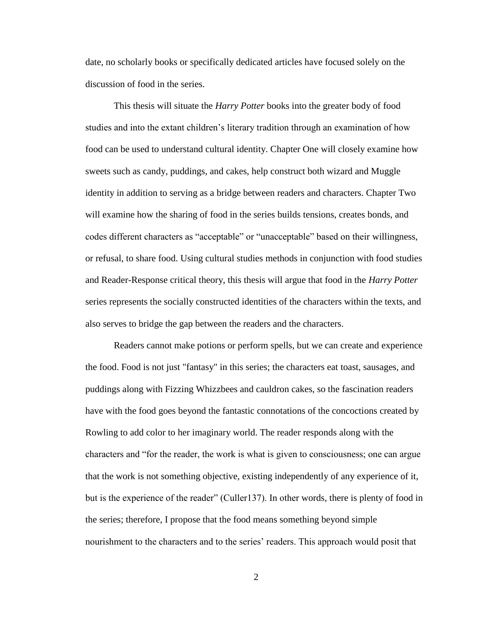date, no scholarly books or specifically dedicated articles have focused solely on the discussion of food in the series.

This thesis will situate the *Harry Potter* books into the greater body of food studies and into the extant children's literary tradition through an examination of how food can be used to understand cultural identity. Chapter One will closely examine how sweets such as candy, puddings, and cakes, help construct both wizard and Muggle identity in addition to serving as a bridge between readers and characters. Chapter Two will examine how the sharing of food in the series builds tensions, creates bonds, and codes different characters as "acceptable" or "unacceptable" based on their willingness, or refusal, to share food. Using cultural studies methods in conjunction with food studies and Reader-Response critical theory, this thesis will argue that food in the *Harry Potter* series represents the socially constructed identities of the characters within the texts, and also serves to bridge the gap between the readers and the characters.

Readers cannot make potions or perform spells, but we can create and experience the food. Food is not just "fantasy" in this series; the characters eat toast, sausages, and puddings along with Fizzing Whizzbees and cauldron cakes, so the fascination readers have with the food goes beyond the fantastic connotations of the concoctions created by Rowling to add color to her imaginary world. The reader responds along with the characters and "for the reader, the work is what is given to consciousness; one can argue that the work is not something objective, existing independently of any experience of it, but is the experience of the reader" (Culler137). In other words, there is plenty of food in the series; therefore, I propose that the food means something beyond simple nourishment to the characters and to the series' readers. This approach would posit that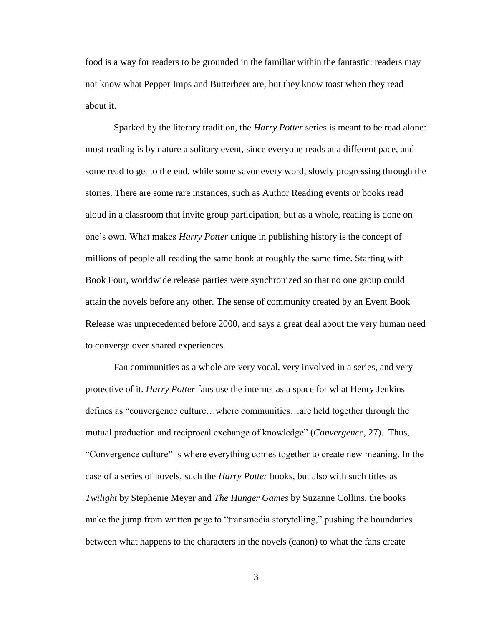food is a way for readers to be grounded in the familiar within the fantastic: readers may not know what Pepper Imps and Butterbeer are, but they know toast when they read about it.

Sparked by the literary tradition, the *Harry Potter* series is meant to be read alone: most reading is by nature a solitary event, since everyone reads at a different pace, and some read to get to the end, while some savor every word, slowly progressing through the stories. There are some rare instances, such as Author Reading events or books read aloud in a classroom that invite group participation, but as a whole, reading is done on one's own. What makes *Harry Potter* unique in publishing history is the concept of millions of people all reading the same book at roughly the same time. Starting with Book Four, worldwide release parties were synchronized so that no one group could attain the novels before any other. The sense of community created by an Event Book Release was unprecedented before 2000, and says a great deal about the very human need to converge over shared experiences.

Fan communities as a whole are very vocal, very involved in a series, and very protective of it. *Harry Potter* fans use the internet as a space for what Henry Jenkins defines as "convergence culture…where communities…are held together through the mutual production and reciprocal exchange of knowledge" (*Convergence*, 27). Thus, "Convergence culture" is where everything comes together to create new meaning. In the case of a series of novels, such the *Harry Potter* books, but also with such titles as *Twilight* by Stephenie Meyer and *The Hunger Games* by Suzanne Collins, the books make the jump from written page to "transmedia storytelling," pushing the boundaries between what happens to the characters in the novels (canon) to what the fans create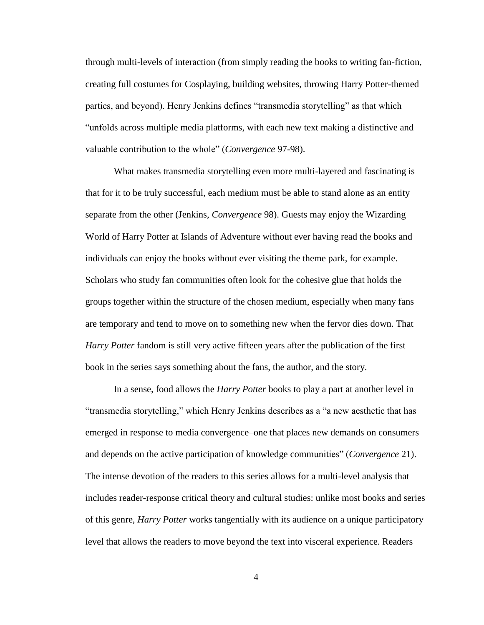through multi-levels of interaction (from simply reading the books to writing fan-fiction, creating full costumes for Cosplaying, building websites, throwing Harry Potter-themed parties, and beyond). Henry Jenkins defines "transmedia storytelling" as that which "unfolds across multiple media platforms, with each new text making a distinctive and valuable contribution to the whole" (*Convergence* 97-98).

What makes transmedia storytelling even more multi-layered and fascinating is that for it to be truly successful, each medium must be able to stand alone as an entity separate from the other (Jenkins, *Convergence* 98). Guests may enjoy the Wizarding World of Harry Potter at Islands of Adventure without ever having read the books and individuals can enjoy the books without ever visiting the theme park, for example. Scholars who study fan communities often look for the cohesive glue that holds the groups together within the structure of the chosen medium, especially when many fans are temporary and tend to move on to something new when the fervor dies down. That *Harry Potter* fandom is still very active fifteen years after the publication of the first book in the series says something about the fans, the author, and the story.

In a sense, food allows the *Harry Potter* books to play a part at another level in "transmedia storytelling," which Henry Jenkins describes as a "a new aesthetic that has emerged in response to media convergence–one that places new demands on consumers and depends on the active participation of knowledge communities" (*Convergence* 21). The intense devotion of the readers to this series allows for a multi-level analysis that includes reader-response critical theory and cultural studies: unlike most books and series of this genre, *Harry Potter* works tangentially with its audience on a unique participatory level that allows the readers to move beyond the text into visceral experience. Readers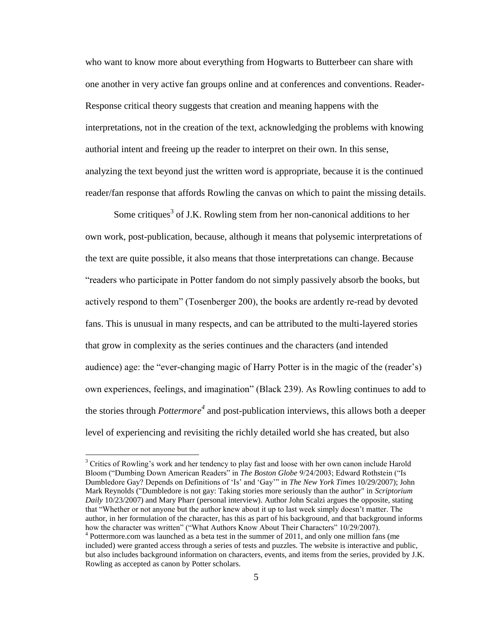who want to know more about everything from Hogwarts to Butterbeer can share with one another in very active fan groups online and at conferences and conventions. Reader-Response critical theory suggests that creation and meaning happens with the interpretations, not in the creation of the text, acknowledging the problems with knowing authorial intent and freeing up the reader to interpret on their own. In this sense, analyzing the text beyond just the written word is appropriate, because it is the continued reader/fan response that affords Rowling the canvas on which to paint the missing details.

Some critiques<sup>3</sup> of J.K. Rowling stem from her non-canonical additions to her own work, post-publication, because, although it means that polysemic interpretations of the text are quite possible, it also means that those interpretations can change. Because "readers who participate in Potter fandom do not simply passively absorb the books, but actively respond to them" (Tosenberger 200), the books are ardently re-read by devoted fans. This is unusual in many respects, and can be attributed to the multi-layered stories that grow in complexity as the series continues and the characters (and intended audience) age: the "ever-changing magic of Harry Potter is in the magic of the (reader's) own experiences, feelings, and imagination" (Black 239). As Rowling continues to add to the stories through *Pottermore<sup>4</sup>* and post-publication interviews, this allows both a deeper level of experiencing and revisiting the richly detailed world she has created, but also

<sup>&</sup>lt;sup>3</sup> Critics of Rowling's work and her tendency to play fast and loose with her own canon include Harold Bloom ("Dumbing Down American Readers" in *The Boston Globe* 9/24/2003; Edward Rothstein ("Is Dumbledore Gay? Depends on Definitions of 'Is' and 'Gay'" in *The New York Times* 10/29/2007); John Mark Reynolds ("Dumbledore is not gay: Taking stories more seriously than the author" in *Scriptorium Daily* 10/23/2007) and Mary Pharr (personal interview). Author John Scalzi argues the opposite, stating that "Whether or not anyone but the author knew about it up to last week simply doesn't matter. The author, in her formulation of the character, has this as part of his background, and that background informs how the character was written" ("What Authors Know About Their Characters" 10/29/2007). <sup>4</sup> Pottermore.com was launched as a beta test in the summer of 2011, and only one million fans (me included) were granted access through a series of tests and puzzles. The website is interactive and public, but also includes background information on characters, events, and items from the series, provided by J.K. Rowling as accepted as canon by Potter scholars.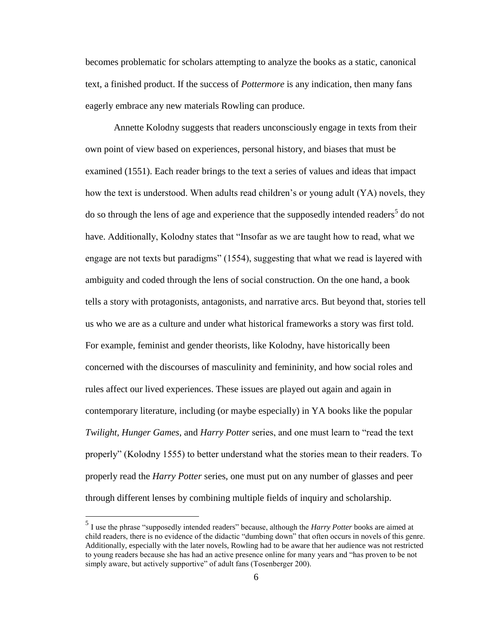becomes problematic for scholars attempting to analyze the books as a static, canonical text, a finished product. If the success of *Pottermore* is any indication, then many fans eagerly embrace any new materials Rowling can produce.

Annette Kolodny suggests that readers unconsciously engage in texts from their own point of view based on experiences, personal history, and biases that must be examined (1551). Each reader brings to the text a series of values and ideas that impact how the text is understood. When adults read children's or young adult (YA) novels, they do so through the lens of age and experience that the supposedly intended readers<sup>5</sup> do not have. Additionally, Kolodny states that "Insofar as we are taught how to read, what we engage are not texts but paradigms" (1554), suggesting that what we read is layered with ambiguity and coded through the lens of social construction. On the one hand, a book tells a story with protagonists, antagonists, and narrative arcs. But beyond that, stories tell us who we are as a culture and under what historical frameworks a story was first told. For example, feminist and gender theorists, like Kolodny, have historically been concerned with the discourses of masculinity and femininity, and how social roles and rules affect our lived experiences. These issues are played out again and again in contemporary literature, including (or maybe especially) in YA books like the popular *Twilight, Hunger Games*, and *Harry Potter* series, and one must learn to "read the text properly" (Kolodny 1555) to better understand what the stories mean to their readers. To properly read the *Harry Potter* series, one must put on any number of glasses and peer through different lenses by combining multiple fields of inquiry and scholarship.

 5 I use the phrase "supposedly intended readers" because, although the *Harry Potter* books are aimed at child readers, there is no evidence of the didactic "dumbing down" that often occurs in novels of this genre. Additionally, especially with the later novels, Rowling had to be aware that her audience was not restricted to young readers because she has had an active presence online for many years and "has proven to be not simply aware, but actively supportive" of adult fans (Tosenberger 200).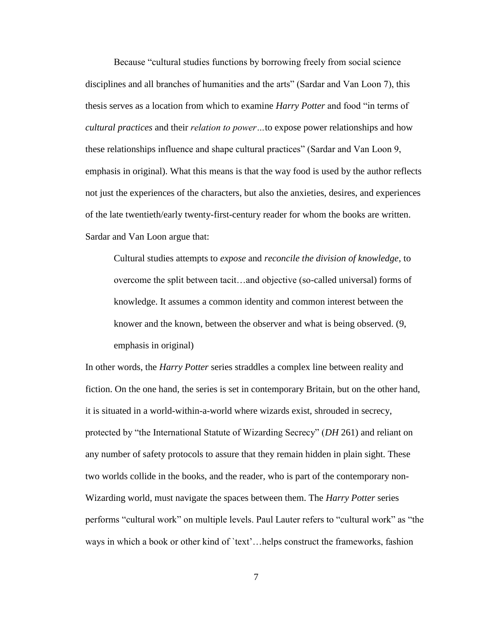Because "cultural studies functions by borrowing freely from social science disciplines and all branches of humanities and the arts" (Sardar and Van Loon 7), this thesis serves as a location from which to examine *Harry Potter* and food "in terms of *cultural practices* and their *relation to power…*to expose power relationships and how these relationships influence and shape cultural practices" (Sardar and Van Loon 9, emphasis in original). What this means is that the way food is used by the author reflects not just the experiences of the characters, but also the anxieties, desires, and experiences of the late twentieth/early twenty-first-century reader for whom the books are written. Sardar and Van Loon argue that:

Cultural studies attempts to *expose* and *reconcile the division of knowledge*, to overcome the split between tacit…and objective (so-called universal) forms of knowledge. It assumes a common identity and common interest between the knower and the known, between the observer and what is being observed. (9, emphasis in original)

In other words, the *Harry Potter* series straddles a complex line between reality and fiction. On the one hand, the series is set in contemporary Britain, but on the other hand, it is situated in a world-within-a-world where wizards exist, shrouded in secrecy, protected by "the International Statute of Wizarding Secrecy" (*DH* 261) and reliant on any number of safety protocols to assure that they remain hidden in plain sight. These two worlds collide in the books, and the reader, who is part of the contemporary non-Wizarding world, must navigate the spaces between them. The *Harry Potter* series performs "cultural work" on multiple levels. Paul Lauter refers to "cultural work" as "the ways in which a book or other kind of `text'...helps construct the frameworks, fashion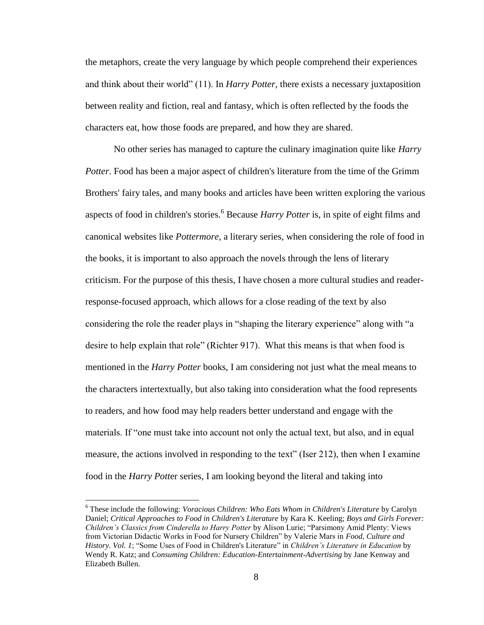the metaphors, create the very language by which people comprehend their experiences and think about their world" (11). In *Harry Potter*, there exists a necessary juxtaposition between reality and fiction, real and fantasy, which is often reflected by the foods the characters eat, how those foods are prepared, and how they are shared.

No other series has managed to capture the culinary imagination quite like *Harry Potter*. Food has been a major aspect of children's literature from the time of the Grimm Brothers' fairy tales, and many books and articles have been written exploring the various aspects of food in children's stories.<sup>6</sup> Because *Harry Potter* is, in spite of eight films and canonical websites like *Pottermore*, a literary series, when considering the role of food in the books, it is important to also approach the novels through the lens of literary criticism. For the purpose of this thesis, I have chosen a more cultural studies and readerresponse-focused approach, which allows for a close reading of the text by also considering the role the reader plays in "shaping the literary experience" along with "a desire to help explain that role" (Richter 917). What this means is that when food is mentioned in the *Harry Potter* books, I am considering not just what the meal means to the characters intertextually, but also taking into consideration what the food represents to readers, and how food may help readers better understand and engage with the materials. If "one must take into account not only the actual text, but also, and in equal measure, the actions involved in responding to the text" (Iser 212), then when I examine food in the *Harry Pott*er series, I am looking beyond the literal and taking into

<sup>6</sup> These include the following: *Voracious Children: Who Eats Whom in Children's Literature* by Carolyn Daniel; *Critical Approaches to Food in Children's Literature* by Kara K. Keeling; *Boys and Girls Forever: Children's Classics from Cinderella to Harry Potter* by Alison Lurie; "Parsimony Amid Plenty: Views from Victorian Didactic Works in Food for Nursery Children" by Valerie Mars in *Food, Culture and History. Vol. 1*; "Some Uses of Food in Children's Literature" in *Children's Literature in Education* by Wendy R. Katz; and *Consuming Children: Education-Entertainment-Advertising* by Jane Kenway and Elizabeth Bullen.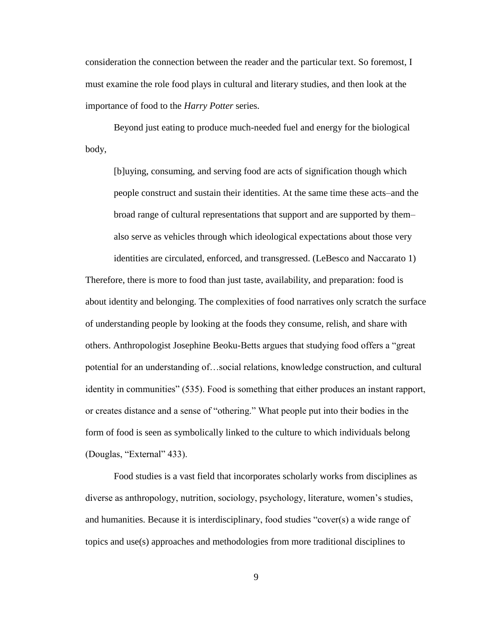consideration the connection between the reader and the particular text. So foremost, I must examine the role food plays in cultural and literary studies, and then look at the importance of food to the *Harry Potter* series.

Beyond just eating to produce much-needed fuel and energy for the biological body,

[b]uying, consuming, and serving food are acts of signification though which people construct and sustain their identities. At the same time these acts–and the broad range of cultural representations that support and are supported by them– also serve as vehicles through which ideological expectations about those very identities are circulated, enforced, and transgressed. (LeBesco and Naccarato 1)

Therefore, there is more to food than just taste, availability, and preparation: food is about identity and belonging. The complexities of food narratives only scratch the surface of understanding people by looking at the foods they consume, relish, and share with others. Anthropologist Josephine Beoku-Betts argues that studying food offers a "great potential for an understanding of…social relations, knowledge construction, and cultural identity in communities" (535). Food is something that either produces an instant rapport, or creates distance and a sense of "othering." What people put into their bodies in the form of food is seen as symbolically linked to the culture to which individuals belong (Douglas, "External" 433).

Food studies is a vast field that incorporates scholarly works from disciplines as diverse as anthropology, nutrition, sociology, psychology, literature, women's studies, and humanities. Because it is interdisciplinary, food studies "cover(s) a wide range of topics and use(s) approaches and methodologies from more traditional disciplines to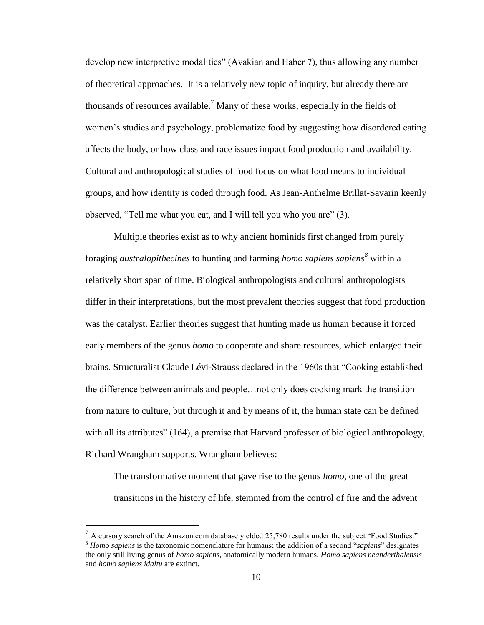develop new interpretive modalities" (Avakian and Haber 7), thus allowing any number of theoretical approaches. It is a relatively new topic of inquiry, but already there are thousands of resources available.<sup>7</sup> Many of these works, especially in the fields of women's studies and psychology, problematize food by suggesting how disordered eating affects the body, or how class and race issues impact food production and availability. Cultural and anthropological studies of food focus on what food means to individual groups, and how identity is coded through food. As Jean-Anthelme Brillat-Savarin keenly observed, "Tell me what you eat, and I will tell you who you are" (3).

Multiple theories exist as to why ancient hominids first changed from purely foraging *australopithecines* to hunting and farming *homo sapiens sapiens<sup>8</sup>* within a relatively short span of time. Biological anthropologists and cultural anthropologists differ in their interpretations, but the most prevalent theories suggest that food production was the catalyst. Earlier theories suggest that hunting made us human because it forced early members of the genus *homo* to cooperate and share resources, which enlarged their brains. Structuralist Claude Lévi-Strauss declared in the 1960s that "Cooking established the difference between animals and people…not only does cooking mark the transition from nature to culture, but through it and by means of it, the human state can be defined with all its attributes" (164), a premise that Harvard professor of biological anthropology, Richard Wrangham supports. Wrangham believes:

The transformative moment that gave rise to the genus *homo*, one of the great transitions in the history of life, stemmed from the control of fire and the advent

<sup>&</sup>lt;sup>7</sup> A cursory search of the Amazon.com database yielded 25,780 results under the subject "Food Studies." <sup>8</sup> *Homo sapiens* is the taxonomic nomenclature for humans; the addition of a second "*sapiens*" designates the only still living genus of *homo sapiens*, anatomically modern humans. *Homo sapiens neanderthalensis* and *homo sapiens idaltu* are extinct.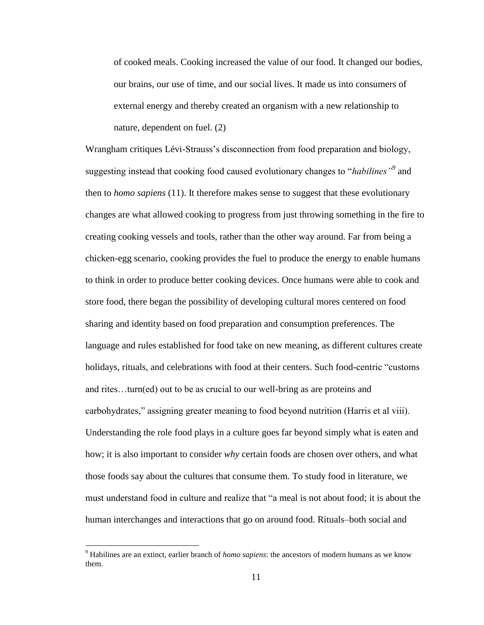of cooked meals. Cooking increased the value of our food. It changed our bodies, our brains, our use of time, and our social lives. It made us into consumers of external energy and thereby created an organism with a new relationship to nature, dependent on fuel. (2)

Wrangham critiques Lévi-Strauss's disconnection from food preparation and biology, suggesting instead that cooking food caused evolutionary changes to "*habilines"<sup>9</sup>* and then to *homo sapiens* (11). It therefore makes sense to suggest that these evolutionary changes are what allowed cooking to progress from just throwing something in the fire to creating cooking vessels and tools, rather than the other way around. Far from being a chicken-egg scenario, cooking provides the fuel to produce the energy to enable humans to think in order to produce better cooking devices. Once humans were able to cook and store food, there began the possibility of developing cultural mores centered on food sharing and identity based on food preparation and consumption preferences. The language and rules established for food take on new meaning, as different cultures create holidays, rituals, and celebrations with food at their centers. Such food-centric "customs and rites…turn(ed) out to be as crucial to our well-bring as are proteins and carbohydrates," assigning greater meaning to food beyond nutrition (Harris et al viii). Understanding the role food plays in a culture goes far beyond simply what is eaten and how; it is also important to consider *why* certain foods are chosen over others, and what those foods say about the cultures that consume them. To study food in literature, we must understand food in culture and realize that "a meal is not about food; it is about the human interchanges and interactions that go on around food. Rituals–both social and

<sup>9</sup> Habilines are an extinct, earlier branch of *homo sapiens*: the ancestors of modern humans as we know them.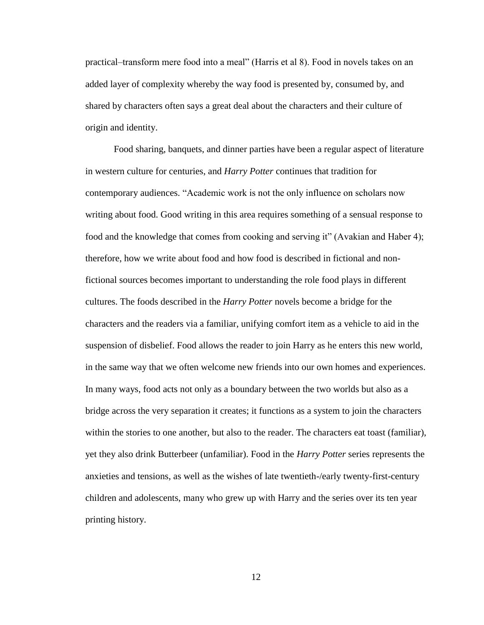practical–transform mere food into a meal" (Harris et al 8). Food in novels takes on an added layer of complexity whereby the way food is presented by, consumed by, and shared by characters often says a great deal about the characters and their culture of origin and identity.

Food sharing, banquets, and dinner parties have been a regular aspect of literature in western culture for centuries, and *Harry Potter* continues that tradition for contemporary audiences. "Academic work is not the only influence on scholars now writing about food. Good writing in this area requires something of a sensual response to food and the knowledge that comes from cooking and serving it" (Avakian and Haber 4); therefore, how we write about food and how food is described in fictional and nonfictional sources becomes important to understanding the role food plays in different cultures. The foods described in the *Harry Potter* novels become a bridge for the characters and the readers via a familiar, unifying comfort item as a vehicle to aid in the suspension of disbelief. Food allows the reader to join Harry as he enters this new world, in the same way that we often welcome new friends into our own homes and experiences. In many ways, food acts not only as a boundary between the two worlds but also as a bridge across the very separation it creates; it functions as a system to join the characters within the stories to one another, but also to the reader. The characters eat toast (familiar), yet they also drink Butterbeer (unfamiliar). Food in the *Harry Potter* series represents the anxieties and tensions, as well as the wishes of late twentieth-/early twenty-first-century children and adolescents, many who grew up with Harry and the series over its ten year printing history.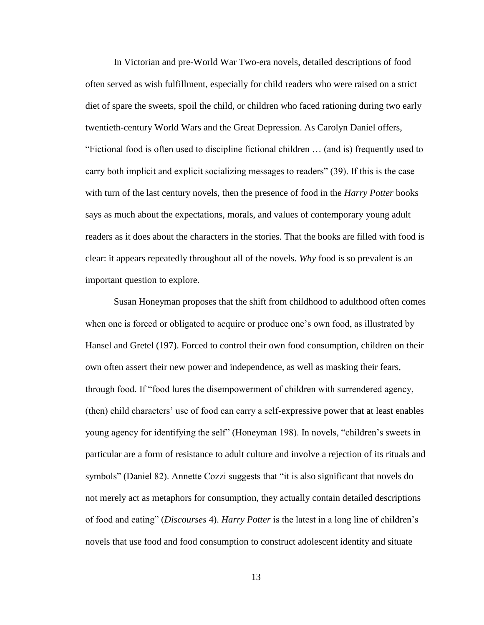In Victorian and pre-World War Two-era novels, detailed descriptions of food often served as wish fulfillment, especially for child readers who were raised on a strict diet of spare the sweets, spoil the child, or children who faced rationing during two early twentieth-century World Wars and the Great Depression. As Carolyn Daniel offers, "Fictional food is often used to discipline fictional children … (and is) frequently used to carry both implicit and explicit socializing messages to readers" (39). If this is the case with turn of the last century novels, then the presence of food in the *Harry Potter* books says as much about the expectations, morals, and values of contemporary young adult readers as it does about the characters in the stories. That the books are filled with food is clear: it appears repeatedly throughout all of the novels. *Why* food is so prevalent is an important question to explore.

Susan Honeyman proposes that the shift from childhood to adulthood often comes when one is forced or obligated to acquire or produce one's own food, as illustrated by Hansel and Gretel (197). Forced to control their own food consumption, children on their own often assert their new power and independence, as well as masking their fears, through food. If "food lures the disempowerment of children with surrendered agency, (then) child characters' use of food can carry a self-expressive power that at least enables young agency for identifying the self" (Honeyman 198). In novels, "children's sweets in particular are a form of resistance to adult culture and involve a rejection of its rituals and symbols" (Daniel 82). Annette Cozzi suggests that "it is also significant that novels do not merely act as metaphors for consumption, they actually contain detailed descriptions of food and eating" (*Discourses* 4). *Harry Potter* is the latest in a long line of children's novels that use food and food consumption to construct adolescent identity and situate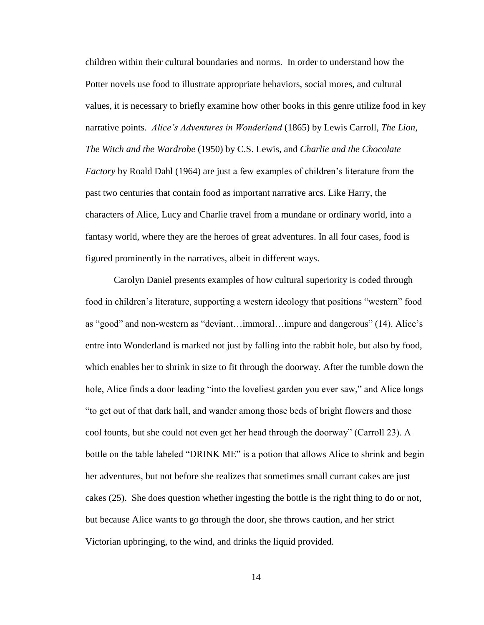children within their cultural boundaries and norms. In order to understand how the Potter novels use food to illustrate appropriate behaviors, social mores, and cultural values, it is necessary to briefly examine how other books in this genre utilize food in key narrative points. *Alice's Adventures in Wonderland* (1865) by Lewis Carroll*, The Lion, The Witch and the Wardrobe* (1950) by C.S. Lewis, and *Charlie and the Chocolate Factory* by Roald Dahl (1964) are just a few examples of children's literature from the past two centuries that contain food as important narrative arcs. Like Harry, the characters of Alice, Lucy and Charlie travel from a mundane or ordinary world, into a fantasy world, where they are the heroes of great adventures. In all four cases, food is figured prominently in the narratives, albeit in different ways.

Carolyn Daniel presents examples of how cultural superiority is coded through food in children's literature, supporting a western ideology that positions "western" food as "good" and non-western as "deviant…immoral…impure and dangerous" (14). Alice's entre into Wonderland is marked not just by falling into the rabbit hole, but also by food, which enables her to shrink in size to fit through the doorway. After the tumble down the hole, Alice finds a door leading "into the loveliest garden you ever saw," and Alice longs "to get out of that dark hall, and wander among those beds of bright flowers and those cool founts, but she could not even get her head through the doorway" (Carroll 23). A bottle on the table labeled "DRINK ME" is a potion that allows Alice to shrink and begin her adventures, but not before she realizes that sometimes small currant cakes are just cakes (25). She does question whether ingesting the bottle is the right thing to do or not, but because Alice wants to go through the door, she throws caution, and her strict Victorian upbringing, to the wind, and drinks the liquid provided.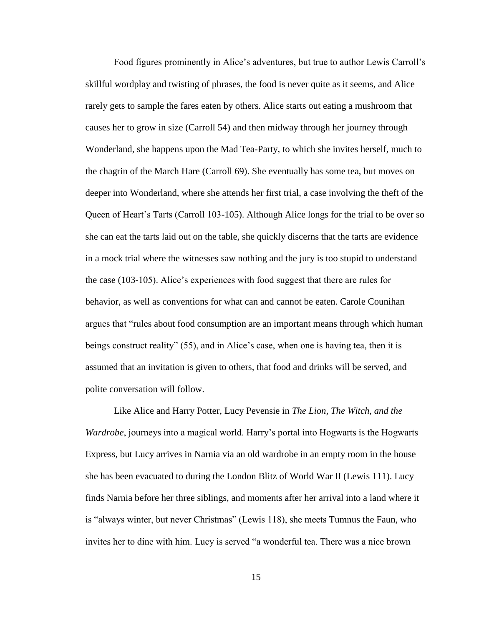Food figures prominently in Alice's adventures, but true to author Lewis Carroll's skillful wordplay and twisting of phrases, the food is never quite as it seems, and Alice rarely gets to sample the fares eaten by others. Alice starts out eating a mushroom that causes her to grow in size (Carroll 54) and then midway through her journey through Wonderland, she happens upon the Mad Tea-Party, to which she invites herself, much to the chagrin of the March Hare (Carroll 69). She eventually has some tea, but moves on deeper into Wonderland, where she attends her first trial, a case involving the theft of the Queen of Heart's Tarts (Carroll 103-105). Although Alice longs for the trial to be over so she can eat the tarts laid out on the table, she quickly discerns that the tarts are evidence in a mock trial where the witnesses saw nothing and the jury is too stupid to understand the case (103-105). Alice's experiences with food suggest that there are rules for behavior, as well as conventions for what can and cannot be eaten. Carole Counihan argues that "rules about food consumption are an important means through which human beings construct reality" (55), and in Alice's case, when one is having tea, then it is assumed that an invitation is given to others, that food and drinks will be served, and polite conversation will follow.

Like Alice and Harry Potter, Lucy Pevensie in *The Lion, The Witch, and the Wardrobe*, journeys into a magical world. Harry's portal into Hogwarts is the Hogwarts Express, but Lucy arrives in Narnia via an old wardrobe in an empty room in the house she has been evacuated to during the London Blitz of World War II (Lewis 111). Lucy finds Narnia before her three siblings, and moments after her arrival into a land where it is "always winter, but never Christmas" (Lewis 118), she meets Tumnus the Faun, who invites her to dine with him. Lucy is served "a wonderful tea. There was a nice brown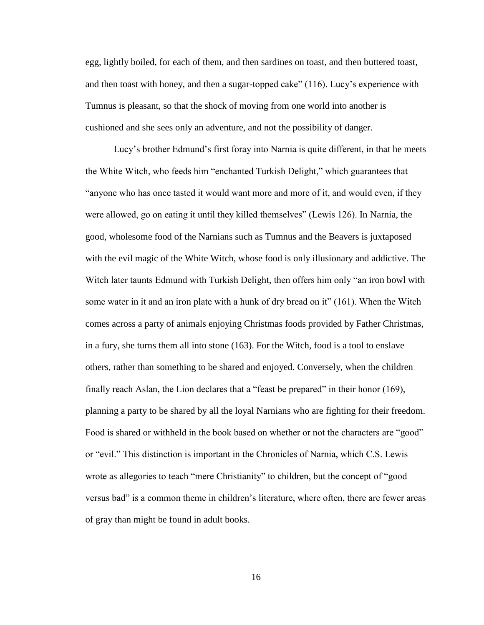egg, lightly boiled, for each of them, and then sardines on toast, and then buttered toast, and then toast with honey, and then a sugar-topped cake" (116). Lucy's experience with Tumnus is pleasant, so that the shock of moving from one world into another is cushioned and she sees only an adventure, and not the possibility of danger.

Lucy's brother Edmund's first foray into Narnia is quite different, in that he meets the White Witch, who feeds him "enchanted Turkish Delight," which guarantees that "anyone who has once tasted it would want more and more of it, and would even, if they were allowed, go on eating it until they killed themselves" (Lewis 126). In Narnia, the good, wholesome food of the Narnians such as Tumnus and the Beavers is juxtaposed with the evil magic of the White Witch, whose food is only illusionary and addictive. The Witch later taunts Edmund with Turkish Delight, then offers him only "an iron bowl with some water in it and an iron plate with a hunk of dry bread on it" (161). When the Witch comes across a party of animals enjoying Christmas foods provided by Father Christmas, in a fury, she turns them all into stone (163). For the Witch, food is a tool to enslave others, rather than something to be shared and enjoyed. Conversely, when the children finally reach Aslan, the Lion declares that a "feast be prepared" in their honor (169), planning a party to be shared by all the loyal Narnians who are fighting for their freedom. Food is shared or withheld in the book based on whether or not the characters are "good" or "evil." This distinction is important in the Chronicles of Narnia, which C.S. Lewis wrote as allegories to teach "mere Christianity" to children, but the concept of "good versus bad" is a common theme in children's literature, where often, there are fewer areas of gray than might be found in adult books.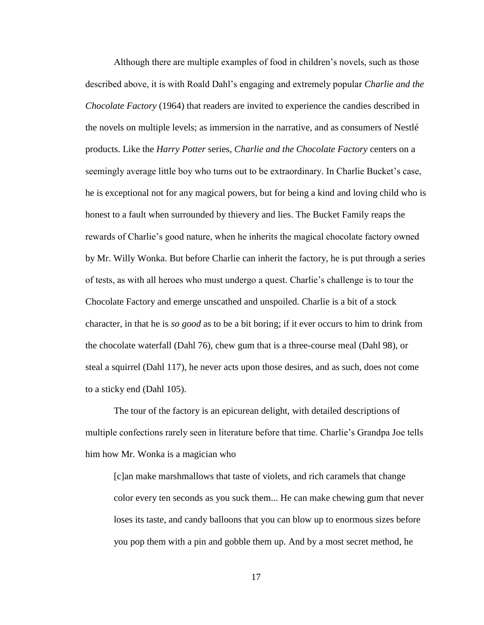Although there are multiple examples of food in children's novels, such as those described above, it is with Roald Dahl's engaging and extremely popular *Charlie and the Chocolate Factory* (1964) that readers are invited to experience the candies described in the novels on multiple levels; as immersion in the narrative, and as consumers of Nestlé products. Like the *Harry Potter* series, *Charlie and the Chocolate Factory* centers on a seemingly average little boy who turns out to be extraordinary. In Charlie Bucket's case, he is exceptional not for any magical powers, but for being a kind and loving child who is honest to a fault when surrounded by thievery and lies. The Bucket Family reaps the rewards of Charlie's good nature, when he inherits the magical chocolate factory owned by Mr. Willy Wonka. But before Charlie can inherit the factory, he is put through a series of tests, as with all heroes who must undergo a quest. Charlie's challenge is to tour the Chocolate Factory and emerge unscathed and unspoiled. Charlie is a bit of a stock character, in that he is *so good* as to be a bit boring; if it ever occurs to him to drink from the chocolate waterfall (Dahl 76), chew gum that is a three-course meal (Dahl 98), or steal a squirrel (Dahl 117), he never acts upon those desires, and as such, does not come to a sticky end (Dahl 105).

The tour of the factory is an epicurean delight, with detailed descriptions of multiple confections rarely seen in literature before that time. Charlie's Grandpa Joe tells him how Mr. Wonka is a magician who

[c]an make marshmallows that taste of violets, and rich caramels that change color every ten seconds as you suck them... He can make chewing gum that never loses its taste, and candy balloons that you can blow up to enormous sizes before you pop them with a pin and gobble them up. And by a most secret method, he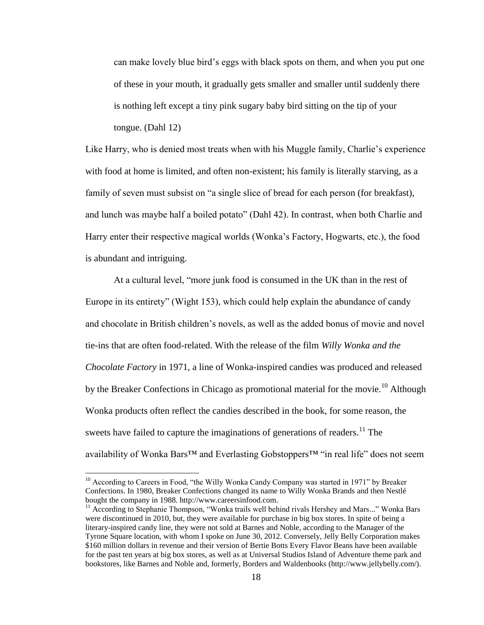can make lovely blue bird's eggs with black spots on them, and when you put one of these in your mouth, it gradually gets smaller and smaller until suddenly there is nothing left except a tiny pink sugary baby bird sitting on the tip of your tongue. (Dahl 12)

Like Harry, who is denied most treats when with his Muggle family, Charlie's experience with food at home is limited, and often non-existent; his family is literally starving, as a family of seven must subsist on "a single slice of bread for each person (for breakfast), and lunch was maybe half a boiled potato" (Dahl 42). In contrast, when both Charlie and Harry enter their respective magical worlds (Wonka's Factory, Hogwarts, etc.), the food is abundant and intriguing.

At a cultural level, "more junk food is consumed in the UK than in the rest of Europe in its entirety" (Wight 153), which could help explain the abundance of candy and chocolate in British children's novels, as well as the added bonus of movie and novel tie-ins that are often food-related. With the release of the film *Willy Wonka and the Chocolate Factory* in 1971, a line of Wonka-inspired candies was produced and released by the Breaker Confections in Chicago as promotional material for the movie.<sup>10</sup> Although Wonka products often reflect the candies described in the book, for some reason, the sweets have failed to capture the imaginations of generations of readers.<sup>11</sup> The availability of Wonka Bars<sup>™</sup> and Everlasting Gobstoppers™ "in real life" does not seem

<sup>&</sup>lt;sup>10</sup> According to Careers in Food, "the Willy Wonka Candy Company was started in 1971" by Breaker Confections. In 1980, Breaker Confections changed its name to Willy Wonka Brands and then Nestlé bought the company in 1988. http://www.careersinfood.com.

 $11$  According to Stephanie Thompson, "Wonka trails well behind rivals Hershey and Mars..." Wonka Bars were discontinued in 2010, but, they were available for purchase in big box stores. In spite of being a literary-inspired candy line, they were not sold at Barnes and Noble, according to the Manager of the Tyrone Square location, with whom I spoke on June 30, 2012. Conversely, Jelly Belly Corporation makes \$160 million dollars in revenue and their version of Bertie Botts Every Flavor Beans have been available for the past ten years at big box stores, as well as at Universal Studios Island of Adventure theme park and bookstores, like Barnes and Noble and, formerly, Borders and Waldenbooks (http://www.jellybelly.com/).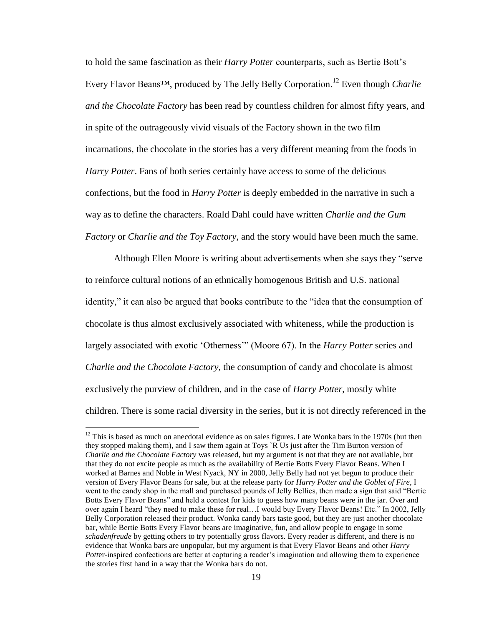to hold the same fascination as their *Harry Potter* counterparts, such as Bertie Bott's Every Flavor Beans™, produced by The Jelly Belly Corporation.<sup>12</sup> Even though *Charlie and the Chocolate Factory* has been read by countless children for almost fifty years, and in spite of the outrageously vivid visuals of the Factory shown in the two film incarnations, the chocolate in the stories has a very different meaning from the foods in *Harry Potter*. Fans of both series certainly have access to some of the delicious confections, but the food in *Harry Potter* is deeply embedded in the narrative in such a way as to define the characters. Roald Dahl could have written *Charlie and the Gum Factory* or *Charlie and the Toy Factory*, and the story would have been much the same.

Although Ellen Moore is writing about advertisements when she says they "serve to reinforce cultural notions of an ethnically homogenous British and U.S. national identity," it can also be argued that books contribute to the "idea that the consumption of chocolate is thus almost exclusively associated with whiteness, while the production is largely associated with exotic 'Otherness'" (Moore 67). In the *Harry Potter* series and *Charlie and the Chocolate Factory*, the consumption of candy and chocolate is almost exclusively the purview of children, and in the case of *Harry Potter*, mostly white children. There is some racial diversity in the series, but it is not directly referenced in the

 $12$  This is based as much on anecdotal evidence as on sales figures. I ate Wonka bars in the 1970s (but then they stopped making them), and I saw them again at Toys `R Us just after the Tim Burton version of *Charlie and the Chocolate Factory* was released, but my argument is not that they are not available, but that they do not excite people as much as the availability of Bertie Botts Every Flavor Beans. When I worked at Barnes and Noble in West Nyack, NY in 2000, Jelly Belly had not yet begun to produce their version of Every Flavor Beans for sale, but at the release party for *Harry Potter and the Goblet of Fire*, I went to the candy shop in the mall and purchased pounds of Jelly Bellies, then made a sign that said "Bertie Botts Every Flavor Beans" and held a contest for kids to guess how many beans were in the jar. Over and over again I heard "they need to make these for real…I would buy Every Flavor Beans! Etc." In 2002, Jelly Belly Corporation released their product. Wonka candy bars taste good, but they are just another chocolate bar, while Bertie Botts Every Flavor beans are imaginative, fun, and allow people to engage in some *schadenfreude* by getting others to try potentially gross flavors. Every reader is different, and there is no evidence that Wonka bars are unpopular, but my argument is that Every Flavor Beans and other *Harry Potter*-inspired confections are better at capturing a reader's imagination and allowing them to experience the stories first hand in a way that the Wonka bars do not.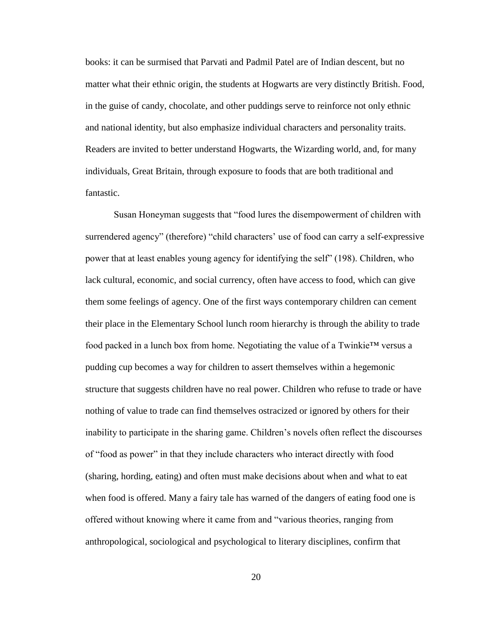books: it can be surmised that Parvati and Padmil Patel are of Indian descent, but no matter what their ethnic origin, the students at Hogwarts are very distinctly British. Food, in the guise of candy, chocolate, and other puddings serve to reinforce not only ethnic and national identity, but also emphasize individual characters and personality traits. Readers are invited to better understand Hogwarts, the Wizarding world, and, for many individuals, Great Britain, through exposure to foods that are both traditional and fantastic.

Susan Honeyman suggests that "food lures the disempowerment of children with surrendered agency" (therefore) "child characters' use of food can carry a self-expressive power that at least enables young agency for identifying the self" (198). Children, who lack cultural, economic, and social currency, often have access to food, which can give them some feelings of agency. One of the first ways contemporary children can cement their place in the Elementary School lunch room hierarchy is through the ability to trade food packed in a lunch box from home. Negotiating the value of a Twinkie<sup>TM</sup> versus a pudding cup becomes a way for children to assert themselves within a hegemonic structure that suggests children have no real power. Children who refuse to trade or have nothing of value to trade can find themselves ostracized or ignored by others for their inability to participate in the sharing game. Children's novels often reflect the discourses of "food as power" in that they include characters who interact directly with food (sharing, hording, eating) and often must make decisions about when and what to eat when food is offered. Many a fairy tale has warned of the dangers of eating food one is offered without knowing where it came from and "various theories, ranging from anthropological, sociological and psychological to literary disciplines, confirm that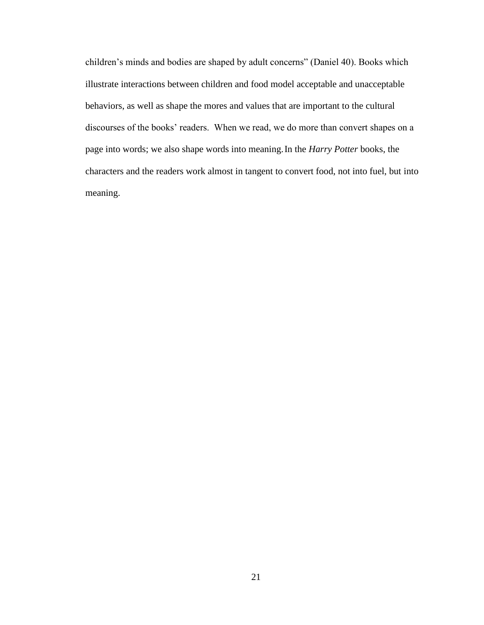children's minds and bodies are shaped by adult concerns" (Daniel 40). Books which illustrate interactions between children and food model acceptable and unacceptable behaviors, as well as shape the mores and values that are important to the cultural discourses of the books' readers. When we read, we do more than convert shapes on a page into words; we also shape words into meaning.In the *Harry Potter* books, the characters and the readers work almost in tangent to convert food, not into fuel, but into meaning.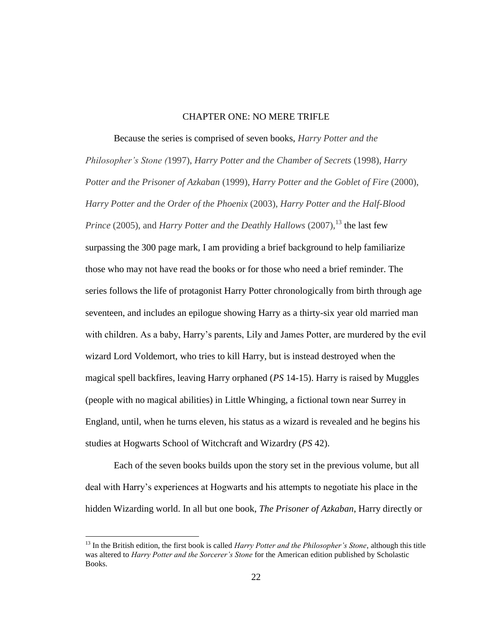#### CHAPTER ONE: NO MERE TRIFLE

Because the series is comprised of seven books, *Harry Potter and the Philosopher's Stone (*1997), *Harry Potter and the Chamber of Secrets* (1998), *Harry Potter and the Prisoner of Azkaban* (1999), *Harry Potter and the Goblet of Fire* (2000), *Harry Potter and the Order of the Phoenix* (2003), *Harry Potter and the Half-Blood Prince* (2005), and *Harry Potter and the Deathly Hallows* (2007),<sup>13</sup> the last few surpassing the 300 page mark, I am providing a brief background to help familiarize those who may not have read the books or for those who need a brief reminder. The series follows the life of protagonist Harry Potter chronologically from birth through age seventeen, and includes an epilogue showing Harry as a thirty-six year old married man with children. As a baby, Harry's parents, Lily and James Potter, are murdered by the evil wizard Lord Voldemort, who tries to kill Harry, but is instead destroyed when the magical spell backfires, leaving Harry orphaned (*PS* 14-15). Harry is raised by Muggles (people with no magical abilities) in Little Whinging, a fictional town near Surrey in England, until, when he turns eleven, his status as a wizard is revealed and he begins his studies at Hogwarts School of Witchcraft and Wizardry (*PS* 42).

Each of the seven books builds upon the story set in the previous volume, but all deal with Harry's experiences at Hogwarts and his attempts to negotiate his place in the hidden Wizarding world. In all but one book, *The Prisoner of Azkaban*, Harry directly or

<sup>&</sup>lt;sup>13</sup> In the British edition, the first book is called *Harry Potter and the Philosopher's Stone*, although this title was altered to *Harry Potter and the Sorcerer's Stone* for the American edition published by Scholastic Books.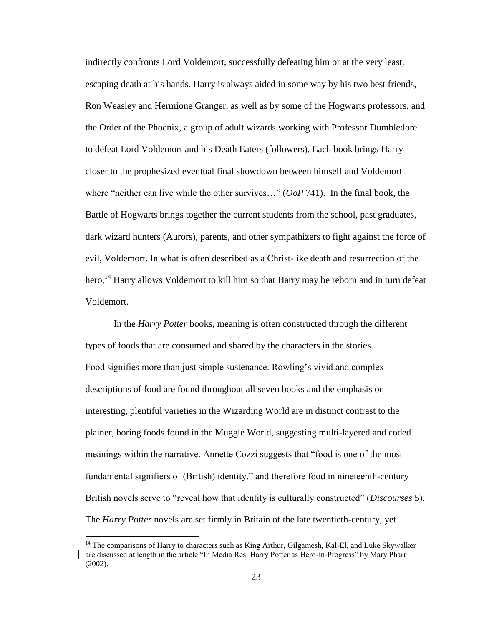indirectly confronts Lord Voldemort, successfully defeating him or at the very least, escaping death at his hands. Harry is always aided in some way by his two best friends, Ron Weasley and Hermione Granger, as well as by some of the Hogwarts professors, and the Order of the Phoenix, a group of adult wizards working with Professor Dumbledore to defeat Lord Voldemort and his Death Eaters (followers). Each book brings Harry closer to the prophesized eventual final showdown between himself and Voldemort where "neither can live while the other survives…" (*OoP* 741). In the final book, the Battle of Hogwarts brings together the current students from the school, past graduates, dark wizard hunters (Aurors), parents, and other sympathizers to fight against the force of evil, Voldemort. In what is often described as a Christ-like death and resurrection of the hero,<sup>14</sup> Harry allows Voldemort to kill him so that Harry may be reborn and in turn defeat Voldemort.

In the *Harry Potter* books, meaning is often constructed through the different types of foods that are consumed and shared by the characters in the stories. Food signifies more than just simple sustenance. Rowling's vivid and complex descriptions of food are found throughout all seven books and the emphasis on interesting, plentiful varieties in the Wizarding World are in distinct contrast to the plainer, boring foods found in the Muggle World, suggesting multi-layered and coded meanings within the narrative. Annette Cozzi suggests that "food is one of the most fundamental signifiers of (British) identity," and therefore food in nineteenth-century British novels serve to "reveal how that identity is culturally constructed" (*Discourses* 5). The *Harry Potter* novels are set firmly in Britain of the late twentieth-century, yet

<sup>&</sup>lt;sup>14</sup> The comparisons of Harry to characters such as King Arthur, Gilgamesh, Kal-El, and Luke Skywalker are discussed at length in the article "In Media Res: Harry Potter as Hero-in-Progress" by Mary Pharr (2002).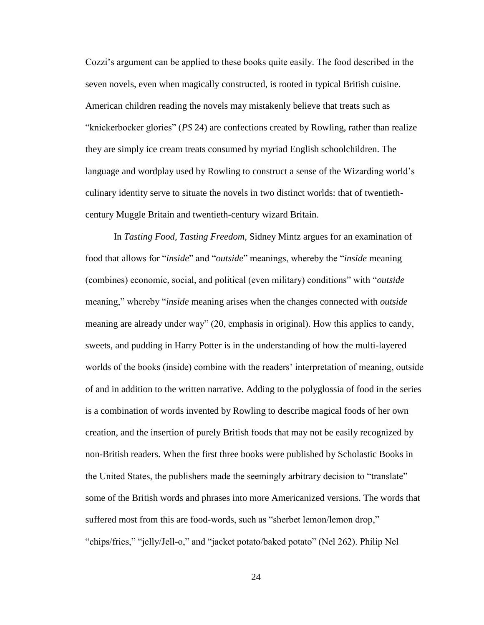Cozzi's argument can be applied to these books quite easily. The food described in the seven novels, even when magically constructed, is rooted in typical British cuisine. American children reading the novels may mistakenly believe that treats such as "knickerbocker glories" (*PS* 24) are confections created by Rowling, rather than realize they are simply ice cream treats consumed by myriad English schoolchildren. The language and wordplay used by Rowling to construct a sense of the Wizarding world's culinary identity serve to situate the novels in two distinct worlds: that of twentiethcentury Muggle Britain and twentieth-century wizard Britain.

In *Tasting Food, Tasting Freedom*, Sidney Mintz argues for an examination of food that allows for "*inside*" and "*outside*" meanings, whereby the "*inside* meaning (combines) economic, social, and political (even military) conditions" with "*outside*  meaning," whereby "*inside* meaning arises when the changes connected with *outside*  meaning are already under way" (20, emphasis in original). How this applies to candy, sweets, and pudding in Harry Potter is in the understanding of how the multi-layered worlds of the books (inside) combine with the readers' interpretation of meaning, outside of and in addition to the written narrative. Adding to the polyglossia of food in the series is a combination of words invented by Rowling to describe magical foods of her own creation, and the insertion of purely British foods that may not be easily recognized by non-British readers. When the first three books were published by Scholastic Books in the United States, the publishers made the seemingly arbitrary decision to "translate" some of the British words and phrases into more Americanized versions. The words that suffered most from this are food-words, such as "sherbet lemon/lemon drop," "chips/fries," "jelly/Jell-o," and "jacket potato/baked potato" (Nel 262). Philip Nel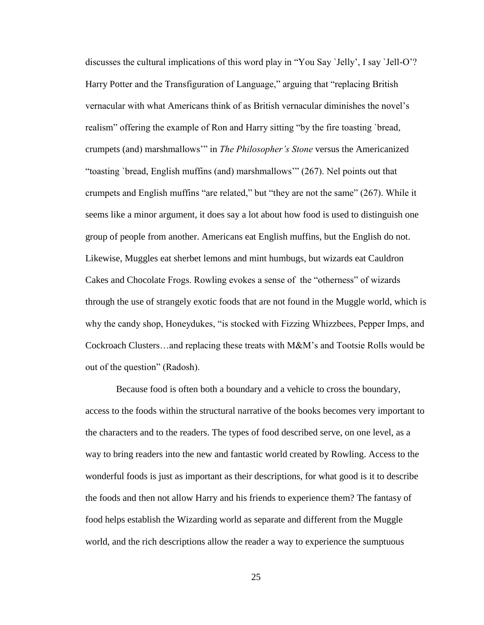discusses the cultural implications of this word play in "You Say `Jelly', I say `Jell-O'? Harry Potter and the Transfiguration of Language," arguing that "replacing British vernacular with what Americans think of as British vernacular diminishes the novel's realism" offering the example of Ron and Harry sitting "by the fire toasting `bread, crumpets (and) marshmallows'" in *The Philosopher's Stone* versus the Americanized "toasting `bread, English muffins (and) marshmallows'" (267). Nel points out that crumpets and English muffins "are related," but "they are not the same" (267). While it seems like a minor argument, it does say a lot about how food is used to distinguish one group of people from another. Americans eat English muffins, but the English do not. Likewise, Muggles eat sherbet lemons and mint humbugs, but wizards eat Cauldron Cakes and Chocolate Frogs. Rowling evokes a sense of the "otherness" of wizards through the use of strangely exotic foods that are not found in the Muggle world, which is why the candy shop, Honeydukes, "is stocked with Fizzing Whizzbees, Pepper Imps, and Cockroach Clusters…and replacing these treats with M&M's and Tootsie Rolls would be out of the question" (Radosh).

Because food is often both a boundary and a vehicle to cross the boundary, access to the foods within the structural narrative of the books becomes very important to the characters and to the readers. The types of food described serve, on one level, as a way to bring readers into the new and fantastic world created by Rowling. Access to the wonderful foods is just as important as their descriptions, for what good is it to describe the foods and then not allow Harry and his friends to experience them? The fantasy of food helps establish the Wizarding world as separate and different from the Muggle world, and the rich descriptions allow the reader a way to experience the sumptuous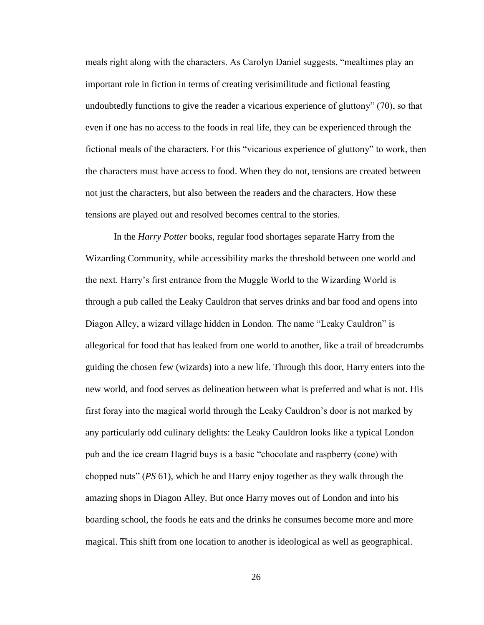meals right along with the characters. As Carolyn Daniel suggests, "mealtimes play an important role in fiction in terms of creating verisimilitude and fictional feasting undoubtedly functions to give the reader a vicarious experience of gluttony" (70), so that even if one has no access to the foods in real life, they can be experienced through the fictional meals of the characters. For this "vicarious experience of gluttony" to work, then the characters must have access to food. When they do not, tensions are created between not just the characters, but also between the readers and the characters. How these tensions are played out and resolved becomes central to the stories.

In the *Harry Potter* books, regular food shortages separate Harry from the Wizarding Community, while accessibility marks the threshold between one world and the next. Harry's first entrance from the Muggle World to the Wizarding World is through a pub called the Leaky Cauldron that serves drinks and bar food and opens into Diagon Alley, a wizard village hidden in London. The name "Leaky Cauldron" is allegorical for food that has leaked from one world to another, like a trail of breadcrumbs guiding the chosen few (wizards) into a new life. Through this door, Harry enters into the new world, and food serves as delineation between what is preferred and what is not. His first foray into the magical world through the Leaky Cauldron's door is not marked by any particularly odd culinary delights: the Leaky Cauldron looks like a typical London pub and the ice cream Hagrid buys is a basic "chocolate and raspberry (cone) with chopped nuts" (*PS* 61), which he and Harry enjoy together as they walk through the amazing shops in Diagon Alley. But once Harry moves out of London and into his boarding school, the foods he eats and the drinks he consumes become more and more magical. This shift from one location to another is ideological as well as geographical.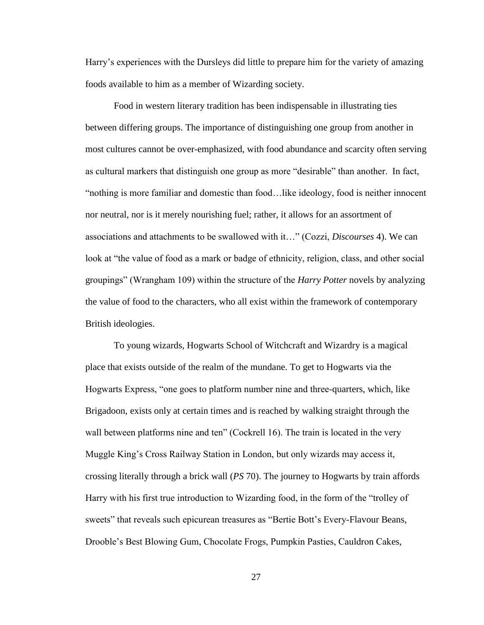Harry's experiences with the Dursleys did little to prepare him for the variety of amazing foods available to him as a member of Wizarding society.

Food in western literary tradition has been indispensable in illustrating ties between differing groups. The importance of distinguishing one group from another in most cultures cannot be over-emphasized, with food abundance and scarcity often serving as cultural markers that distinguish one group as more "desirable" than another. In fact, "nothing is more familiar and domestic than food…like ideology, food is neither innocent nor neutral, nor is it merely nourishing fuel; rather, it allows for an assortment of associations and attachments to be swallowed with it…" (Cozzi, *Discourses* 4). We can look at "the value of food as a mark or badge of ethnicity, religion, class, and other social groupings" (Wrangham 109) within the structure of the *Harry Potter* novels by analyzing the value of food to the characters, who all exist within the framework of contemporary British ideologies.

To young wizards, Hogwarts School of Witchcraft and Wizardry is a magical place that exists outside of the realm of the mundane. To get to Hogwarts via the Hogwarts Express, "one goes to platform number nine and three-quarters, which, like Brigadoon, exists only at certain times and is reached by walking straight through the wall between platforms nine and ten" (Cockrell 16). The train is located in the very Muggle King's Cross Railway Station in London, but only wizards may access it, crossing literally through a brick wall (*PS* 70). The journey to Hogwarts by train affords Harry with his first true introduction to Wizarding food, in the form of the "trolley of sweets" that reveals such epicurean treasures as "Bertie Bott's Every-Flavour Beans, Drooble's Best Blowing Gum, Chocolate Frogs, Pumpkin Pasties, Cauldron Cakes,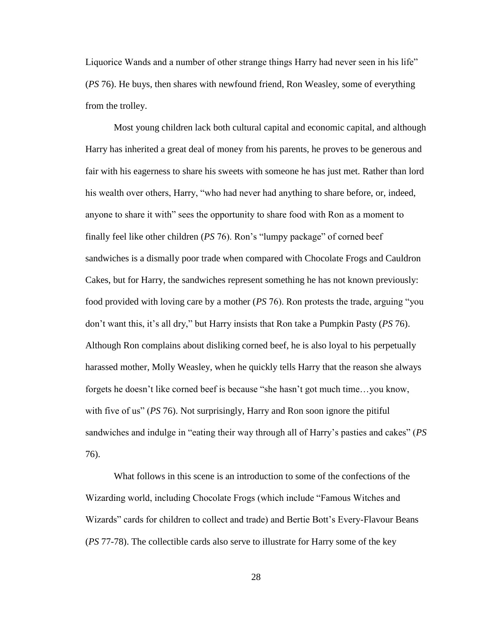Liquorice Wands and a number of other strange things Harry had never seen in his life" (*PS* 76). He buys, then shares with newfound friend, Ron Weasley, some of everything from the trolley.

Most young children lack both cultural capital and economic capital, and although Harry has inherited a great deal of money from his parents, he proves to be generous and fair with his eagerness to share his sweets with someone he has just met. Rather than lord his wealth over others, Harry, "who had never had anything to share before, or, indeed, anyone to share it with" sees the opportunity to share food with Ron as a moment to finally feel like other children (*PS* 76). Ron's "lumpy package" of corned beef sandwiches is a dismally poor trade when compared with Chocolate Frogs and Cauldron Cakes, but for Harry, the sandwiches represent something he has not known previously: food provided with loving care by a mother (*PS* 76). Ron protests the trade, arguing "you don't want this, it's all dry," but Harry insists that Ron take a Pumpkin Pasty (*PS* 76). Although Ron complains about disliking corned beef, he is also loyal to his perpetually harassed mother, Molly Weasley, when he quickly tells Harry that the reason she always forgets he doesn't like corned beef is because "she hasn't got much time…you know, with five of us" (*PS* 76). Not surprisingly, Harry and Ron soon ignore the pitiful sandwiches and indulge in "eating their way through all of Harry's pasties and cakes" (*PS* 76).

What follows in this scene is an introduction to some of the confections of the Wizarding world, including Chocolate Frogs (which include "Famous Witches and Wizards" cards for children to collect and trade) and Bertie Bott's Every-Flavour Beans (*PS* 77-78). The collectible cards also serve to illustrate for Harry some of the key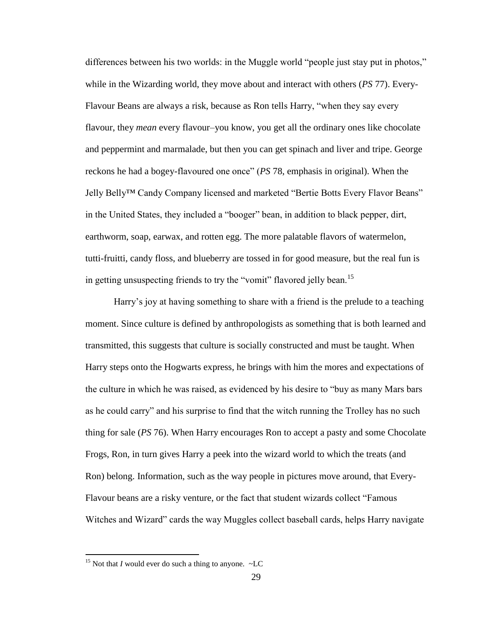differences between his two worlds: in the Muggle world "people just stay put in photos," while in the Wizarding world, they move about and interact with others (*PS* 77). Every-Flavour Beans are always a risk, because as Ron tells Harry, "when they say every flavour, they *mean* every flavour–you know, you get all the ordinary ones like chocolate and peppermint and marmalade, but then you can get spinach and liver and tripe. George reckons he had a bogey-flavoured one once" (*PS* 78, emphasis in original). When the Jelly Belly™ Candy Company licensed and marketed "Bertie Botts Every Flavor Beans" in the United States, they included a "booger" bean, in addition to black pepper, dirt, earthworm, soap, earwax, and rotten egg. The more palatable flavors of watermelon, tutti-fruitti, candy floss, and blueberry are tossed in for good measure, but the real fun is in getting unsuspecting friends to try the "vomit" flavored jelly bean.<sup>15</sup>

Harry's joy at having something to share with a friend is the prelude to a teaching moment. Since culture is defined by anthropologists as something that is both learned and transmitted, this suggests that culture is socially constructed and must be taught. When Harry steps onto the Hogwarts express, he brings with him the mores and expectations of the culture in which he was raised, as evidenced by his desire to "buy as many Mars bars as he could carry" and his surprise to find that the witch running the Trolley has no such thing for sale (*PS* 76). When Harry encourages Ron to accept a pasty and some Chocolate Frogs, Ron, in turn gives Harry a peek into the wizard world to which the treats (and Ron) belong. Information, such as the way people in pictures move around, that Every-Flavour beans are a risky venture, or the fact that student wizards collect "Famous Witches and Wizard" cards the way Muggles collect baseball cards, helps Harry navigate

<sup>&</sup>lt;sup>15</sup> Not that *I* would ever do such a thing to anyone.  $\sim$ LC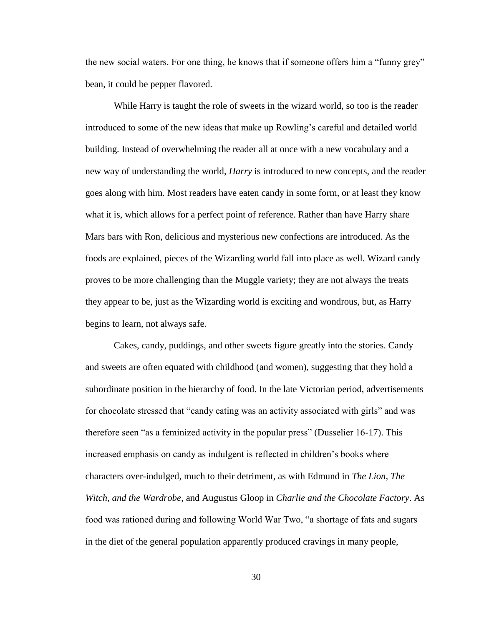the new social waters. For one thing, he knows that if someone offers him a "funny grey" bean, it could be pepper flavored.

While Harry is taught the role of sweets in the wizard world, so too is the reader introduced to some of the new ideas that make up Rowling's careful and detailed world building. Instead of overwhelming the reader all at once with a new vocabulary and a new way of understanding the world, *Harry* is introduced to new concepts, and the reader goes along with him. Most readers have eaten candy in some form, or at least they know what it is, which allows for a perfect point of reference. Rather than have Harry share Mars bars with Ron, delicious and mysterious new confections are introduced. As the foods are explained, pieces of the Wizarding world fall into place as well. Wizard candy proves to be more challenging than the Muggle variety; they are not always the treats they appear to be, just as the Wizarding world is exciting and wondrous, but, as Harry begins to learn, not always safe.

Cakes, candy, puddings, and other sweets figure greatly into the stories. Candy and sweets are often equated with childhood (and women), suggesting that they hold a subordinate position in the hierarchy of food. In the late Victorian period, advertisements for chocolate stressed that "candy eating was an activity associated with girls" and was therefore seen "as a feminized activity in the popular press" (Dusselier 16-17). This increased emphasis on candy as indulgent is reflected in children's books where characters over-indulged, much to their detriment, as with Edmund in *The Lion, The Witch, and the Wardrobe*, and Augustus Gloop in *Charlie and the Chocolate Factory*. As food was rationed during and following World War Two, "a shortage of fats and sugars in the diet of the general population apparently produced cravings in many people,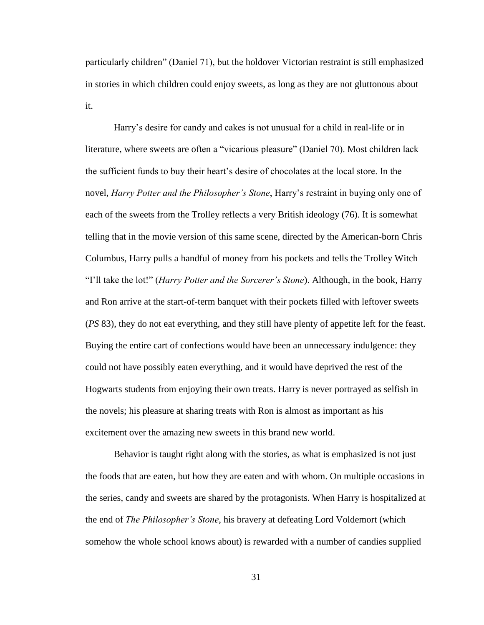particularly children" (Daniel 71), but the holdover Victorian restraint is still emphasized in stories in which children could enjoy sweets, as long as they are not gluttonous about it.

Harry's desire for candy and cakes is not unusual for a child in real-life or in literature, where sweets are often a "vicarious pleasure" (Daniel 70). Most children lack the sufficient funds to buy their heart's desire of chocolates at the local store. In the novel, *Harry Potter and the Philosopher's Stone*, Harry's restraint in buying only one of each of the sweets from the Trolley reflects a very British ideology (76). It is somewhat telling that in the movie version of this same scene, directed by the American-born Chris Columbus, Harry pulls a handful of money from his pockets and tells the Trolley Witch "I'll take the lot!" (*Harry Potter and the Sorcerer's Stone*). Although, in the book, Harry and Ron arrive at the start-of-term banquet with their pockets filled with leftover sweets (*PS* 83), they do not eat everything, and they still have plenty of appetite left for the feast. Buying the entire cart of confections would have been an unnecessary indulgence: they could not have possibly eaten everything, and it would have deprived the rest of the Hogwarts students from enjoying their own treats. Harry is never portrayed as selfish in the novels; his pleasure at sharing treats with Ron is almost as important as his excitement over the amazing new sweets in this brand new world.

Behavior is taught right along with the stories, as what is emphasized is not just the foods that are eaten, but how they are eaten and with whom. On multiple occasions in the series, candy and sweets are shared by the protagonists. When Harry is hospitalized at the end of *The Philosopher's Stone*, his bravery at defeating Lord Voldemort (which somehow the whole school knows about) is rewarded with a number of candies supplied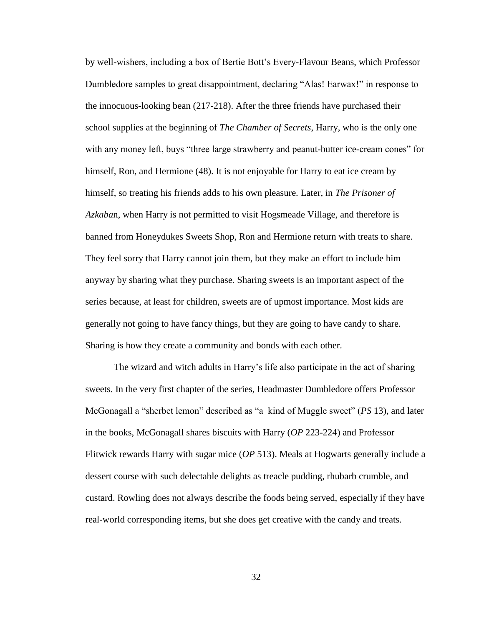by well-wishers, including a box of Bertie Bott's Every-Flavour Beans, which Professor Dumbledore samples to great disappointment, declaring "Alas! Earwax!" in response to the innocuous-looking bean (217-218). After the three friends have purchased their school supplies at the beginning of *The Chamber of Secrets*, Harry, who is the only one with any money left, buys "three large strawberry and peanut-butter ice-cream cones" for himself, Ron, and Hermione (48). It is not enjoyable for Harry to eat ice cream by himself, so treating his friends adds to his own pleasure. Later, in *The Prisoner of Azkaba*n, when Harry is not permitted to visit Hogsmeade Village, and therefore is banned from Honeydukes Sweets Shop, Ron and Hermione return with treats to share. They feel sorry that Harry cannot join them, but they make an effort to include him anyway by sharing what they purchase. Sharing sweets is an important aspect of the series because, at least for children, sweets are of upmost importance. Most kids are generally not going to have fancy things, but they are going to have candy to share. Sharing is how they create a community and bonds with each other.

The wizard and witch adults in Harry's life also participate in the act of sharing sweets. In the very first chapter of the series, Headmaster Dumbledore offers Professor McGonagall a "sherbet lemon" described as "a kind of Muggle sweet" (*PS* 13), and later in the books, McGonagall shares biscuits with Harry (*OP* 223-224) and Professor Flitwick rewards Harry with sugar mice (*OP* 513). Meals at Hogwarts generally include a dessert course with such delectable delights as treacle pudding, rhubarb crumble, and custard. Rowling does not always describe the foods being served, especially if they have real-world corresponding items, but she does get creative with the candy and treats.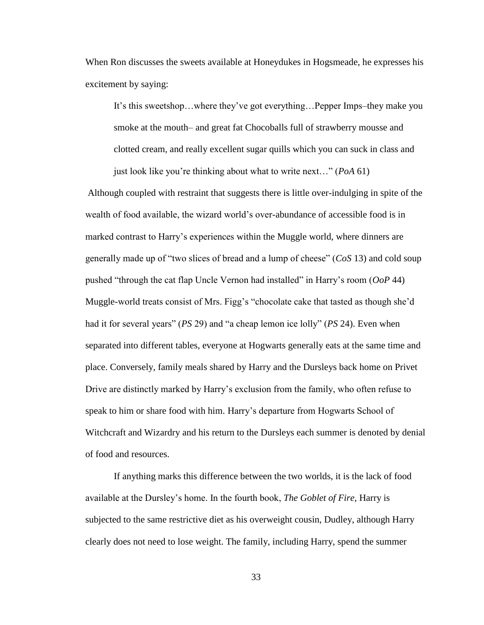When Ron discusses the sweets available at Honeydukes in Hogsmeade, he expresses his excitement by saying:

It's this sweetshop…where they've got everything…Pepper Imps–they make you smoke at the mouth– and great fat Chocoballs full of strawberry mousse and clotted cream, and really excellent sugar quills which you can suck in class and just look like you're thinking about what to write next…" (*PoA* 61)

Although coupled with restraint that suggests there is little over-indulging in spite of the wealth of food available, the wizard world's over-abundance of accessible food is in marked contrast to Harry's experiences within the Muggle world, where dinners are generally made up of "two slices of bread and a lump of cheese" (*CoS* 13) and cold soup pushed "through the cat flap Uncle Vernon had installed" in Harry's room (*OoP* 44) Muggle-world treats consist of Mrs. Figg's "chocolate cake that tasted as though she'd had it for several years" (*PS* 29) and "a cheap lemon ice lolly" (*PS* 24). Even when separated into different tables, everyone at Hogwarts generally eats at the same time and place. Conversely, family meals shared by Harry and the Dursleys back home on Privet Drive are distinctly marked by Harry's exclusion from the family, who often refuse to speak to him or share food with him. Harry's departure from Hogwarts School of Witchcraft and Wizardry and his return to the Dursleys each summer is denoted by denial of food and resources.

If anything marks this difference between the two worlds, it is the lack of food available at the Dursley's home. In the fourth book, *The Goblet of Fire*, Harry is subjected to the same restrictive diet as his overweight cousin, Dudley, although Harry clearly does not need to lose weight. The family, including Harry, spend the summer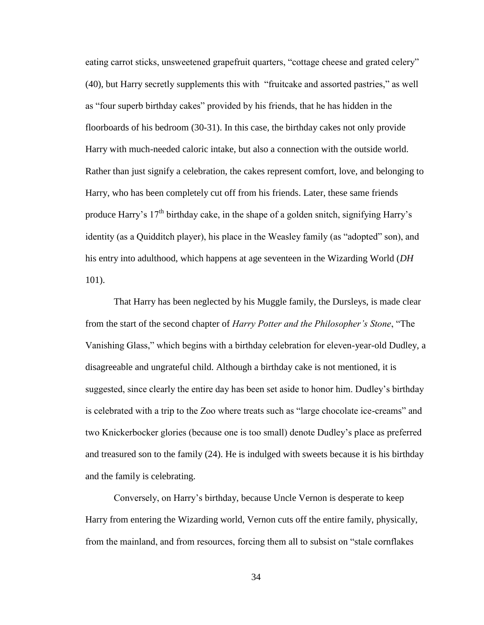eating carrot sticks, unsweetened grapefruit quarters, "cottage cheese and grated celery" (40), but Harry secretly supplements this with "fruitcake and assorted pastries," as well as "four superb birthday cakes" provided by his friends, that he has hidden in the floorboards of his bedroom (30-31). In this case, the birthday cakes not only provide Harry with much-needed caloric intake, but also a connection with the outside world. Rather than just signify a celebration, the cakes represent comfort, love, and belonging to Harry, who has been completely cut off from his friends. Later, these same friends produce Harry's  $17<sup>th</sup>$  birthday cake, in the shape of a golden snitch, signifying Harry's identity (as a Quidditch player), his place in the Weasley family (as "adopted" son), and his entry into adulthood, which happens at age seventeen in the Wizarding World (*DH*  101).

That Harry has been neglected by his Muggle family, the Dursleys, is made clear from the start of the second chapter of *Harry Potter and the Philosopher's Stone*, "The Vanishing Glass," which begins with a birthday celebration for eleven-year-old Dudley, a disagreeable and ungrateful child. Although a birthday cake is not mentioned, it is suggested, since clearly the entire day has been set aside to honor him. Dudley's birthday is celebrated with a trip to the Zoo where treats such as "large chocolate ice-creams" and two Knickerbocker glories (because one is too small) denote Dudley's place as preferred and treasured son to the family (24). He is indulged with sweets because it is his birthday and the family is celebrating.

Conversely, on Harry's birthday, because Uncle Vernon is desperate to keep Harry from entering the Wizarding world, Vernon cuts off the entire family, physically, from the mainland, and from resources, forcing them all to subsist on "stale cornflakes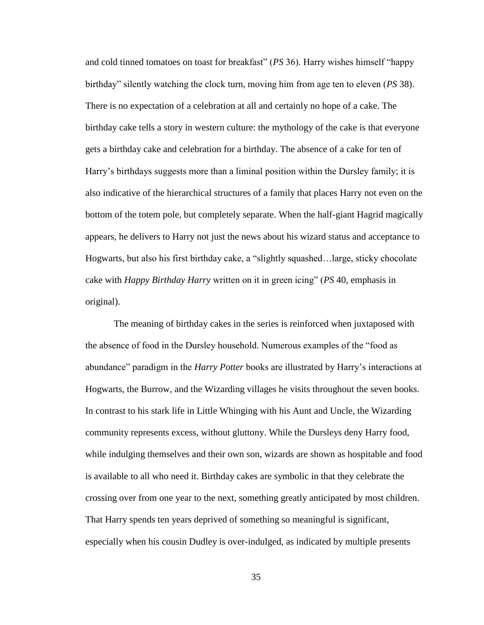and cold tinned tomatoes on toast for breakfast" (*PS* 36). Harry wishes himself "happy birthday" silently watching the clock turn, moving him from age ten to eleven (*PS* 38). There is no expectation of a celebration at all and certainly no hope of a cake. The birthday cake tells a story in western culture: the mythology of the cake is that everyone gets a birthday cake and celebration for a birthday. The absence of a cake for ten of Harry's birthdays suggests more than a liminal position within the Dursley family; it is also indicative of the hierarchical structures of a family that places Harry not even on the bottom of the totem pole, but completely separate. When the half-giant Hagrid magically appears, he delivers to Harry not just the news about his wizard status and acceptance to Hogwarts, but also his first birthday cake, a "slightly squashed…large, sticky chocolate cake with *Happy Birthday Harry* written on it in green icing" (*PS* 40, emphasis in original).

The meaning of birthday cakes in the series is reinforced when juxtaposed with the absence of food in the Dursley household. Numerous examples of the "food as abundance" paradigm in the *Harry Potter* books are illustrated by Harry's interactions at Hogwarts, the Burrow, and the Wizarding villages he visits throughout the seven books. In contrast to his stark life in Little Whinging with his Aunt and Uncle, the Wizarding community represents excess, without gluttony. While the Dursleys deny Harry food, while indulging themselves and their own son, wizards are shown as hospitable and food is available to all who need it. Birthday cakes are symbolic in that they celebrate the crossing over from one year to the next, something greatly anticipated by most children. That Harry spends ten years deprived of something so meaningful is significant, especially when his cousin Dudley is over-indulged, as indicated by multiple presents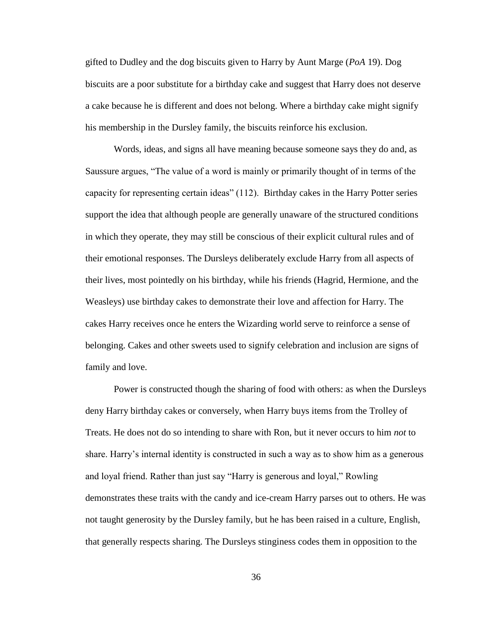gifted to Dudley and the dog biscuits given to Harry by Aunt Marge (*PoA* 19). Dog biscuits are a poor substitute for a birthday cake and suggest that Harry does not deserve a cake because he is different and does not belong. Where a birthday cake might signify his membership in the Dursley family, the biscuits reinforce his exclusion.

Words, ideas, and signs all have meaning because someone says they do and, as Saussure argues, "The value of a word is mainly or primarily thought of in terms of the capacity for representing certain ideas" (112). Birthday cakes in the Harry Potter series support the idea that although people are generally unaware of the structured conditions in which they operate, they may still be conscious of their explicit cultural rules and of their emotional responses. The Dursleys deliberately exclude Harry from all aspects of their lives, most pointedly on his birthday, while his friends (Hagrid, Hermione, and the Weasleys) use birthday cakes to demonstrate their love and affection for Harry. The cakes Harry receives once he enters the Wizarding world serve to reinforce a sense of belonging. Cakes and other sweets used to signify celebration and inclusion are signs of family and love.

Power is constructed though the sharing of food with others: as when the Dursleys deny Harry birthday cakes or conversely, when Harry buys items from the Trolley of Treats. He does not do so intending to share with Ron, but it never occurs to him *not* to share. Harry's internal identity is constructed in such a way as to show him as a generous and loyal friend. Rather than just say "Harry is generous and loyal," Rowling demonstrates these traits with the candy and ice-cream Harry parses out to others. He was not taught generosity by the Dursley family, but he has been raised in a culture, English, that generally respects sharing. The Dursleys stinginess codes them in opposition to the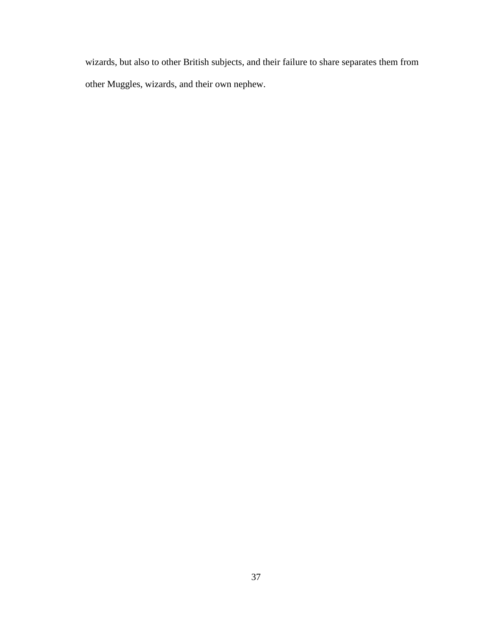wizards, but also to other British subjects, and their failure to share separates them from other Muggles, wizards, and their own nephew.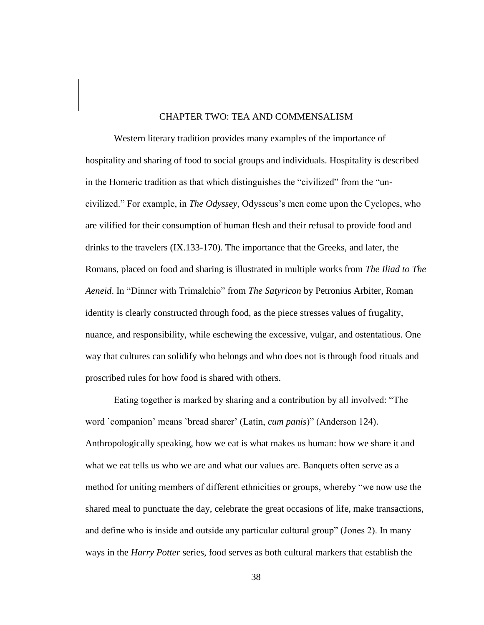## CHAPTER TWO: TEA AND COMMENSALISM

Western literary tradition provides many examples of the importance of hospitality and sharing of food to social groups and individuals. Hospitality is described in the Homeric tradition as that which distinguishes the "civilized" from the "uncivilized." For example, in *The Odyssey*, Odysseus's men come upon the Cyclopes, who are vilified for their consumption of human flesh and their refusal to provide food and drinks to the travelers (IX.133-170). The importance that the Greeks, and later, the Romans, placed on food and sharing is illustrated in multiple works from *The Iliad to The Aeneid*. In "Dinner with Trimalchio" from *The Satyricon* by Petronius Arbiter, Roman identity is clearly constructed through food, as the piece stresses values of frugality, nuance, and responsibility, while eschewing the excessive, vulgar, and ostentatious. One way that cultures can solidify who belongs and who does not is through food rituals and proscribed rules for how food is shared with others.

Eating together is marked by sharing and a contribution by all involved: "The word `companion' means `bread sharer' (Latin, *cum panis*)" (Anderson 124). Anthropologically speaking, how we eat is what makes us human: how we share it and what we eat tells us who we are and what our values are. Banquets often serve as a method for uniting members of different ethnicities or groups, whereby "we now use the shared meal to punctuate the day, celebrate the great occasions of life, make transactions, and define who is inside and outside any particular cultural group" (Jones 2). In many ways in the *Harry Potter* series, food serves as both cultural markers that establish the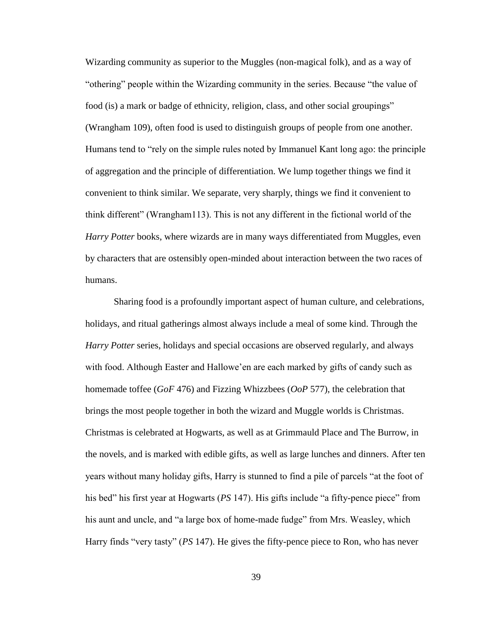Wizarding community as superior to the Muggles (non-magical folk), and as a way of "othering" people within the Wizarding community in the series. Because "the value of food (is) a mark or badge of ethnicity, religion, class, and other social groupings" (Wrangham 109), often food is used to distinguish groups of people from one another. Humans tend to "rely on the simple rules noted by Immanuel Kant long ago: the principle of aggregation and the principle of differentiation. We lump together things we find it convenient to think similar. We separate, very sharply, things we find it convenient to think different" (Wrangham113). This is not any different in the fictional world of the *Harry Potter* books, where wizards are in many ways differentiated from Muggles, even by characters that are ostensibly open-minded about interaction between the two races of humans.

Sharing food is a profoundly important aspect of human culture, and celebrations, holidays, and ritual gatherings almost always include a meal of some kind. Through the *Harry Potter* series, holidays and special occasions are observed regularly, and always with food. Although Easter and Hallowe'en are each marked by gifts of candy such as homemade toffee (*GoF* 476) and Fizzing Whizzbees (*OoP* 577), the celebration that brings the most people together in both the wizard and Muggle worlds is Christmas. Christmas is celebrated at Hogwarts, as well as at Grimmauld Place and The Burrow, in the novels, and is marked with edible gifts, as well as large lunches and dinners. After ten years without many holiday gifts, Harry is stunned to find a pile of parcels "at the foot of his bed" his first year at Hogwarts (*PS* 147). His gifts include "a fifty-pence piece" from his aunt and uncle, and "a large box of home-made fudge" from Mrs. Weasley, which Harry finds "very tasty" (*PS* 147). He gives the fifty-pence piece to Ron, who has never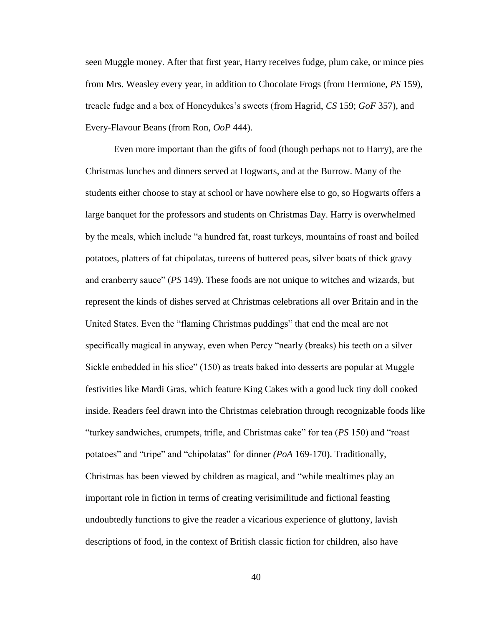seen Muggle money. After that first year, Harry receives fudge, plum cake, or mince pies from Mrs. Weasley every year, in addition to Chocolate Frogs (from Hermione, *PS* 159), treacle fudge and a box of Honeydukes's sweets (from Hagrid, *CS* 159; *GoF* 357), and Every-Flavour Beans (from Ron, *OoP* 444).

Even more important than the gifts of food (though perhaps not to Harry), are the Christmas lunches and dinners served at Hogwarts, and at the Burrow. Many of the students either choose to stay at school or have nowhere else to go, so Hogwarts offers a large banquet for the professors and students on Christmas Day. Harry is overwhelmed by the meals, which include "a hundred fat, roast turkeys, mountains of roast and boiled potatoes, platters of fat chipolatas, tureens of buttered peas, silver boats of thick gravy and cranberry sauce" (*PS* 149). These foods are not unique to witches and wizards, but represent the kinds of dishes served at Christmas celebrations all over Britain and in the United States. Even the "flaming Christmas puddings" that end the meal are not specifically magical in anyway, even when Percy "nearly (breaks) his teeth on a silver Sickle embedded in his slice" (150) as treats baked into desserts are popular at Muggle festivities like Mardi Gras, which feature King Cakes with a good luck tiny doll cooked inside. Readers feel drawn into the Christmas celebration through recognizable foods like "turkey sandwiches, crumpets, trifle, and Christmas cake" for tea (*PS* 150) and "roast potatoes" and "tripe" and "chipolatas" for dinner *(PoA* 169-170). Traditionally, Christmas has been viewed by children as magical, and "while mealtimes play an important role in fiction in terms of creating verisimilitude and fictional feasting undoubtedly functions to give the reader a vicarious experience of gluttony, lavish descriptions of food, in the context of British classic fiction for children, also have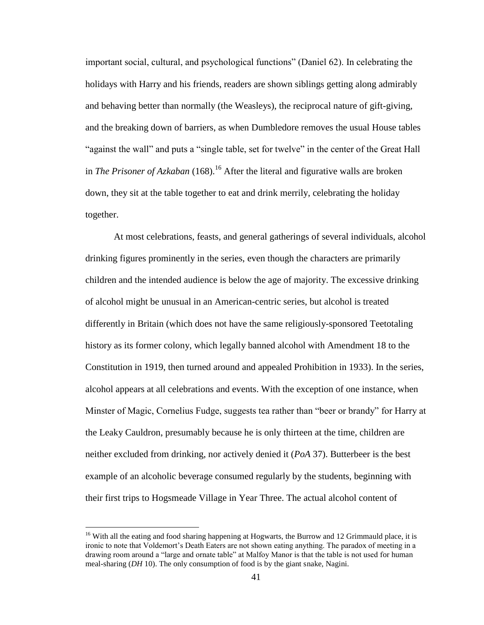important social, cultural, and psychological functions" (Daniel 62). In celebrating the holidays with Harry and his friends, readers are shown siblings getting along admirably and behaving better than normally (the Weasleys), the reciprocal nature of gift-giving, and the breaking down of barriers, as when Dumbledore removes the usual House tables "against the wall" and puts a "single table, set for twelve" in the center of the Great Hall in *The Prisoner of Azkaban* (168).<sup>16</sup> After the literal and figurative walls are broken down, they sit at the table together to eat and drink merrily, celebrating the holiday together.

At most celebrations, feasts, and general gatherings of several individuals, alcohol drinking figures prominently in the series, even though the characters are primarily children and the intended audience is below the age of majority. The excessive drinking of alcohol might be unusual in an American-centric series, but alcohol is treated differently in Britain (which does not have the same religiously-sponsored Teetotaling history as its former colony, which legally banned alcohol with Amendment 18 to the Constitution in 1919, then turned around and appealed Prohibition in 1933). In the series, alcohol appears at all celebrations and events. With the exception of one instance, when Minster of Magic, Cornelius Fudge, suggests tea rather than "beer or brandy" for Harry at the Leaky Cauldron, presumably because he is only thirteen at the time, children are neither excluded from drinking, nor actively denied it (*PoA* 37). Butterbeer is the best example of an alcoholic beverage consumed regularly by the students, beginning with their first trips to Hogsmeade Village in Year Three. The actual alcohol content of

<sup>&</sup>lt;sup>16</sup> With all the eating and food sharing happening at Hogwarts, the Burrow and 12 Grimmauld place, it is ironic to note that Voldemort's Death Eaters are not shown eating anything. The paradox of meeting in a drawing room around a "large and ornate table" at Malfoy Manor is that the table is not used for human meal-sharing (*DH* 10). The only consumption of food is by the giant snake, Nagini.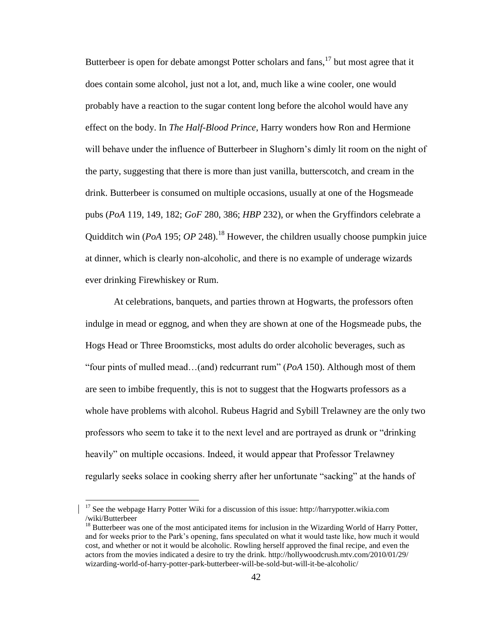Butterbeer is open for debate amongst Potter scholars and  $fans$ ,  $17$  but most agree that it does contain some alcohol, just not a lot, and, much like a wine cooler, one would probably have a reaction to the sugar content long before the alcohol would have any effect on the body. In *The Half-Blood Prince*, Harry wonders how Ron and Hermione will behave under the influence of Butterbeer in Slughorn's dimly lit room on the night of the party, suggesting that there is more than just vanilla, butterscotch, and cream in the drink. Butterbeer is consumed on multiple occasions, usually at one of the Hogsmeade pubs (*PoA* 119, 149, 182; *GoF* 280, 386; *HBP* 232), or when the Gryffindors celebrate a Quidditch win (*PoA* 195; *OP* 248).<sup>18</sup> However, the children usually choose pumpkin juice at dinner, which is clearly non-alcoholic, and there is no example of underage wizards ever drinking Firewhiskey or Rum.

At celebrations, banquets, and parties thrown at Hogwarts, the professors often indulge in mead or eggnog, and when they are shown at one of the Hogsmeade pubs, the Hogs Head or Three Broomsticks, most adults do order alcoholic beverages, such as "four pints of mulled mead…(and) redcurrant rum" (*PoA* 150). Although most of them are seen to imbibe frequently, this is not to suggest that the Hogwarts professors as a whole have problems with alcohol. Rubeus Hagrid and Sybill Trelawney are the only two professors who seem to take it to the next level and are portrayed as drunk or "drinking heavily" on multiple occasions. Indeed, it would appear that Professor Trelawney regularly seeks solace in cooking sherry after her unfortunate "sacking" at the hands of

 $17$  See the webpage Harry Potter Wiki for a discussion of this issue: http://harrypotter.wikia.com /wiki/Butterbeer

<sup>&</sup>lt;sup>18</sup> Butterbeer was one of the most anticipated items for inclusion in the Wizarding World of Harry Potter, and for weeks prior to the Park's opening, fans speculated on what it would taste like, how much it would cost, and whether or not it would be alcoholic. Rowling herself approved the final recipe, and even the actors from the movies indicated a desire to try the drink. http://hollywoodcrush.mtv.com/2010/01/29/ wizarding-world-of-harry-potter-park-butterbeer-will-be-sold-but-will-it-be-alcoholic/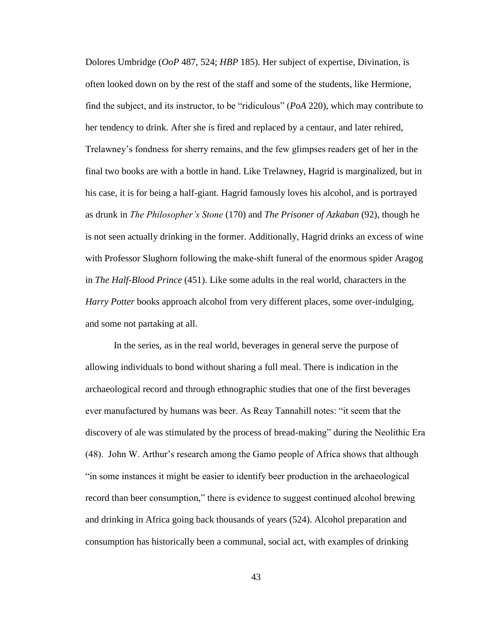Dolores Umbridge (*OoP* 487, 524; *HBP* 185). Her subject of expertise, Divination, is often looked down on by the rest of the staff and some of the students, like Hermione, find the subject, and its instructor, to be "ridiculous" (*PoA* 220), which may contribute to her tendency to drink. After she is fired and replaced by a centaur, and later rehired, Trelawney's fondness for sherry remains, and the few glimpses readers get of her in the final two books are with a bottle in hand. Like Trelawney, Hagrid is marginalized, but in his case, it is for being a half-giant. Hagrid famously loves his alcohol, and is portrayed as drunk in *The Philosopher's Stone* (170) and *The Prisoner of Azkaban* (92), though he is not seen actually drinking in the former. Additionally, Hagrid drinks an excess of wine with Professor Slughorn following the make-shift funeral of the enormous spider Aragog in *The Half-Blood Prince* (451). Like some adults in the real world, characters in the *Harry Potter* books approach alcohol from very different places, some over-indulging, and some not partaking at all.

In the series, as in the real world, beverages in general serve the purpose of allowing individuals to bond without sharing a full meal. There is indication in the archaeological record and through ethnographic studies that one of the first beverages ever manufactured by humans was beer. As Reay Tannahill notes: "it seem that the discovery of ale was stimulated by the process of bread-making" during the Neolithic Era (48). John W. Arthur's research among the Gamo people of Africa shows that although "in some instances it might be easier to identify beer production in the archaeological record than beer consumption," there is evidence to suggest continued alcohol brewing and drinking in Africa going back thousands of years (524). Alcohol preparation and consumption has historically been a communal, social act, with examples of drinking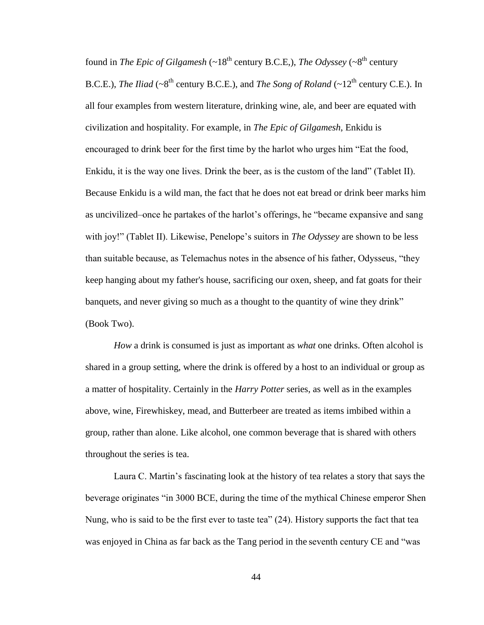found in *The Epic of Gilgamesh*  $(-18<sup>th</sup>$  century B.C.E.), *The Odyssey* ( $-8<sup>th</sup>$  century B.C.E.), *The Iliad* ( $\sim 8^{th}$  century B.C.E.), and *The Song of Roland* ( $\sim 12^{th}$  century C.E.). In all four examples from western literature, drinking wine, ale, and beer are equated with civilization and hospitality. For example, in *The Epic of Gilgamesh*, Enkidu is encouraged to drink beer for the first time by the harlot who urges him "Eat the food, Enkidu, it is the way one lives. Drink the beer, as is the custom of the land" (Tablet II). Because Enkidu is a wild man, the fact that he does not eat bread or drink beer marks him as uncivilized–once he partakes of the harlot's offerings, he "became expansive and sang with joy!" (Tablet II). Likewise, Penelope's suitors in *The Odyssey* are shown to be less than suitable because, as Telemachus notes in the absence of his father, Odysseus, "they keep hanging about my father's house, sacrificing our oxen, sheep, and fat goats for their banquets, and never giving so much as a thought to the quantity of wine they drink" (Book Two).

*How* a drink is consumed is just as important as *what* one drinks. Often alcohol is shared in a group setting, where the drink is offered by a host to an individual or group as a matter of hospitality. Certainly in the *Harry Potter* series, as well as in the examples above, wine, Firewhiskey, mead, and Butterbeer are treated as items imbibed within a group, rather than alone. Like alcohol, one common beverage that is shared with others throughout the series is tea.

Laura C. Martin's fascinating look at the history of tea relates a story that says the beverage originates "in 3000 BCE, during the time of the mythical Chinese emperor Shen Nung, who is said to be the first ever to taste tea" (24). History supports the fact that tea was enjoyed in China as far back as the Tang period in the seventh century CE and "was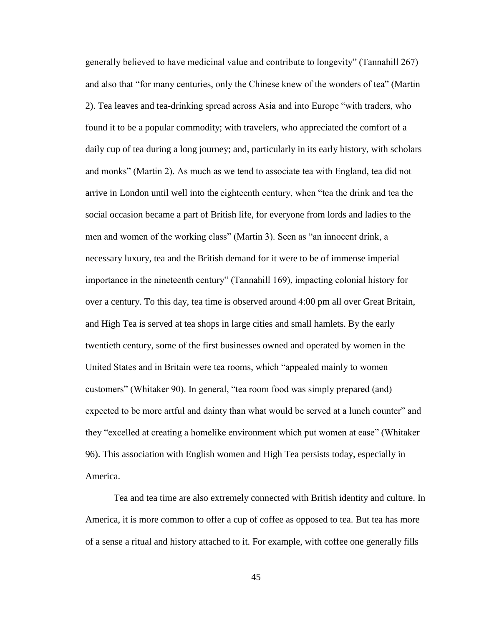generally believed to have medicinal value and contribute to longevity" (Tannahill 267) and also that "for many centuries, only the Chinese knew of the wonders of tea" (Martin 2). Tea leaves and tea-drinking spread across Asia and into Europe "with traders, who found it to be a popular commodity; with travelers, who appreciated the comfort of a daily cup of tea during a long journey; and, particularly in its early history, with scholars and monks" (Martin 2). As much as we tend to associate tea with England, tea did not arrive in London until well into the eighteenth century, when "tea the drink and tea the social occasion became a part of British life, for everyone from lords and ladies to the men and women of the working class" (Martin 3). Seen as "an innocent drink, a necessary luxury, tea and the British demand for it were to be of immense imperial importance in the nineteenth century" (Tannahill 169), impacting colonial history for over a century. To this day, tea time is observed around 4:00 pm all over Great Britain, and High Tea is served at tea shops in large cities and small hamlets. By the early twentieth century, some of the first businesses owned and operated by women in the United States and in Britain were tea rooms, which "appealed mainly to women customers" (Whitaker 90). In general, "tea room food was simply prepared (and) expected to be more artful and dainty than what would be served at a lunch counter" and they "excelled at creating a homelike environment which put women at ease" (Whitaker 96). This association with English women and High Tea persists today, especially in America.

Tea and tea time are also extremely connected with British identity and culture. In America, it is more common to offer a cup of coffee as opposed to tea. But tea has more of a sense a ritual and history attached to it. For example, with coffee one generally fills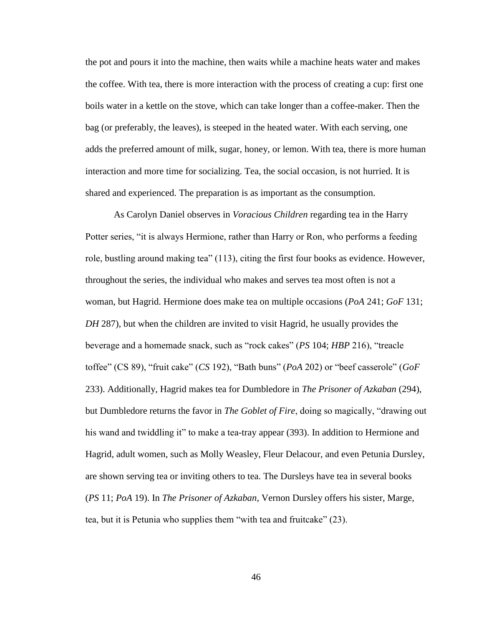the pot and pours it into the machine, then waits while a machine heats water and makes the coffee. With tea, there is more interaction with the process of creating a cup: first one boils water in a kettle on the stove, which can take longer than a coffee-maker. Then the bag (or preferably, the leaves), is steeped in the heated water. With each serving, one adds the preferred amount of milk, sugar, honey, or lemon. With tea, there is more human interaction and more time for socializing. Tea, the social occasion, is not hurried. It is shared and experienced. The preparation is as important as the consumption.

As Carolyn Daniel observes in *Voracious Children* regarding tea in the Harry Potter series, "it is always Hermione, rather than Harry or Ron, who performs a feeding role, bustling around making tea" (113), citing the first four books as evidence. However, throughout the series, the individual who makes and serves tea most often is not a woman, but Hagrid. Hermione does make tea on multiple occasions (*PoA* 241; *GoF* 131; *DH* 287), but when the children are invited to visit Hagrid, he usually provides the beverage and a homemade snack, such as "rock cakes" (*PS* 104; *HBP* 216), "treacle toffee" (CS 89), "fruit cake" (*CS* 192), "Bath buns" (*PoA* 202) or "beef casserole" (*GoF*  233). Additionally, Hagrid makes tea for Dumbledore in *The Prisoner of Azkaban* (294), but Dumbledore returns the favor in *The Goblet of Fire*, doing so magically, "drawing out his wand and twiddling it" to make a tea-tray appear (393). In addition to Hermione and Hagrid, adult women, such as Molly Weasley, Fleur Delacour, and even Petunia Dursley, are shown serving tea or inviting others to tea. The Dursleys have tea in several books (*PS* 11; *PoA* 19). In *The Prisoner of Azkaban*, Vernon Dursley offers his sister, Marge, tea, but it is Petunia who supplies them "with tea and fruitcake" (23).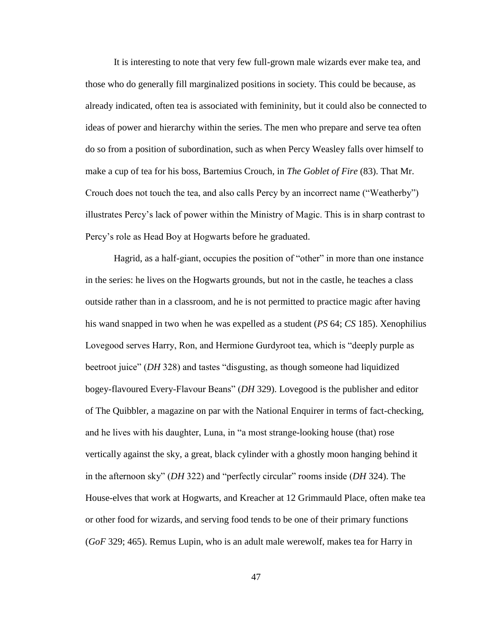It is interesting to note that very few full-grown male wizards ever make tea, and those who do generally fill marginalized positions in society. This could be because, as already indicated, often tea is associated with femininity, but it could also be connected to ideas of power and hierarchy within the series. The men who prepare and serve tea often do so from a position of subordination, such as when Percy Weasley falls over himself to make a cup of tea for his boss, Bartemius Crouch, in *The Goblet of Fire* (83). That Mr. Crouch does not touch the tea, and also calls Percy by an incorrect name ("Weatherby") illustrates Percy's lack of power within the Ministry of Magic. This is in sharp contrast to Percy's role as Head Boy at Hogwarts before he graduated.

Hagrid, as a half-giant, occupies the position of "other" in more than one instance in the series: he lives on the Hogwarts grounds, but not in the castle, he teaches a class outside rather than in a classroom, and he is not permitted to practice magic after having his wand snapped in two when he was expelled as a student (*PS* 64; *CS* 185). Xenophilius Lovegood serves Harry, Ron, and Hermione Gurdyroot tea, which is "deeply purple as beetroot juice" (*DH* 328) and tastes "disgusting, as though someone had liquidized bogey-flavoured Every-Flavour Beans" (*DH* 329). Lovegood is the publisher and editor of The Quibbler, a magazine on par with the National Enquirer in terms of fact-checking, and he lives with his daughter, Luna, in "a most strange-looking house (that) rose vertically against the sky, a great, black cylinder with a ghostly moon hanging behind it in the afternoon sky" (*DH* 322) and "perfectly circular" rooms inside (*DH* 324). The House-elves that work at Hogwarts, and Kreacher at 12 Grimmauld Place, often make tea or other food for wizards, and serving food tends to be one of their primary functions (*GoF* 329; 465). Remus Lupin, who is an adult male werewolf, makes tea for Harry in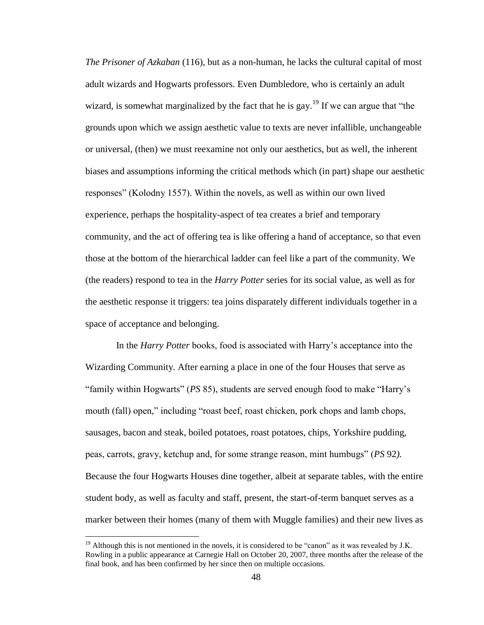*The Prisoner of Azkaban* (116), but as a non-human, he lacks the cultural capital of most adult wizards and Hogwarts professors. Even Dumbledore, who is certainly an adult wizard, is somewhat marginalized by the fact that he is gay.<sup>19</sup> If we can argue that "the grounds upon which we assign aesthetic value to texts are never infallible, unchangeable or universal, (then) we must reexamine not only our aesthetics, but as well, the inherent biases and assumptions informing the critical methods which (in part) shape our aesthetic responses" (Kolodny 1557). Within the novels, as well as within our own lived experience, perhaps the hospitality-aspect of tea creates a brief and temporary community, and the act of offering tea is like offering a hand of acceptance, so that even those at the bottom of the hierarchical ladder can feel like a part of the community. We (the readers) respond to tea in the *Harry Potter* series for its social value, as well as for the aesthetic response it triggers: tea joins disparately different individuals together in a space of acceptance and belonging.

In the *Harry Potter* books, food is associated with Harry's acceptance into the Wizarding Community. After earning a place in one of the four Houses that serve as "family within Hogwarts" (*PS* 85), students are served enough food to make "Harry's mouth (fall) open," including "roast beef, roast chicken, pork chops and lamb chops, sausages, bacon and steak, boiled potatoes, roast potatoes, chips, Yorkshire pudding, peas, carrots, gravy, ketchup and, for some strange reason, mint humbugs" (*PS* 92*).*  Because the four Hogwarts Houses dine together, albeit at separate tables, with the entire student body, as well as faculty and staff, present, the start-of-term banquet serves as a marker between their homes (many of them with Muggle families) and their new lives as

 $19$  Although this is not mentioned in the novels, it is considered to be "canon" as it was revealed by J.K. Rowling in a public appearance at Carnegie Hall on October 20, 2007, three months after the release of the final book, and has been confirmed by her since then on multiple occasions.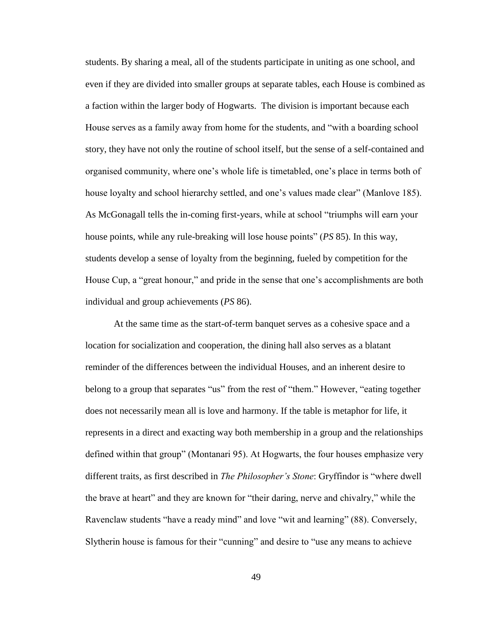students. By sharing a meal, all of the students participate in uniting as one school, and even if they are divided into smaller groups at separate tables, each House is combined as a faction within the larger body of Hogwarts. The division is important because each House serves as a family away from home for the students, and "with a boarding school story, they have not only the routine of school itself, but the sense of a self-contained and organised community, where one's whole life is timetabled, one's place in terms both of house loyalty and school hierarchy settled, and one's values made clear" (Manlove 185). As McGonagall tells the in-coming first-years, while at school "triumphs will earn your house points, while any rule-breaking will lose house points" (*PS* 85). In this way, students develop a sense of loyalty from the beginning, fueled by competition for the House Cup, a "great honour," and pride in the sense that one's accomplishments are both individual and group achievements (*PS* 86).

At the same time as the start-of-term banquet serves as a cohesive space and a location for socialization and cooperation, the dining hall also serves as a blatant reminder of the differences between the individual Houses, and an inherent desire to belong to a group that separates "us" from the rest of "them." However, "eating together does not necessarily mean all is love and harmony. If the table is metaphor for life, it represents in a direct and exacting way both membership in a group and the relationships defined within that group" (Montanari 95). At Hogwarts, the four houses emphasize very different traits, as first described in *The Philosopher's Stone*: Gryffindor is "where dwell the brave at heart" and they are known for "their daring, nerve and chivalry," while the Ravenclaw students "have a ready mind" and love "wit and learning" (88). Conversely, Slytherin house is famous for their "cunning" and desire to "use any means to achieve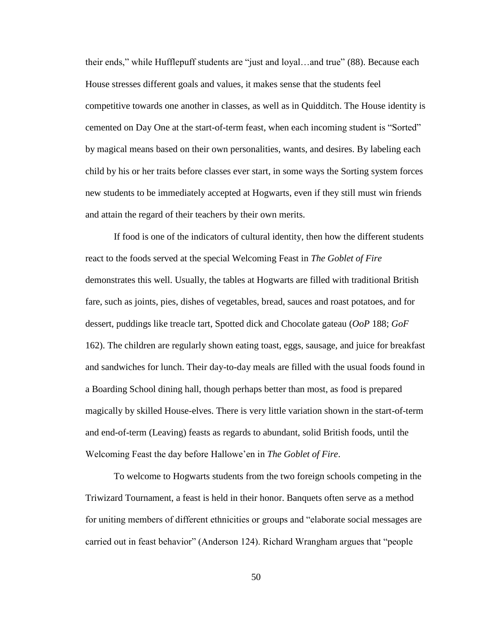their ends," while Hufflepuff students are "just and loyal…and true" (88). Because each House stresses different goals and values, it makes sense that the students feel competitive towards one another in classes, as well as in Quidditch. The House identity is cemented on Day One at the start-of-term feast, when each incoming student is "Sorted" by magical means based on their own personalities, wants, and desires. By labeling each child by his or her traits before classes ever start, in some ways the Sorting system forces new students to be immediately accepted at Hogwarts, even if they still must win friends and attain the regard of their teachers by their own merits.

If food is one of the indicators of cultural identity, then how the different students react to the foods served at the special Welcoming Feast in *The Goblet of Fire* demonstrates this well. Usually, the tables at Hogwarts are filled with traditional British fare, such as joints, pies, dishes of vegetables, bread, sauces and roast potatoes, and for dessert, puddings like treacle tart, Spotted dick and Chocolate gateau (*OoP* 188; *GoF*  162). The children are regularly shown eating toast, eggs, sausage, and juice for breakfast and sandwiches for lunch. Their day-to-day meals are filled with the usual foods found in a Boarding School dining hall, though perhaps better than most, as food is prepared magically by skilled House-elves. There is very little variation shown in the start-of-term and end-of-term (Leaving) feasts as regards to abundant, solid British foods, until the Welcoming Feast the day before Hallowe'en in *The Goblet of Fire*.

To welcome to Hogwarts students from the two foreign schools competing in the Triwizard Tournament, a feast is held in their honor. Banquets often serve as a method for uniting members of different ethnicities or groups and "elaborate social messages are carried out in feast behavior" (Anderson 124). Richard Wrangham argues that "people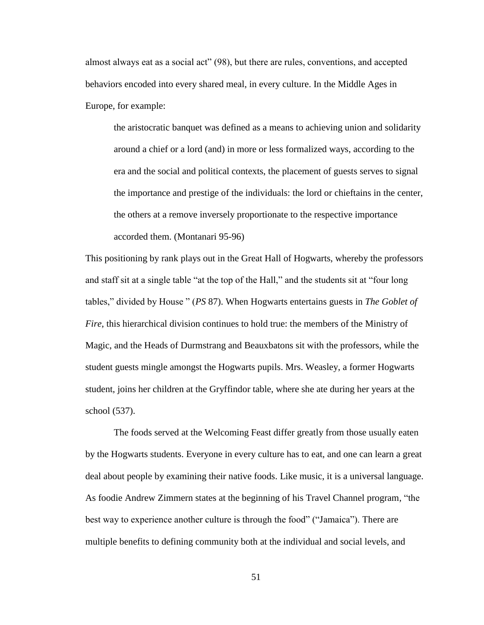almost always eat as a social act" (98), but there are rules, conventions, and accepted behaviors encoded into every shared meal, in every culture. In the Middle Ages in Europe, for example:

the aristocratic banquet was defined as a means to achieving union and solidarity around a chief or a lord (and) in more or less formalized ways, according to the era and the social and political contexts, the placement of guests serves to signal the importance and prestige of the individuals: the lord or chieftains in the center, the others at a remove inversely proportionate to the respective importance accorded them. (Montanari 95-96)

This positioning by rank plays out in the Great Hall of Hogwarts, whereby the professors and staff sit at a single table "at the top of the Hall," and the students sit at "four long tables," divided by House " (*PS* 87). When Hogwarts entertains guests in *The Goblet of Fire*, this hierarchical division continues to hold true: the members of the Ministry of Magic, and the Heads of Durmstrang and Beauxbatons sit with the professors, while the student guests mingle amongst the Hogwarts pupils. Mrs. Weasley, a former Hogwarts student, joins her children at the Gryffindor table, where she ate during her years at the school (537).

The foods served at the Welcoming Feast differ greatly from those usually eaten by the Hogwarts students. Everyone in every culture has to eat, and one can learn a great deal about people by examining their native foods. Like music, it is a universal language. As foodie Andrew Zimmern states at the beginning of his Travel Channel program*,* "the best way to experience another culture is through the food" ("Jamaica"). There are multiple benefits to defining community both at the individual and social levels, and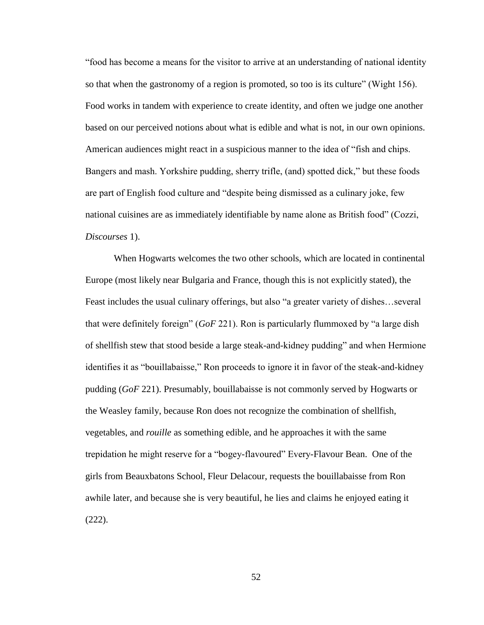"food has become a means for the visitor to arrive at an understanding of national identity so that when the gastronomy of a region is promoted, so too is its culture" (Wight 156). Food works in tandem with experience to create identity, and often we judge one another based on our perceived notions about what is edible and what is not, in our own opinions. American audiences might react in a suspicious manner to the idea of "fish and chips. Bangers and mash. Yorkshire pudding, sherry trifle, (and) spotted dick," but these foods are part of English food culture and "despite being dismissed as a culinary joke, few national cuisines are as immediately identifiable by name alone as British food" (Cozzi, *Discourses* 1).

When Hogwarts welcomes the two other schools, which are located in continental Europe (most likely near Bulgaria and France, though this is not explicitly stated), the Feast includes the usual culinary offerings, but also "a greater variety of dishes…several that were definitely foreign" (*GoF* 221). Ron is particularly flummoxed by "a large dish of shellfish stew that stood beside a large steak-and-kidney pudding" and when Hermione identifies it as "bouillabaisse," Ron proceeds to ignore it in favor of the steak-and-kidney pudding (*GoF* 221). Presumably, bouillabaisse is not commonly served by Hogwarts or the Weasley family, because Ron does not recognize the combination of shellfish, vegetables, and *rouille* as something edible, and he approaches it with the same trepidation he might reserve for a "bogey-flavoured" Every-Flavour Bean. One of the girls from Beauxbatons School, Fleur Delacour, requests the bouillabaisse from Ron awhile later, and because she is very beautiful, he lies and claims he enjoyed eating it (222).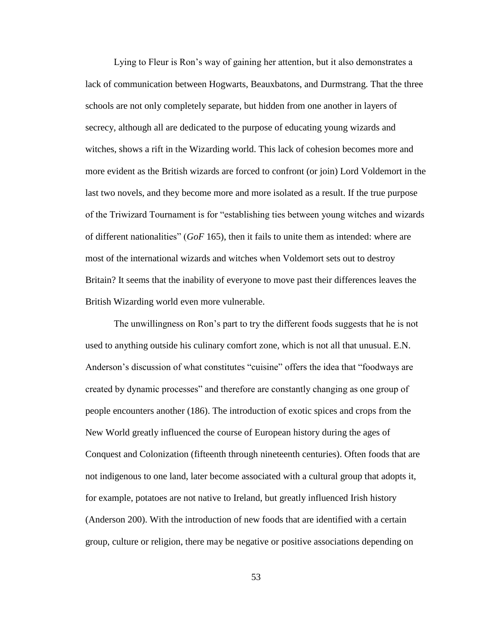Lying to Fleur is Ron's way of gaining her attention, but it also demonstrates a lack of communication between Hogwarts, Beauxbatons, and Durmstrang. That the three schools are not only completely separate, but hidden from one another in layers of secrecy, although all are dedicated to the purpose of educating young wizards and witches, shows a rift in the Wizarding world. This lack of cohesion becomes more and more evident as the British wizards are forced to confront (or join) Lord Voldemort in the last two novels, and they become more and more isolated as a result. If the true purpose of the Triwizard Tournament is for "establishing ties between young witches and wizards of different nationalities" (*GoF* 165), then it fails to unite them as intended: where are most of the international wizards and witches when Voldemort sets out to destroy Britain? It seems that the inability of everyone to move past their differences leaves the British Wizarding world even more vulnerable.

The unwillingness on Ron's part to try the different foods suggests that he is not used to anything outside his culinary comfort zone, which is not all that unusual. E.N. Anderson's discussion of what constitutes "cuisine" offers the idea that "foodways are created by dynamic processes" and therefore are constantly changing as one group of people encounters another (186). The introduction of exotic spices and crops from the New World greatly influenced the course of European history during the ages of Conquest and Colonization (fifteenth through nineteenth centuries). Often foods that are not indigenous to one land, later become associated with a cultural group that adopts it, for example, potatoes are not native to Ireland, but greatly influenced Irish history (Anderson 200). With the introduction of new foods that are identified with a certain group, culture or religion, there may be negative or positive associations depending on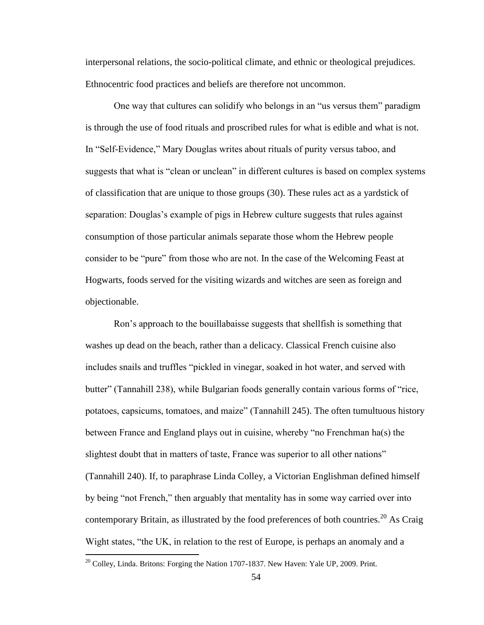interpersonal relations, the socio-political climate, and ethnic or theological prejudices. Ethnocentric food practices and beliefs are therefore not uncommon.

One way that cultures can solidify who belongs in an "us versus them" paradigm is through the use of food rituals and proscribed rules for what is edible and what is not. In "Self-Evidence," Mary Douglas writes about rituals of purity versus taboo, and suggests that what is "clean or unclean" in different cultures is based on complex systems of classification that are unique to those groups (30). These rules act as a yardstick of separation: Douglas's example of pigs in Hebrew culture suggests that rules against consumption of those particular animals separate those whom the Hebrew people consider to be "pure" from those who are not. In the case of the Welcoming Feast at Hogwarts, foods served for the visiting wizards and witches are seen as foreign and objectionable.

Ron's approach to the bouillabaisse suggests that shellfish is something that washes up dead on the beach, rather than a delicacy. Classical French cuisine also includes snails and truffles "pickled in vinegar, soaked in hot water, and served with butter" (Tannahill 238), while Bulgarian foods generally contain various forms of "rice, potatoes, capsicums, tomatoes, and maize" (Tannahill 245). The often tumultuous history between France and England plays out in cuisine, whereby "no Frenchman ha(s) the slightest doubt that in matters of taste, France was superior to all other nations" (Tannahill 240). If, to paraphrase Linda Colley, a Victorian Englishman defined himself by being "not French," then arguably that mentality has in some way carried over into contemporary Britain, as illustrated by the food preferences of both countries.<sup>20</sup> As Craig Wight states, "the UK, in relation to the rest of Europe, is perhaps an anomaly and a

 $20$  Colley, Linda. Britons: Forging the Nation 1707-1837. New Haven: Yale UP, 2009. Print.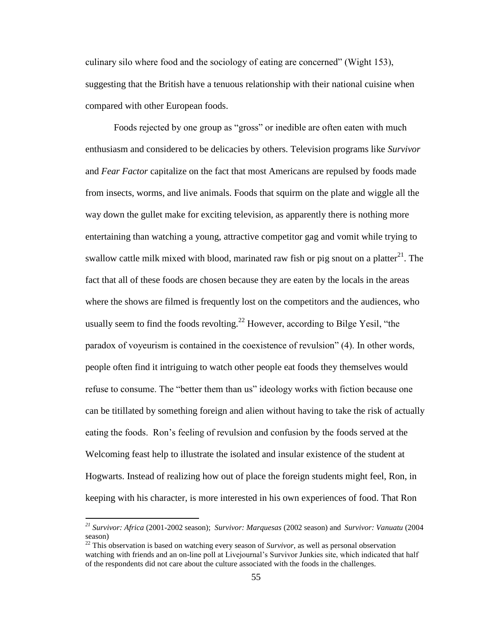culinary silo where food and the sociology of eating are concerned" (Wight 153), suggesting that the British have a tenuous relationship with their national cuisine when compared with other European foods.

Foods rejected by one group as "gross" or inedible are often eaten with much enthusiasm and considered to be delicacies by others. Television programs like *Survivor* and *Fear Factor* capitalize on the fact that most Americans are repulsed by foods made from insects, worms, and live animals. Foods that squirm on the plate and wiggle all the way down the gullet make for exciting television, as apparently there is nothing more entertaining than watching a young, attractive competitor gag and vomit while trying to swallow cattle milk mixed with blood, marinated raw fish or pig snout on a platter $^{21}$ . The fact that all of these foods are chosen because they are eaten by the locals in the areas where the shows are filmed is frequently lost on the competitors and the audiences, who usually seem to find the foods revolting.<sup>22</sup> However, according to Bilge Yesil, "the paradox of voyeurism is contained in the coexistence of revulsion" (4). In other words, people often find it intriguing to watch other people eat foods they themselves would refuse to consume. The "better them than us" ideology works with fiction because one can be titillated by something foreign and alien without having to take the risk of actually eating the foods. Ron's feeling of revulsion and confusion by the foods served at the Welcoming feast help to illustrate the isolated and insular existence of the student at Hogwarts. Instead of realizing how out of place the foreign students might feel, Ron, in keeping with his character, is more interested in his own experiences of food. That Ron

*<sup>21</sup> Survivor: Africa* (2001-2002 season); *Survivor: Marquesas* (2002 season) and *Survivor: Vanuatu* (2004 season)

 $22$  This observation is based on watching every season of *Survivor*, as well as personal observation watching with friends and an on-line poll at Livejournal's Survivor Junkies site, which indicated that half of the respondents did not care about the culture associated with the foods in the challenges.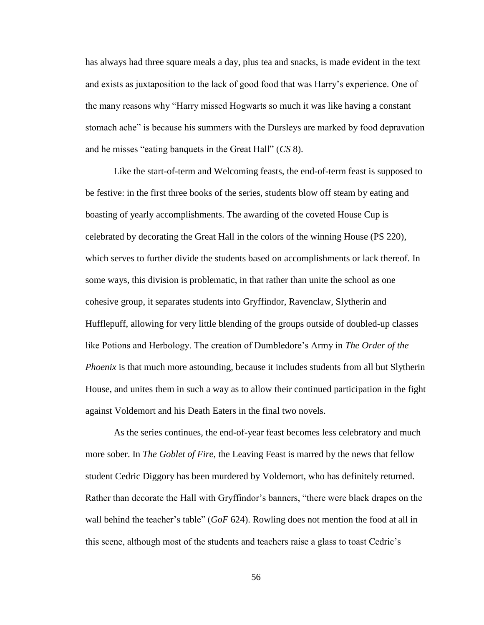has always had three square meals a day, plus tea and snacks, is made evident in the text and exists as juxtaposition to the lack of good food that was Harry's experience. One of the many reasons why "Harry missed Hogwarts so much it was like having a constant stomach ache" is because his summers with the Dursleys are marked by food depravation and he misses "eating banquets in the Great Hall" (*CS* 8).

Like the start-of-term and Welcoming feasts, the end-of-term feast is supposed to be festive: in the first three books of the series, students blow off steam by eating and boasting of yearly accomplishments. The awarding of the coveted House Cup is celebrated by decorating the Great Hall in the colors of the winning House (PS 220), which serves to further divide the students based on accomplishments or lack thereof. In some ways, this division is problematic, in that rather than unite the school as one cohesive group, it separates students into Gryffindor, Ravenclaw, Slytherin and Hufflepuff, allowing for very little blending of the groups outside of doubled-up classes like Potions and Herbology. The creation of Dumbledore's Army in *The Order of the Phoenix* is that much more astounding, because it includes students from all but Slytherin House, and unites them in such a way as to allow their continued participation in the fight against Voldemort and his Death Eaters in the final two novels.

As the series continues, the end-of-year feast becomes less celebratory and much more sober. In *The Goblet of Fire*, the Leaving Feast is marred by the news that fellow student Cedric Diggory has been murdered by Voldemort, who has definitely returned. Rather than decorate the Hall with Gryffindor's banners, "there were black drapes on the wall behind the teacher's table" (*GoF* 624). Rowling does not mention the food at all in this scene, although most of the students and teachers raise a glass to toast Cedric's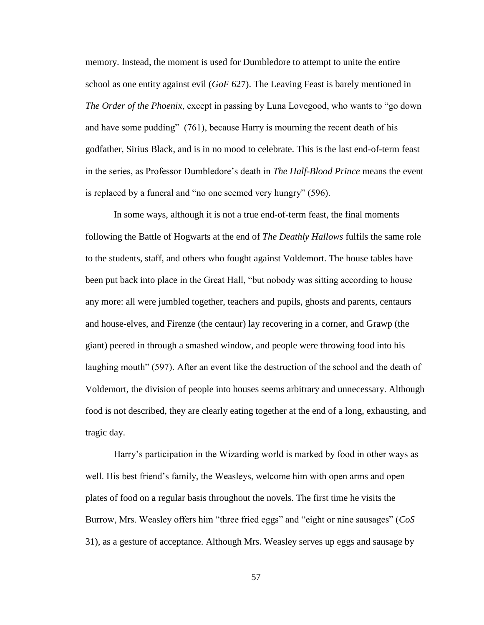memory. Instead, the moment is used for Dumbledore to attempt to unite the entire school as one entity against evil (*GoF* 627). The Leaving Feast is barely mentioned in *The Order of the Phoenix*, except in passing by Luna Lovegood, who wants to "go down and have some pudding" (761), because Harry is mourning the recent death of his godfather, Sirius Black, and is in no mood to celebrate. This is the last end-of-term feast in the series, as Professor Dumbledore's death in *The Half-Blood Prince* means the event is replaced by a funeral and "no one seemed very hungry" (596).

In some ways, although it is not a true end-of-term feast, the final moments following the Battle of Hogwarts at the end of *The Deathly Hallows* fulfils the same role to the students, staff, and others who fought against Voldemort. The house tables have been put back into place in the Great Hall, "but nobody was sitting according to house any more: all were jumbled together, teachers and pupils, ghosts and parents, centaurs and house-elves, and Firenze (the centaur) lay recovering in a corner, and Grawp (the giant) peered in through a smashed window, and people were throwing food into his laughing mouth" (597). After an event like the destruction of the school and the death of Voldemort, the division of people into houses seems arbitrary and unnecessary. Although food is not described, they are clearly eating together at the end of a long, exhausting, and tragic day.

Harry's participation in the Wizarding world is marked by food in other ways as well. His best friend's family, the Weasleys, welcome him with open arms and open plates of food on a regular basis throughout the novels. The first time he visits the Burrow, Mrs. Weasley offers him "three fried eggs" and "eight or nine sausages" (*CoS* 31), as a gesture of acceptance. Although Mrs. Weasley serves up eggs and sausage by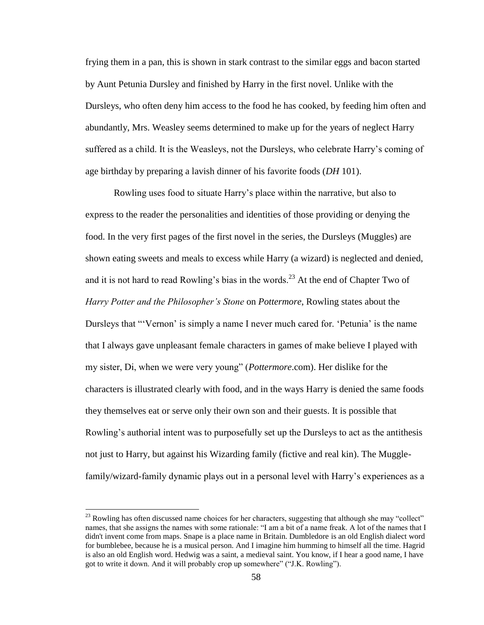frying them in a pan, this is shown in stark contrast to the similar eggs and bacon started by Aunt Petunia Dursley and finished by Harry in the first novel. Unlike with the Dursleys, who often deny him access to the food he has cooked, by feeding him often and abundantly, Mrs. Weasley seems determined to make up for the years of neglect Harry suffered as a child. It is the Weasleys, not the Dursleys, who celebrate Harry's coming of age birthday by preparing a lavish dinner of his favorite foods (*DH* 101).

Rowling uses food to situate Harry's place within the narrative, but also to express to the reader the personalities and identities of those providing or denying the food. In the very first pages of the first novel in the series, the Dursleys (Muggles) are shown eating sweets and meals to excess while Harry (a wizard) is neglected and denied, and it is not hard to read Rowling's bias in the words.<sup>23</sup> At the end of Chapter Two of *Harry Potter and the Philosopher's Stone* on *Pottermore*, Rowling states about the Dursleys that "'Vernon' is simply a name I never much cared for. 'Petunia' is the name that I always gave unpleasant female characters in games of make believe I played with my sister, Di, when we were very young" (*Pottermore*.com). Her dislike for the characters is illustrated clearly with food, and in the ways Harry is denied the same foods they themselves eat or serve only their own son and their guests. It is possible that Rowling's authorial intent was to purposefully set up the Dursleys to act as the antithesis not just to Harry, but against his Wizarding family (fictive and real kin). The Mugglefamily/wizard-family dynamic plays out in a personal level with Harry's experiences as a

<sup>&</sup>lt;sup>23</sup> Rowling has often discussed name choices for her characters, suggesting that although she may "collect" names, that she assigns the names with some rationale: "I am a bit of a name freak. A lot of the names that I didn't invent come from maps. Snape is a place name in Britain. Dumbledore is an old English dialect word for bumblebee, because he is a musical person. And I imagine him humming to himself all the time. Hagrid is also an old English word. Hedwig was a saint, a medieval saint. You know, if I hear a good name, I have got to write it down. And it will probably crop up somewhere" ("J.K. Rowling").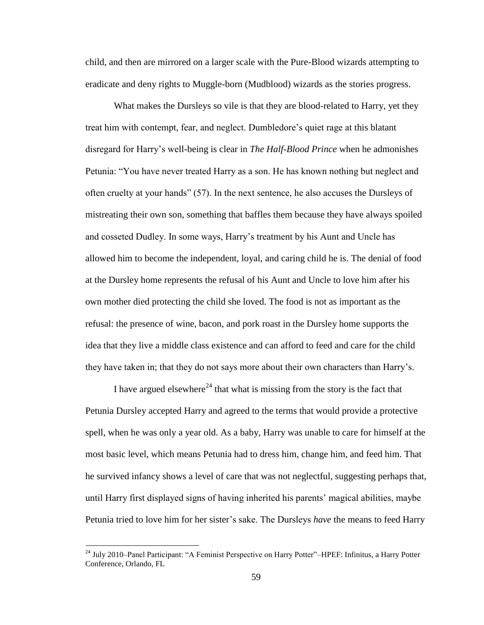child, and then are mirrored on a larger scale with the Pure-Blood wizards attempting to eradicate and deny rights to Muggle-born (Mudblood) wizards as the stories progress.

What makes the Dursleys so vile is that they are blood-related to Harry, yet they treat him with contempt, fear, and neglect. Dumbledore's quiet rage at this blatant disregard for Harry's well-being is clear in *The Half-Blood Prince* when he admonishes Petunia: "You have never treated Harry as a son. He has known nothing but neglect and often cruelty at your hands" (57). In the next sentence, he also accuses the Dursleys of mistreating their own son, something that baffles them because they have always spoiled and cosseted Dudley. In some ways, Harry's treatment by his Aunt and Uncle has allowed him to become the independent, loyal, and caring child he is. The denial of food at the Dursley home represents the refusal of his Aunt and Uncle to love him after his own mother died protecting the child she loved. The food is not as important as the refusal: the presence of wine, bacon, and pork roast in the Dursley home supports the idea that they live a middle class existence and can afford to feed and care for the child they have taken in; that they do not says more about their own characters than Harry's.

I have argued elsewhere<sup>24</sup> that what is missing from the story is the fact that Petunia Dursley accepted Harry and agreed to the terms that would provide a protective spell, when he was only a year old. As a baby, Harry was unable to care for himself at the most basic level, which means Petunia had to dress him, change him, and feed him. That he survived infancy shows a level of care that was not neglectful, suggesting perhaps that, until Harry first displayed signs of having inherited his parents' magical abilities, maybe Petunia tried to love him for her sister's sake. The Dursleys *have* the means to feed Harry

<sup>&</sup>lt;sup>24</sup> July 2010–Panel Participant: "A Feminist Perspective on Harry Potter"–HPEF: Infinitus, a Harry Potter Conference, Orlando, FL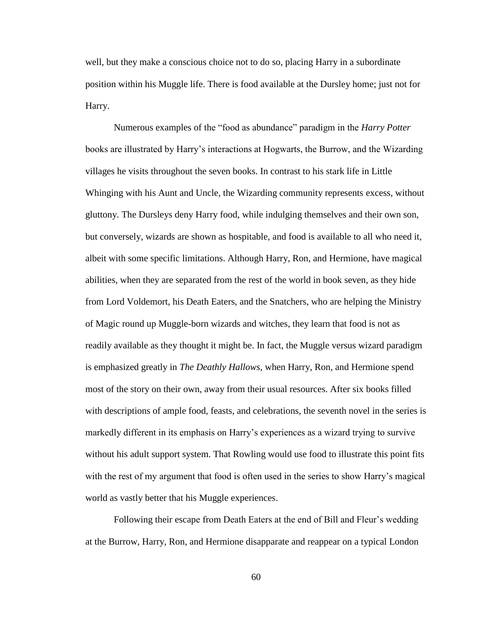well, but they make a conscious choice not to do so, placing Harry in a subordinate position within his Muggle life. There is food available at the Dursley home; just not for Harry.

Numerous examples of the "food as abundance" paradigm in the *Harry Potter* books are illustrated by Harry's interactions at Hogwarts, the Burrow, and the Wizarding villages he visits throughout the seven books. In contrast to his stark life in Little Whinging with his Aunt and Uncle, the Wizarding community represents excess, without gluttony. The Dursleys deny Harry food, while indulging themselves and their own son, but conversely, wizards are shown as hospitable, and food is available to all who need it, albeit with some specific limitations. Although Harry, Ron, and Hermione, have magical abilities, when they are separated from the rest of the world in book seven, as they hide from Lord Voldemort, his Death Eaters, and the Snatchers, who are helping the Ministry of Magic round up Muggle-born wizards and witches, they learn that food is not as readily available as they thought it might be. In fact, the Muggle versus wizard paradigm is emphasized greatly in *The Deathly Hallows*, when Harry, Ron, and Hermione spend most of the story on their own, away from their usual resources. After six books filled with descriptions of ample food, feasts, and celebrations, the seventh novel in the series is markedly different in its emphasis on Harry's experiences as a wizard trying to survive without his adult support system. That Rowling would use food to illustrate this point fits with the rest of my argument that food is often used in the series to show Harry's magical world as vastly better that his Muggle experiences.

Following their escape from Death Eaters at the end of Bill and Fleur's wedding at the Burrow, Harry, Ron, and Hermione disapparate and reappear on a typical London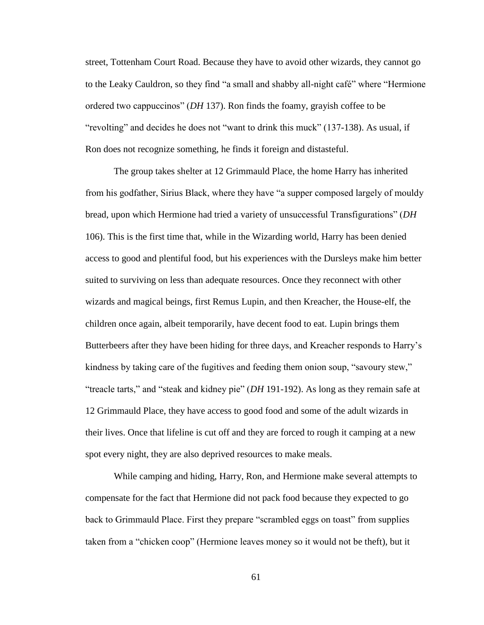street, Tottenham Court Road. Because they have to avoid other wizards, they cannot go to the Leaky Cauldron, so they find "a small and shabby all-night café" where "Hermione ordered two cappuccinos" (*DH* 137). Ron finds the foamy, grayish coffee to be "revolting" and decides he does not "want to drink this muck" (137-138). As usual, if Ron does not recognize something, he finds it foreign and distasteful.

The group takes shelter at 12 Grimmauld Place, the home Harry has inherited from his godfather, Sirius Black, where they have "a supper composed largely of mouldy bread, upon which Hermione had tried a variety of unsuccessful Transfigurations" (*DH*  106). This is the first time that, while in the Wizarding world, Harry has been denied access to good and plentiful food, but his experiences with the Dursleys make him better suited to surviving on less than adequate resources. Once they reconnect with other wizards and magical beings, first Remus Lupin, and then Kreacher, the House-elf, the children once again, albeit temporarily, have decent food to eat. Lupin brings them Butterbeers after they have been hiding for three days, and Kreacher responds to Harry's kindness by taking care of the fugitives and feeding them onion soup, "savoury stew," "treacle tarts," and "steak and kidney pie" (*DH* 191-192). As long as they remain safe at 12 Grimmauld Place, they have access to good food and some of the adult wizards in their lives. Once that lifeline is cut off and they are forced to rough it camping at a new spot every night, they are also deprived resources to make meals.

While camping and hiding, Harry, Ron, and Hermione make several attempts to compensate for the fact that Hermione did not pack food because they expected to go back to Grimmauld Place. First they prepare "scrambled eggs on toast" from supplies taken from a "chicken coop" (Hermione leaves money so it would not be theft), but it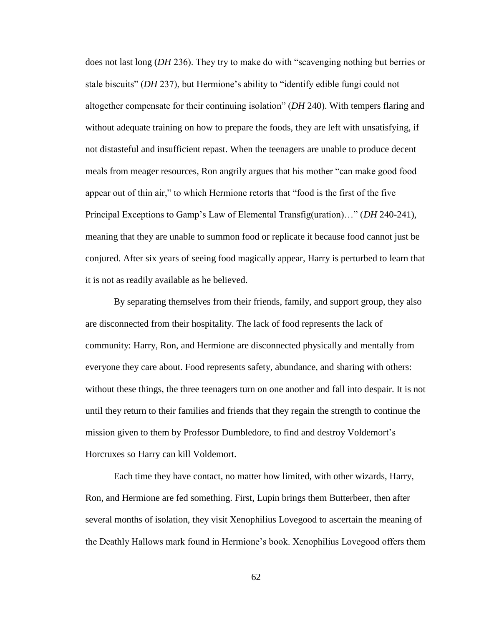does not last long (*DH* 236). They try to make do with "scavenging nothing but berries or stale biscuits" (*DH* 237), but Hermione's ability to "identify edible fungi could not altogether compensate for their continuing isolation" (*DH* 240). With tempers flaring and without adequate training on how to prepare the foods, they are left with unsatisfying, if not distasteful and insufficient repast. When the teenagers are unable to produce decent meals from meager resources, Ron angrily argues that his mother "can make good food appear out of thin air," to which Hermione retorts that "food is the first of the five Principal Exceptions to Gamp's Law of Elemental Transfig(uration)…" (*DH* 240-241), meaning that they are unable to summon food or replicate it because food cannot just be conjured. After six years of seeing food magically appear, Harry is perturbed to learn that it is not as readily available as he believed.

By separating themselves from their friends, family, and support group, they also are disconnected from their hospitality. The lack of food represents the lack of community: Harry, Ron, and Hermione are disconnected physically and mentally from everyone they care about. Food represents safety, abundance, and sharing with others: without these things, the three teenagers turn on one another and fall into despair. It is not until they return to their families and friends that they regain the strength to continue the mission given to them by Professor Dumbledore, to find and destroy Voldemort's Horcruxes so Harry can kill Voldemort.

Each time they have contact, no matter how limited, with other wizards, Harry, Ron, and Hermione are fed something. First, Lupin brings them Butterbeer, then after several months of isolation, they visit Xenophilius Lovegood to ascertain the meaning of the Deathly Hallows mark found in Hermione's book. Xenophilius Lovegood offers them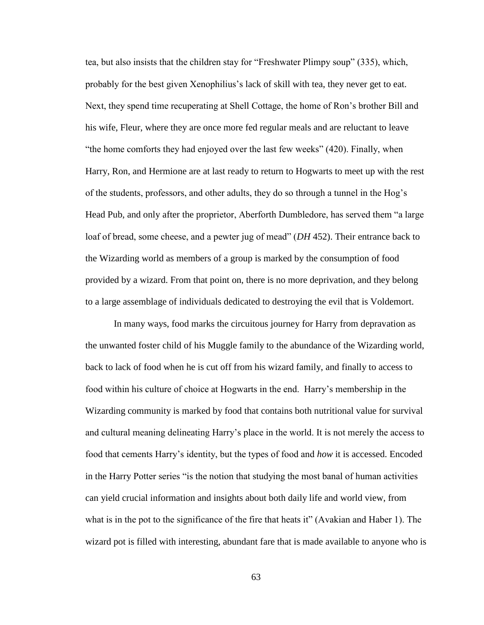tea, but also insists that the children stay for "Freshwater Plimpy soup" (335), which, probably for the best given Xenophilius's lack of skill with tea, they never get to eat. Next, they spend time recuperating at Shell Cottage, the home of Ron's brother Bill and his wife, Fleur, where they are once more fed regular meals and are reluctant to leave "the home comforts they had enjoyed over the last few weeks" (420). Finally, when Harry, Ron, and Hermione are at last ready to return to Hogwarts to meet up with the rest of the students, professors, and other adults, they do so through a tunnel in the Hog's Head Pub, and only after the proprietor, Aberforth Dumbledore, has served them "a large loaf of bread, some cheese, and a pewter jug of mead" (*DH* 452). Their entrance back to the Wizarding world as members of a group is marked by the consumption of food provided by a wizard. From that point on, there is no more deprivation, and they belong to a large assemblage of individuals dedicated to destroying the evil that is Voldemort.

In many ways, food marks the circuitous journey for Harry from depravation as the unwanted foster child of his Muggle family to the abundance of the Wizarding world, back to lack of food when he is cut off from his wizard family, and finally to access to food within his culture of choice at Hogwarts in the end. Harry's membership in the Wizarding community is marked by food that contains both nutritional value for survival and cultural meaning delineating Harry's place in the world. It is not merely the access to food that cements Harry's identity, but the types of food and *how* it is accessed. Encoded in the Harry Potter series "is the notion that studying the most banal of human activities can yield crucial information and insights about both daily life and world view, from what is in the pot to the significance of the fire that heats it" (Avakian and Haber 1). The wizard pot is filled with interesting, abundant fare that is made available to anyone who is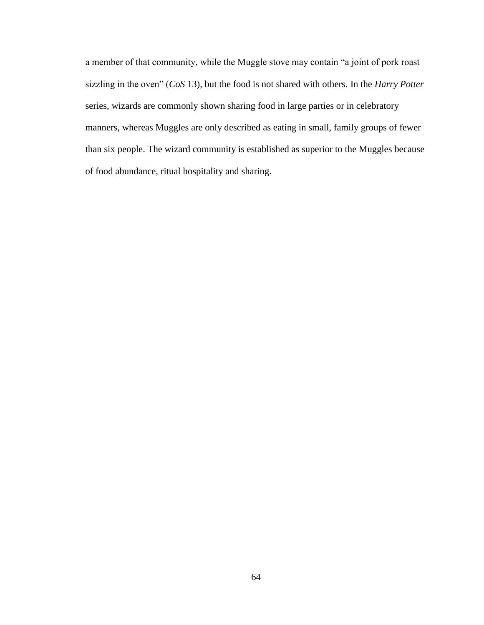a member of that community, while the Muggle stove may contain "a joint of pork roast sizzling in the oven" (*CoS* 13), but the food is not shared with others. In the *Harry Potter* series, wizards are commonly shown sharing food in large parties or in celebratory manners, whereas Muggles are only described as eating in small, family groups of fewer than six people. The wizard community is established as superior to the Muggles because of food abundance, ritual hospitality and sharing.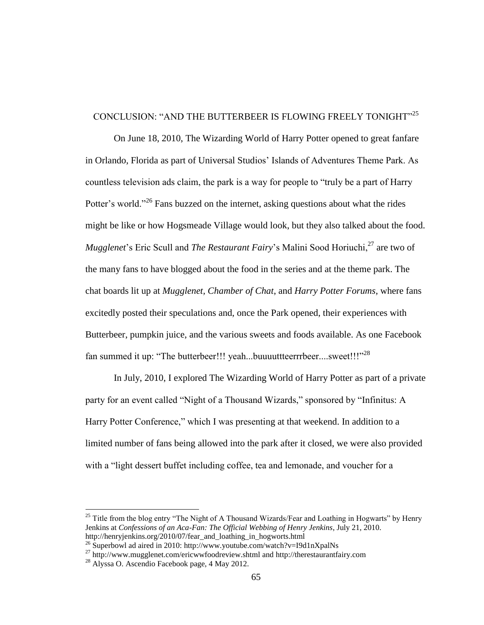## CONCLUSION: "AND THE BUTTERBEER IS FLOWING FREELY TONIGHT"<sup>25</sup>

On June 18, 2010, The Wizarding World of Harry Potter opened to great fanfare in Orlando, Florida as part of Universal Studios' Islands of Adventures Theme Park. As countless television ads claim, the park is a way for people to "truly be a part of Harry Potter's world."<sup>26</sup> Fans buzzed on the internet, asking questions about what the rides might be like or how Hogsmeade Village would look, but they also talked about the food. *Mugglenet*'s Eric Scull and *The Restaurant Fairy*'s Malini Sood Horiuchi,<sup>27</sup> are two of the many fans to have blogged about the food in the series and at the theme park. The chat boards lit up at *Mugglenet, Chamber of Chat*, and *Harry Potter Forums*, where fans excitedly posted their speculations and, once the Park opened, their experiences with Butterbeer, pumpkin juice, and the various sweets and foods available. As one Facebook fan summed it up: "The butterbeer!!! yeah...buuuuttteerrrbeer....sweet!!!"<sup>28</sup>

In July, 2010, I explored The Wizarding World of Harry Potter as part of a private party for an event called "Night of a Thousand Wizards," sponsored by "Infinitus: A Harry Potter Conference," which I was presenting at that weekend. In addition to a limited number of fans being allowed into the park after it closed, we were also provided with a "light dessert buffet including coffee, tea and lemonade, and voucher for a

 $25$  Title from the blog entry "The Night of A Thousand Wizards/Fear and Loathing in Hogwarts" by Henry Jenkins at *Confessions of an Aca-Fan: The Official Webbing of Henry Jenkins*, July 21, 2010. http://henryjenkins.org/2010/07/fear\_and\_loathing\_in\_hogworts.html

<sup>&</sup>lt;sup>26</sup> Superbowl ad aired in 2010: http://www.youtube.com/watch?v=I9d1nXpalNs

 $^{27}$  http://www.mugglenet.com/ericwwfoodreview.shtml and http://therestaurantfairy.com

<sup>28</sup> Alyssa O. Ascendio Facebook page, 4 May 2012.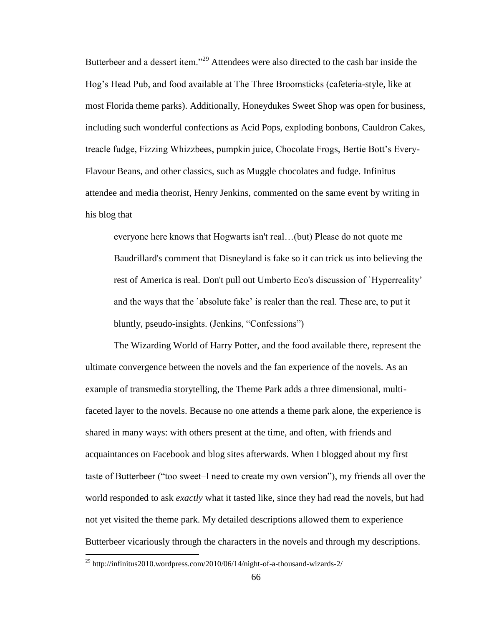Butterbeer and a dessert item."<sup>29</sup> Attendees were also directed to the cash bar inside the Hog's Head Pub, and food available at The Three Broomsticks (cafeteria-style, like at most Florida theme parks). Additionally, Honeydukes Sweet Shop was open for business, including such wonderful confections as Acid Pops, exploding bonbons, Cauldron Cakes, treacle fudge, Fizzing Whizzbees, pumpkin juice, Chocolate Frogs, Bertie Bott's Every-Flavour Beans, and other classics, such as Muggle chocolates and fudge. Infinitus attendee and media theorist, Henry Jenkins, commented on the same event by writing in his blog that

everyone here knows that Hogwarts isn't real…(but) Please do not quote me Baudrillard's comment that Disneyland is fake so it can trick us into believing the rest of America is real. Don't pull out Umberto Eco's discussion of `Hyperreality' and the ways that the `absolute fake' is realer than the real. These are, to put it bluntly, pseudo-insights. (Jenkins, "Confessions")

The Wizarding World of Harry Potter, and the food available there, represent the ultimate convergence between the novels and the fan experience of the novels. As an example of transmedia storytelling, the Theme Park adds a three dimensional, multifaceted layer to the novels. Because no one attends a theme park alone, the experience is shared in many ways: with others present at the time, and often, with friends and acquaintances on Facebook and blog sites afterwards. When I blogged about my first taste of Butterbeer ("too sweet–I need to create my own version"), my friends all over the world responded to ask *exactly* what it tasted like, since they had read the novels, but had not yet visited the theme park. My detailed descriptions allowed them to experience Butterbeer vicariously through the characters in the novels and through my descriptions.

 $\overline{a}$ 

<sup>&</sup>lt;sup>29</sup> http://infinitus2010.wordpress.com/2010/06/14/night-of-a-thousand-wizards-2/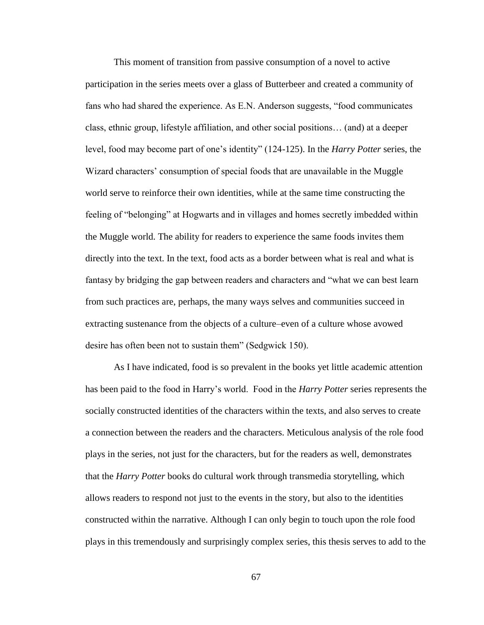This moment of transition from passive consumption of a novel to active participation in the series meets over a glass of Butterbeer and created a community of fans who had shared the experience. As E.N. Anderson suggests, "food communicates class, ethnic group, lifestyle affiliation, and other social positions… (and) at a deeper level, food may become part of one's identity" (124-125). In the *Harry Potter* series, the Wizard characters' consumption of special foods that are unavailable in the Muggle world serve to reinforce their own identities, while at the same time constructing the feeling of "belonging" at Hogwarts and in villages and homes secretly imbedded within the Muggle world. The ability for readers to experience the same foods invites them directly into the text. In the text, food acts as a border between what is real and what is fantasy by bridging the gap between readers and characters and "what we can best learn from such practices are, perhaps, the many ways selves and communities succeed in extracting sustenance from the objects of a culture–even of a culture whose avowed desire has often been not to sustain them" (Sedgwick 150).

As I have indicated, food is so prevalent in the books yet little academic attention has been paid to the food in Harry's world. Food in the *Harry Potter* series represents the socially constructed identities of the characters within the texts, and also serves to create a connection between the readers and the characters. Meticulous analysis of the role food plays in the series, not just for the characters, but for the readers as well, demonstrates that the *Harry Potter* books do cultural work through transmedia storytelling, which allows readers to respond not just to the events in the story, but also to the identities constructed within the narrative. Although I can only begin to touch upon the role food plays in this tremendously and surprisingly complex series, this thesis serves to add to the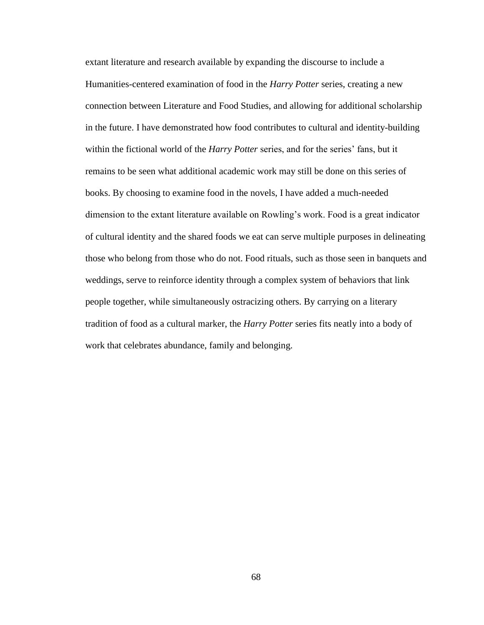extant literature and research available by expanding the discourse to include a Humanities-centered examination of food in the *Harry Potter* series, creating a new connection between Literature and Food Studies, and allowing for additional scholarship in the future. I have demonstrated how food contributes to cultural and identity-building within the fictional world of the *Harry Potter* series, and for the series' fans, but it remains to be seen what additional academic work may still be done on this series of books. By choosing to examine food in the novels, I have added a much-needed dimension to the extant literature available on Rowling's work. Food is a great indicator of cultural identity and the shared foods we eat can serve multiple purposes in delineating those who belong from those who do not. Food rituals, such as those seen in banquets and weddings, serve to reinforce identity through a complex system of behaviors that link people together, while simultaneously ostracizing others. By carrying on a literary tradition of food as a cultural marker, the *Harry Potter* series fits neatly into a body of work that celebrates abundance, family and belonging.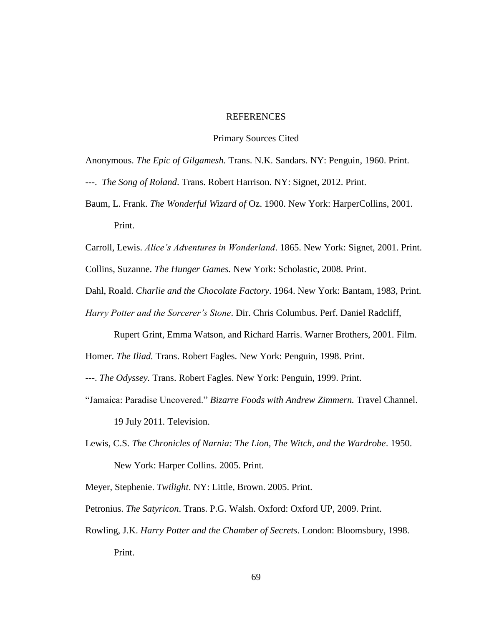## **REFERENCES**

### Primary Sources Cited

Anonymous. *The Epic of Gilgamesh.* Trans. N.K. Sandars. NY: Penguin, 1960. Print.

- ---. *The Song of Roland*. Trans. Robert Harrison. NY: Signet, 2012. Print.
- Baum, L. Frank. *The Wonderful Wizard of* Oz. 1900. New York: HarperCollins, 2001. Print.

Carroll, Lewis. *Alice's Adventures in Wonderland*. 1865. New York: Signet, 2001. Print.

Collins, Suzanne. *The Hunger Games.* New York: Scholastic, 2008. Print.

- Dahl, Roald. *Charlie and the Chocolate Factory*. 1964. New York: Bantam, 1983, Print.
- *Harry Potter and the Sorcerer's Stone*. Dir. Chris Columbus. Perf. Daniel Radcliff,

Rupert Grint, Emma Watson, and Richard Harris. Warner Brothers, 2001. Film.

Homer. *The Iliad.* Trans. Robert Fagles. New York: Penguin, 1998. Print.

---. *The Odyssey.* Trans. Robert Fagles. New York: Penguin, 1999. Print.

"Jamaica: Paradise Uncovered." *Bizarre Foods with Andrew Zimmern.* Travel Channel.

19 July 2011*.* Television.

Lewis, C.S. *The Chronicles of Narnia: The Lion, The Witch, and the Wardrobe*. 1950. New York: Harper Collins. 2005. Print.

Meyer, Stephenie. *Twilight*. NY: Little, Brown. 2005. Print.

- Petronius. *The Satyricon*. Trans. P.G. Walsh. Oxford: Oxford UP, 2009. Print.
- Rowling, J.K. *Harry Potter and the Chamber of Secrets*. London: Bloomsbury, 1998. Print.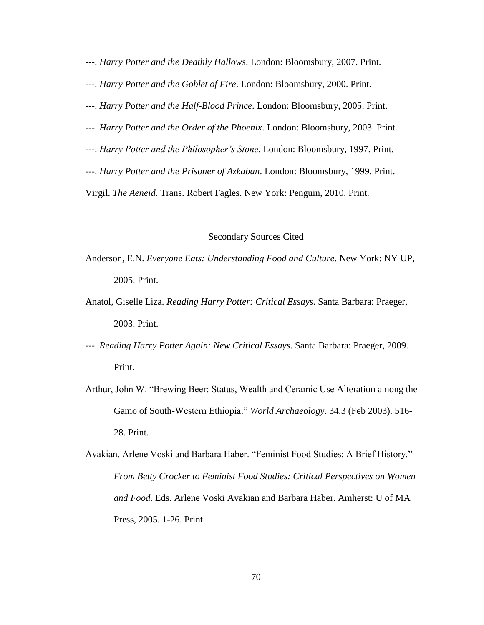- ---. *Harry Potter and the Deathly Hallows*. London: Bloomsbury, 2007. Print.
- ---. *Harry Potter and the Goblet of Fire*. London: Bloomsbury, 2000. Print.
- ---. *Harry Potter and the Half-Blood Prince*. London: Bloomsbury, 2005. Print.
- ---. *Harry Potter and the Order of the Phoenix*. London: Bloomsbury, 2003. Print.
- ---. *Harry Potter and the Philosopher's Stone*. London: Bloomsbury, 1997. Print.
- ---. *Harry Potter and the Prisoner of Azkaban*. London: Bloomsbury, 1999. Print.

Virgil. *The Aeneid*. Trans. Robert Fagles. New York: Penguin, 2010. Print.

#### Secondary Sources Cited

- Anderson, E.N. *Everyone Eats: Understanding Food and Culture*. New York: NY UP, 2005. Print.
- Anatol, Giselle Liza. *Reading Harry Potter: Critical Essays*. Santa Barbara: Praeger, 2003. Print.
- ---. *Reading Harry Potter Again: New Critical Essays*. Santa Barbara: Praeger, 2009. Print.
- Arthur, John W. "Brewing Beer: Status, Wealth and Ceramic Use Alteration among the Gamo of South-Western Ethiopia." *World Archaeology*. 34.3 (Feb 2003). 516- 28. Print.
- Avakian, Arlene Voski and Barbara Haber. "Feminist Food Studies: A Brief History." *From Betty Crocker to Feminist Food Studies: Critical Perspectives on Women and Food.* Eds. Arlene Voski Avakian and Barbara Haber. Amherst: U of MA Press, 2005. 1-26. Print.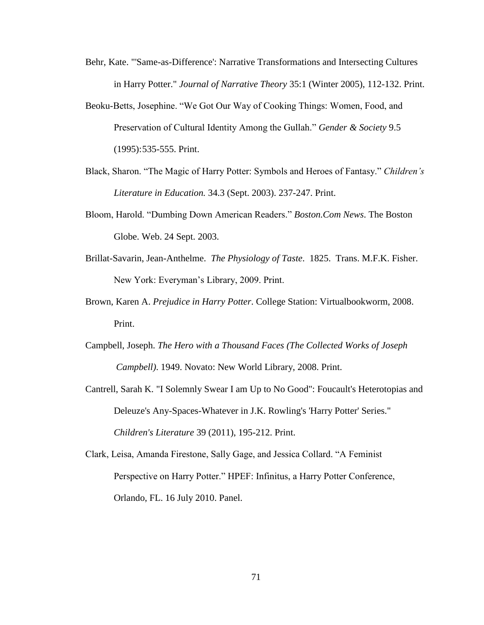- Behr, Kate. "'Same-as-Difference': Narrative Transformations and Intersecting Cultures in Harry Potter." *Journal of Narrative Theory* 35:1 (Winter 2005), 112-132. Print.
- Beoku-Betts, Josephine. "We Got Our Way of Cooking Things: Women, Food, and Preservation of Cultural Identity Among the Gullah." *Gender & Society* 9.5 (1995):535-555. Print.
- Black, Sharon. "The Magic of Harry Potter: Symbols and Heroes of Fantasy." *Children's Literature in Education.* 34.3 (Sept. 2003). 237-247. Print.
- Bloom, Harold. "Dumbing Down American Readers." *Boston.Com News*. The Boston Globe. Web. 24 Sept. 2003.
- Brillat-Savarin, Jean-Anthelme. *The Physiology of Taste*. 1825. Trans. M.F.K. Fisher. New York: Everyman's Library, 2009. Print.
- Brown, Karen A. *Prejudice in Harry Potter*. College Station: Virtualbookworm, 2008. Print.
- Campbell, Joseph. *The Hero with a Thousand Faces (The Collected Works of Joseph Campbell)*. 1949. Novato: New World Library, 2008. Print.
- Cantrell, Sarah K. "I Solemnly Swear I am Up to No Good": Foucault's Heterotopias and Deleuze's Any-Spaces-Whatever in J.K. Rowling's 'Harry Potter' Series." *Children's Literature* 39 (2011), 195-212. Print.
- Clark, Leisa, Amanda Firestone, Sally Gage, and Jessica Collard. "A Feminist Perspective on Harry Potter." HPEF: Infinitus, a Harry Potter Conference, Orlando, FL. 16 July 2010. Panel.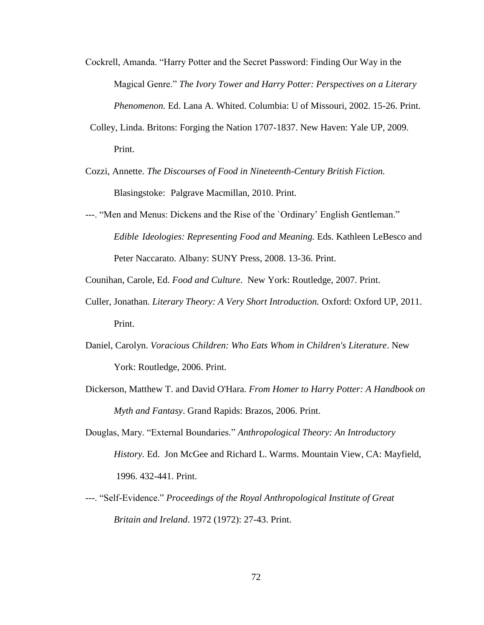- Cockrell, Amanda. "Harry Potter and the Secret Password: Finding Our Way in the Magical Genre." *The Ivory Tower and Harry Potter: Perspectives on a Literary Phenomenon.* Ed. Lana A. Whited. Columbia: U of Missouri, 2002. 15-26. Print.
- Colley, Linda. Britons: Forging the Nation 1707-1837. New Haven: Yale UP, 2009. Print.
- Cozzi, Annette. *The Discourses of Food in Nineteenth-Century British Fiction.*  Blasingstoke: Palgrave Macmillan, 2010. Print.
- ---. "Men and Menus: Dickens and the Rise of the `Ordinary' English Gentleman." *Edible Ideologies: Representing Food and Meaning.* Eds. Kathleen LeBesco and Peter Naccarato. Albany: SUNY Press, 2008. 13-36. Print.

Counihan, Carole, Ed. *Food and Culture*. New York: Routledge, 2007. Print.

- Culler, Jonathan. *Literary Theory: A Very Short Introduction.* Oxford: Oxford UP, 2011. Print.
- Daniel, Carolyn. *Voracious Children: Who Eats Whom in Children's Literature*. New York: Routledge, 2006. Print.
- Dickerson, Matthew T. and David O'Hara. *From Homer to Harry Potter: A Handbook on Myth and Fantasy*. Grand Rapids: Brazos, 2006. Print.
- Douglas, Mary. "External Boundaries." *Anthropological Theory: An Introductory History.* Ed. Jon McGee and Richard L. Warms. Mountain View, CA: Mayfield, 1996. 432-441. Print.
- ---. "Self-Evidence." *Proceedings of the Royal Anthropological Institute of Great Britain and Ireland*. 1972 (1972): 27-43. Print.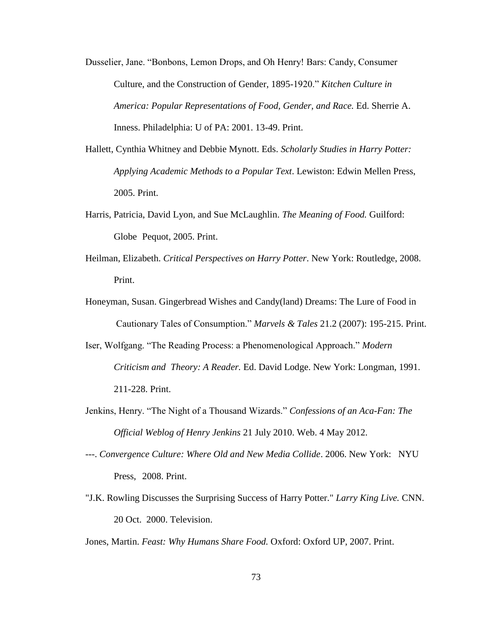Dusselier, Jane. "Bonbons, Lemon Drops, and Oh Henry! Bars: Candy, Consumer Culture, and the Construction of Gender, 1895-1920." *Kitchen Culture in America: Popular Representations of Food, Gender, and Race.* Ed. Sherrie A. Inness. Philadelphia: U of PA: 2001. 13-49. Print.

- Hallett, Cynthia Whitney and Debbie Mynott. Eds. *Scholarly Studies in Harry Potter: Applying Academic Methods to a Popular Text*. Lewiston: Edwin Mellen Press, 2005. Print.
- Harris, Patricia, David Lyon, and Sue McLaughlin. *The Meaning of Food.* Guilford: Globe Pequot, 2005. Print.
- Heilman, Elizabeth. *Critical Perspectives on Harry Potter*. New York: Routledge, 2008. Print.
- Honeyman, Susan. Gingerbread Wishes and Candy(land) Dreams: The Lure of Food in Cautionary Tales of Consumption." *Marvels & Tales* 21.2 (2007): 195-215. Print.
- Iser, Wolfgang. "The Reading Process: a Phenomenological Approach." *Modern Criticism and Theory: A Reader.* Ed. David Lodge. New York: Longman, 1991. 211-228. Print.
- Jenkins, Henry. "The Night of a Thousand Wizards." *Confessions of an Aca-Fan: The Official Weblog of Henry Jenkins* 21 July 2010. Web. 4 May 2012.
- ---. *Convergence Culture: Where Old and New Media Collide*. 2006. New York: NYU Press, 2008. Print.
- "J.K. Rowling Discusses the Surprising Success of Harry Potter." *Larry King Live.* CNN. 20 Oct. 2000. Television.

Jones, Martin. *Feast: Why Humans Share Food.* Oxford: Oxford UP, 2007. Print.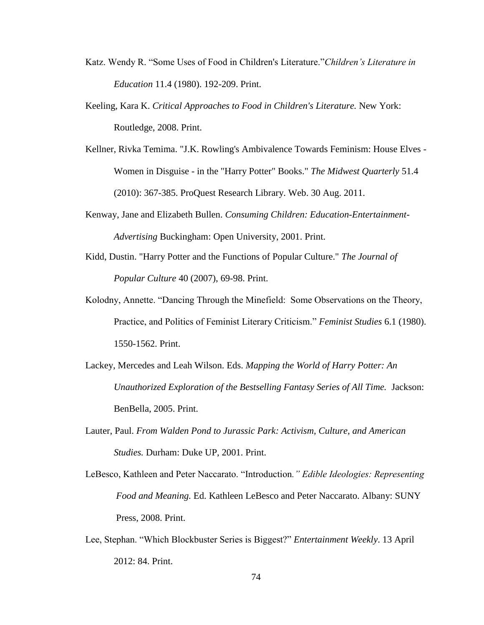- Katz. Wendy R. "Some Uses of Food in Children's Literature."*Children's Literature in Education* 11.4 (1980). 192-209. Print.
- Keeling, Kara K. *Critical Approaches to Food in Children's Literature.* New York: Routledge, 2008. Print.
- Kellner, Rivka Temima. "J.K. Rowling's Ambivalence Towards Feminism: House Elves Women in Disguise - in the "Harry Potter" Books." *The Midwest Quarterly* 51.4 (2010): 367-385. ProQuest Research Library. Web. 30 Aug. 2011.
- Kenway, Jane and Elizabeth Bullen. *Consuming Children: Education-Entertainment-Advertising* Buckingham: Open University, 2001. Print.
- Kidd, Dustin. "Harry Potter and the Functions of Popular Culture." *The Journal of Popular Culture* 40 (2007), 69-98. Print.
- Kolodny, Annette. "Dancing Through the Minefield: Some Observations on the Theory, Practice, and Politics of Feminist Literary Criticism." *Feminist Studies* 6.1 (1980). 1550-1562. Print.
- Lackey, Mercedes and Leah Wilson. Eds. *Mapping the World of Harry Potter: An Unauthorized Exploration of the Bestselling Fantasy Series of All Time.* Jackson: BenBella, 2005. Print.
- Lauter, Paul. *From Walden Pond to Jurassic Park: Activism, Culture, and American Studies.* Durham: Duke UP, 2001. Print.
- LeBesco, Kathleen and Peter Naccarato. "Introduction*." Edible Ideologies: Representing Food and Meaning.* Ed. Kathleen LeBesco and Peter Naccarato. Albany: SUNY Press, 2008. Print.
- Lee, Stephan. "Which Blockbuster Series is Biggest?" *Entertainment Weekly*. 13 April 2012: 84. Print.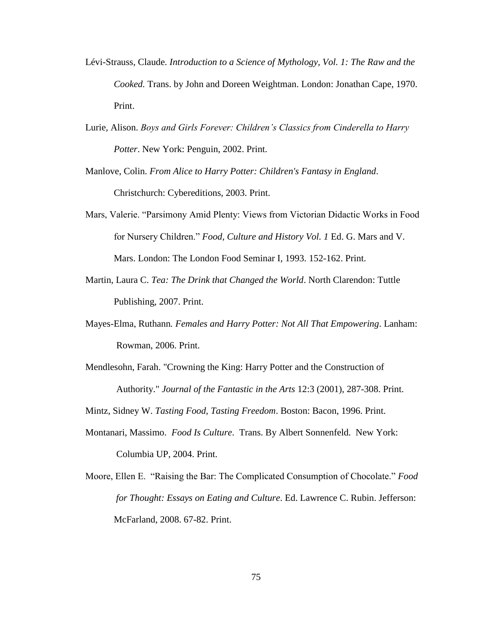- Lévi-Strauss, Claude. *Introduction to a Science of Mythology, Vol. 1: The Raw and the Cooked.* Trans. by John and Doreen Weightman. London: Jonathan Cape, 1970. Print.
- Lurie, Alison. *Boys and Girls Forever: Children's Classics from Cinderella to Harry Potter*. New York: Penguin, 2002. Print.
- Manlove, Colin. *From Alice to Harry Potter: Children's Fantasy in England*. Christchurch: Cybereditions, 2003. Print.
- Mars, Valerie. "Parsimony Amid Plenty: Views from Victorian Didactic Works in Food for Nursery Children." *Food, Culture and History Vol. 1* Ed. G. Mars and V. Mars. London: The London Food Seminar I*,* 1993. 152-162. Print.
- Martin, Laura C. *Tea: The Drink that Changed the World*. North Clarendon: Tuttle Publishing, 2007. Print.
- Mayes-Elma, Ruthann*. Females and Harry Potter: Not All That Empowering*. Lanham: Rowman, 2006. Print.
- Mendlesohn, Farah. "Crowning the King: Harry Potter and the Construction of Authority." *Journal of the Fantastic in the Arts* 12:3 (2001), 287-308. Print.
- Mintz, Sidney W. *Tasting Food, Tasting Freedom*. Boston: Bacon, 1996. Print.
- Montanari, Massimo. *Food Is Culture*. Trans. By Albert Sonnenfeld. New York: Columbia UP, 2004. Print.
- Moore, Ellen E. "Raising the Bar: The Complicated Consumption of Chocolate." *Food for Thought: Essays on Eating and Culture*. Ed. Lawrence C. Rubin. Jefferson: McFarland, 2008. 67-82. Print.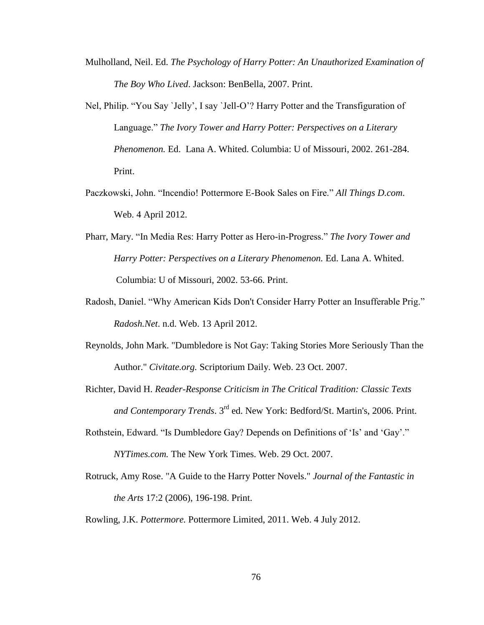- Mulholland, Neil. Ed. *The Psychology of Harry Potter: An Unauthorized Examination of The Boy Who Lived*. Jackson: BenBella, 2007. Print.
- Nel, Philip. "You Say `Jelly', I say `Jell-O'? Harry Potter and the Transfiguration of Language." *The Ivory Tower and Harry Potter: Perspectives on a Literary Phenomenon.* Ed. Lana A. Whited. Columbia: U of Missouri, 2002. 261-284. Print.
- Paczkowski, John. "Incendio! Pottermore E-Book Sales on Fire." *All Things D.com*. Web. 4 April 2012.
- Pharr, Mary. "In Media Res: Harry Potter as Hero-in-Progress." *The Ivory Tower and Harry Potter: Perspectives on a Literary Phenomenon.* Ed. Lana A. Whited. Columbia: U of Missouri, 2002. 53-66. Print.
- Radosh, Daniel. "Why American Kids Don't Consider Harry Potter an Insufferable Prig." *Radosh.Net*. n.d. Web. 13 April 2012.
- Reynolds, John Mark. "Dumbledore is Not Gay: Taking Stories More Seriously Than the Author." *Civitate.org.* Scriptorium Daily. Web. 23 Oct. 2007.
- Richter, David H. *Reader-Response Criticism in The Critical Tradition: Classic Texts and Contemporary Trends*. 3rd ed. New York: Bedford/St. Martin's, 2006. Print.
- Rothstein, Edward. "Is Dumbledore Gay? Depends on Definitions of 'Is' and 'Gay'." *NYTimes.com.* The New York Times. Web. 29 Oct. 2007.
- Rotruck, Amy Rose. "A Guide to the Harry Potter Novels." *Journal of the Fantastic in the Arts* 17:2 (2006), 196-198. Print.
- Rowling, J.K. *Pottermore.* Pottermore Limited, 2011. Web. 4 July 2012.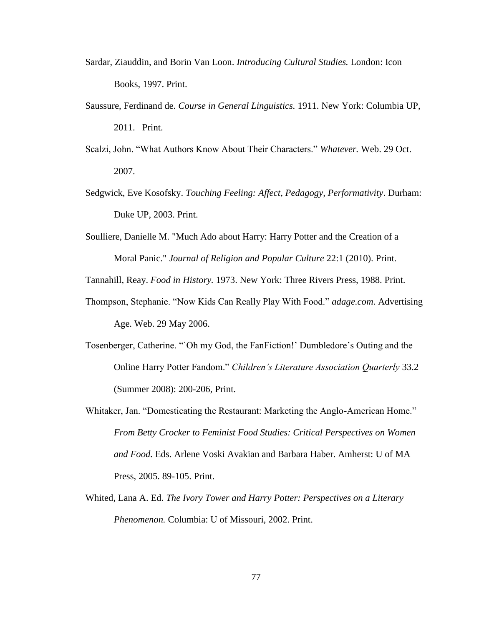- Sardar, Ziauddin, and Borin Van Loon. *Introducing Cultural Studies.* London: Icon Books, 1997. Print.
- Saussure, Ferdinand de. *Course in General Linguistics.* 1911. New York: Columbia UP, 2011. Print.
- Scalzi, John. "What Authors Know About Their Characters." *Whatever.* Web. 29 Oct. 2007.
- Sedgwick, Eve Kosofsky. *Touching Feeling: Affect, Pedagogy, Performativity*. Durham: Duke UP, 2003. Print.
- Soulliere, Danielle M. "Much Ado about Harry: Harry Potter and the Creation of a Moral Panic." *Journal of Religion and Popular Culture* 22:1 (2010). Print.

Tannahill, Reay. *Food in History.* 1973. New York: Three Rivers Press, 1988. Print.

- Thompson, Stephanie. "Now Kids Can Really Play With Food." *adage.com*. Advertising Age. Web. 29 May 2006.
- Tosenberger, Catherine. "`Oh my God, the FanFiction!' Dumbledore's Outing and the Online Harry Potter Fandom." *Children's Literature Association Quarterly* 33.2 (Summer 2008): 200-206, Print.
- Whitaker, Jan. "Domesticating the Restaurant: Marketing the Anglo-American Home." *From Betty Crocker to Feminist Food Studies: Critical Perspectives on Women and Food.* Eds. Arlene Voski Avakian and Barbara Haber. Amherst: U of MA Press, 2005. 89-105. Print.
- Whited, Lana A. Ed. *The Ivory Tower and Harry Potter: Perspectives on a Literary Phenomenon.* Columbia: U of Missouri, 2002. Print.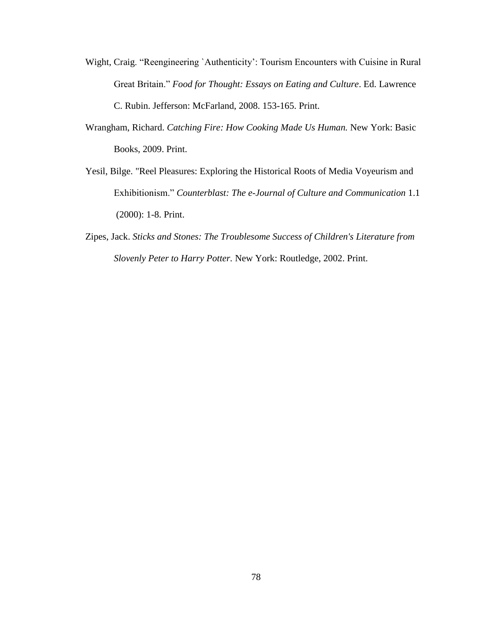- Wight, Craig. "Reengineering `Authenticity': Tourism Encounters with Cuisine in Rural Great Britain." *Food for Thought: Essays on Eating and Culture*. Ed. Lawrence C. Rubin. Jefferson: McFarland, 2008. 153-165. Print.
- Wrangham, Richard. *Catching Fire: How Cooking Made Us Human.* New York: Basic Books, 2009. Print.
- Yesil, Bilge. "Reel Pleasures: Exploring the Historical Roots of Media Voyeurism and Exhibitionism." *Counterblast: The e-Journal of Culture and Communication* 1.1 (2000): 1-8. Print.
- Zipes, Jack. *Sticks and Stones: The Troublesome Success of Children's Literature from Slovenly Peter to Harry Potter.* New York: Routledge, 2002. Print.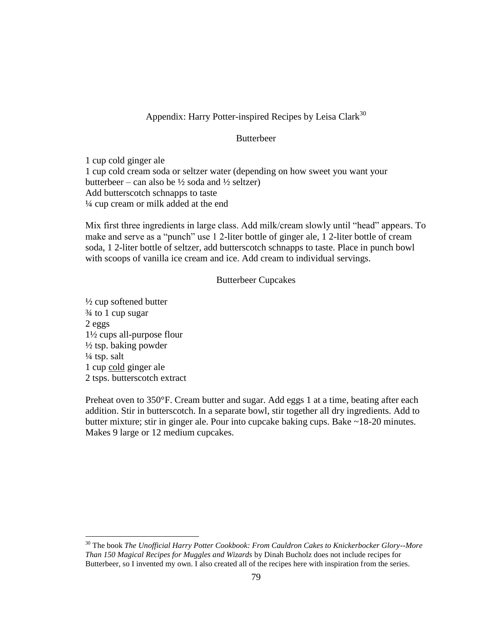# Appendix: Harry Potter-inspired Recipes by Leisa Clark<sup>30</sup>

# Butterbeer

1 cup cold ginger ale 1 cup cold cream soda or seltzer water (depending on how sweet you want your butterbeer – can also be  $\frac{1}{2}$  soda and  $\frac{1}{2}$  seltzer) Add butterscotch schnapps to taste ¼ cup cream or milk added at the end

Mix first three ingredients in large class. Add milk/cream slowly until "head" appears. To make and serve as a "punch" use 1 2-liter bottle of ginger ale, 1 2-liter bottle of cream soda, 1 2-liter bottle of seltzer, add butterscotch schnapps to taste. Place in punch bowl with scoops of vanilla ice cream and ice. Add cream to individual servings.

## Butterbeer Cupcakes

 $\frac{1}{2}$  cup softened butter ¾ to 1 cup sugar 2 eggs 1½ cups all-purpose flour  $\frac{1}{2}$  tsp. baking powder  $\frac{1}{4}$  tsp. salt 1 cup cold ginger ale 2 tsps. butterscotch extract

 $\overline{a}$ 

Preheat oven to 350°F. Cream butter and sugar. Add eggs 1 at a time, beating after each addition. Stir in butterscotch. In a separate bowl, stir together all dry ingredients. Add to butter mixture; stir in ginger ale. Pour into cupcake baking cups. Bake ~18-20 minutes. Makes 9 large or 12 medium cupcakes.

<sup>30</sup> The book *The Unofficial Harry Potter Cookbook: From Cauldron Cakes to Knickerbocker Glory--More Than 150 Magical Recipes for Muggles and Wizards* by Dinah Bucholz does not include recipes for Butterbeer, so I invented my own. I also created all of the recipes here with inspiration from the series.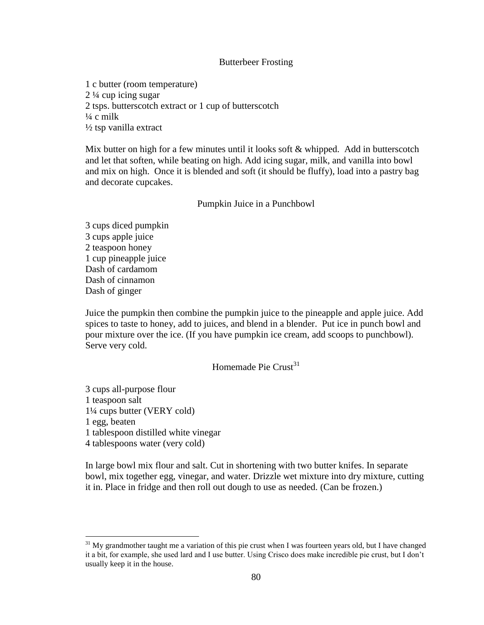## Butterbeer Frosting

1 c butter (room temperature) 2 ¼ cup icing sugar 2 tsps. butterscotch extract or 1 cup of butterscotch  $\frac{1}{4}$  c milk ½ tsp vanilla extract

Mix butter on high for a few minutes until it looks soft  $&$  whipped. Add in butterscotch and let that soften, while beating on high. Add icing sugar, milk, and vanilla into bowl and mix on high. Once it is blended and soft (it should be fluffy), load into a pastry bag and decorate cupcakes.

### Pumpkin Juice in a Punchbowl

3 cups diced pumpkin 3 cups apple juice 2 teaspoon honey 1 cup pineapple juice Dash of cardamom Dash of cinnamon Dash of ginger

Juice the pumpkin then combine the pumpkin juice to the pineapple and apple juice. Add spices to taste to honey, add to juices, and blend in a blender. Put ice in punch bowl and pour mixture over the ice. (If you have pumpkin ice cream, add scoops to punchbowl). Serve very cold.

Homemade Pie Crust $31$ 

3 cups all-purpose flour 1 teaspoon salt 1¼ cups butter (VERY cold) 1 egg, beaten 1 tablespoon distilled white vinegar 4 tablespoons water (very cold)

 $\overline{a}$ 

In large bowl mix flour and salt. Cut in shortening with two butter knifes. In separate bowl, mix together egg, vinegar, and water. Drizzle wet mixture into dry mixture, cutting it in. Place in fridge and then roll out dough to use as needed. (Can be frozen.)

 $31$  My grandmother taught me a variation of this pie crust when I was fourteen years old, but I have changed it a bit, for example, she used lard and I use butter. Using Crisco does make incredible pie crust, but I don't usually keep it in the house.